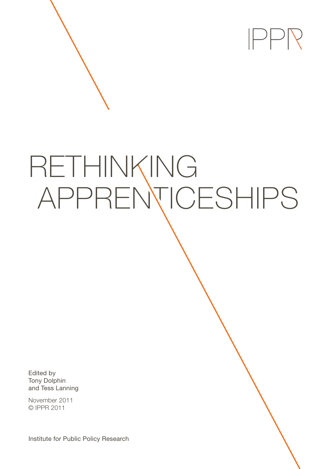

# RETHINKING APPRENTICESHIPS

Edited by Tony Dolphin and Tess Lanning

November 2011 © IPPR 2011

Institute for Public Policy Research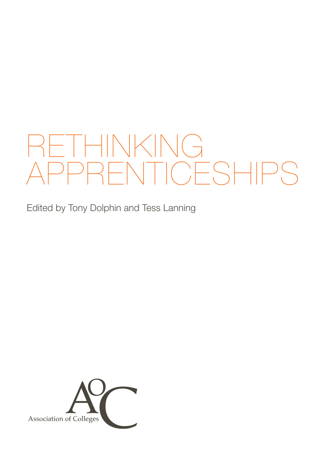# RETHINKING APPRENTICESHIPS

Edited by Tony Dolphin and Tess Lanning

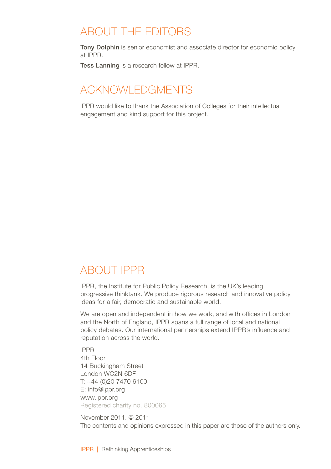# ABOUT the editors

Tony Dolphin is senior economist and associate director for economic policy at IPPR.

Tess Lanning is a research fellow at IPPR.

# Acknowledgments

IPPR would like to thank the Association of Colleges for their intellectual engagement and kind support for this project.

# ABOUT IPPR

IPPR, the Institute for Public Policy Research, is the UK's leading progressive thinktank. We produce rigorous research and innovative policy ideas for a fair, democratic and sustainable world.

We are open and independent in how we work, and with offices in London and the North of England, IPPR spans a full range of local and national policy debates. Our international partnerships extend IPPR's influence and reputation across the world.

IPPR 4th Floor 14 Buckingham Street London WC2N 6DF T: +44 (0)20 7470 6100 E: info@ippr.org www.ippr.org Registered charity no. 800065

November 2011. © 2011 The contents and opinions expressed in this paper are those of the authors only.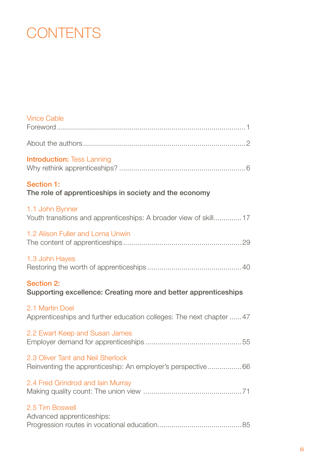# **CONTENTS**

| <b>Vince Cable</b>                                                                                |
|---------------------------------------------------------------------------------------------------|
|                                                                                                   |
| <b>Introduction: Tess Lanning</b>                                                                 |
| Section 1:<br>The role of apprenticeships in society and the economy                              |
| 1.1 John Bynner<br>Youth transitions and apprenticeships: A broader view of skill 17              |
| 1.2 Alison Fuller and Lorna Unwin                                                                 |
| 1.3 John Hayes                                                                                    |
| <b>Section 2:</b><br>Supporting excellence: Creating more and better apprenticeships              |
| 2.1 Martin Doel<br>Apprenticeships and further education colleges: The next chapter  47           |
| 2.2 Ewart Keep and Susan James                                                                    |
| 2.3 Oliver Tant and Neil Sherlock<br>Reinventing the apprenticeship: An employer's perspective 66 |
| 2.4 Fred Grindrod and lain Murray                                                                 |
| 2.5 Tim Boswell<br>Advanced apprenticeships:                                                      |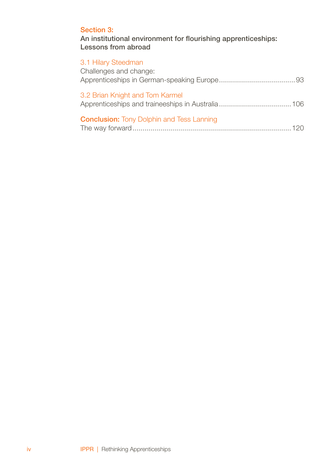### S[ection 3:](#page-98-0)

An institutional environment for flourishing apprenticeships: Lessons from abroad

### 3.1 Hilary Steedman

| Challenges and change:                           |
|--------------------------------------------------|
| 3.2 Brian Knight and Tom Karmel                  |
| <b>Conclusion:</b> Tony Dolphin and Tess Lanning |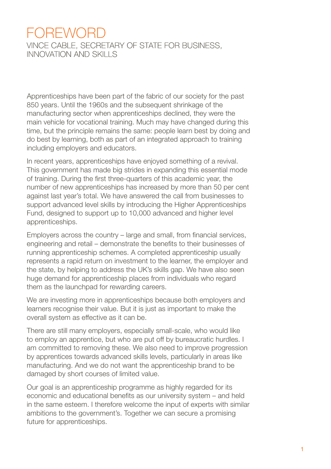# <span id="page-5-0"></span>**FOREWORD**

Vince Cable, Secretary of State for Business, Innovation and Skills

Apprenticeships have been part of the fabric of our society for the past 850 years. Until the 1960s and the subsequent shrinkage of the manufacturing sector when apprenticeships declined, they were the main vehicle for vocational training. Much may have changed during this time, but the principle remains the same: people learn best by doing and do best by learning, both as part of an integrated approach to training including employers and educators.

In recent years, apprenticeships have enjoyed something of a revival. This government has made big strides in expanding this essential mode of training. During the first three-quarters of this academic year, the number of new apprenticeships has increased by more than 50 per cent against last year's total. We have answered the call from businesses to support advanced level skills by introducing the Higher Apprenticeships Fund, designed to support up to 10,000 advanced and higher level apprenticeships.

Employers across the country – large and small, from financial services, engineering and retail – demonstrate the benefits to their businesses of running apprenticeship schemes. A completed apprenticeship usually represents a rapid return on investment to the learner, the employer and the state, by helping to address the UK's skills gap. We have also seen huge demand for apprenticeship places from individuals who regard them as the launchpad for rewarding careers.

We are investing more in apprenticeships because both employers and learners recognise their value. But it is just as important to make the overall system as effective as it can be.

There are still many employers, especially small-scale, who would like to employ an apprentice, but who are put off by bureaucratic hurdles. I am committed to removing these. We also need to improve progression by apprentices towards advanced skills levels, particularly in areas like manufacturing. And we do not want the apprenticeship brand to be damaged by short courses of limited value.

Our goal is an apprenticeship programme as highly regarded for its economic and educational benefits as our university system – and held in the same esteem. I therefore welcome the input of experts with similar ambitions to the government's. Together we can secure a promising future for apprenticeships.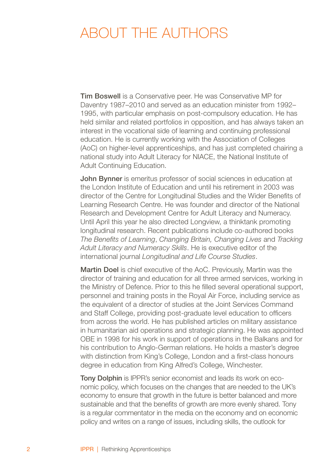# <span id="page-6-0"></span>ABOUT THE AUTHORS

Tim Boswell is a Conservative peer. He was Conservative MP for Daventry 1987–2010 and served as an education minister from 1992– 1995, with particular emphasis on post-compulsory education. He has held similar and related portfolios in opposition, and has always taken an interest in the vocational side of learning and continuing professional education. He is currently working with the Association of Colleges (AoC) on higher-level apprenticeships, and has just completed chairing a national study into Adult Literacy for NIACE, the National Institute of Adult Continuing Education.

John Bynner is emeritus professor of social sciences in education at the London Institute of Education and until his retirement in 2003 was director of the Centre for Longitudinal Studies and the Wider Benefits of Learning Research Centre. He was founder and director of the National Research and Development Centre for Adult Literacy and Numeracy. Until April this year he also directed Longview, a thinktank promoting longitudinal research. Recent publications include co-authored books *The Benefits of Learning*, *Changing Britain, Changing Lives* and *Tracking Adult Literacy and Numeracy Skills*. He is executive editor of the international journal *Longitudinal and Life Course Studies*.

Martin Doel is chief executive of the AoC. Previously, Martin was the director of training and education for all three armed services, working in the Ministry of Defence. Prior to this he filled several operational support, personnel and training posts in the Royal Air Force, including service as the equivalent of a director of studies at the Joint Services Command and Staff College, providing post-graduate level education to officers from across the world. He has published articles on military assistance in humanitarian aid operations and strategic planning. He was appointed OBE in 1998 for his work in support of operations in the Balkans and for his contribution to Anglo-German relations. He holds a master's degree with distinction from King's College, London and a first-class honours degree in education from King Alfred's College, Winchester.

Tony Dolphin is IPPR's senior economist and leads its work on economic policy, which focuses on the changes that are needed to the UK's economy to ensure that growth in the future is better balanced and more sustainable and that the benefits of growth are more evenly shared. Tony is a regular commentator in the media on the economy and on economic policy and writes on a range of issues, including skills, the outlook for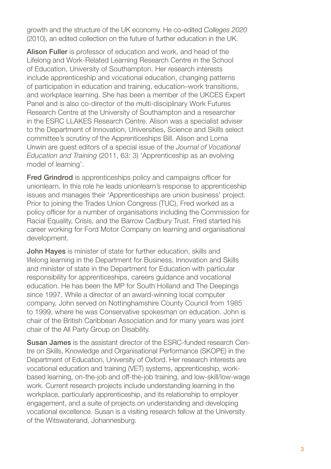growth and the structure of the UK economy. He co-edited *Colleges 2020*  (2010), an edited collection on the future of further education in the UK.

Alison Fuller is professor of education and work, and head of the Lifelong and Work-Related Learning Research Centre in the School of Education, University of Southampton. Her research interests include apprenticeship and vocational education, changing patterns of participation in education and training, education–work transitions, and workplace learning. She has been a member of the UKCES Expert Panel and is also co-director of the multi-disciplinary Work Futures Research Centre at the University of Southampton and a researcher in the ESRC LLAKES Research Centre. Alison was a specialist adviser to the Department of Innovation, Universities, Science and Skills select committee's scrutiny of the Apprenticeships Bill. Alison and Lorna Unwin are guest editors of a special issue of the *Journal of Vocational Education and Training* (2011, 63: 3) 'Apprenticeship as an evolving model of learning'.

Fred Grindrod is apprenticeships policy and campaigns officer for unionlearn. In this role he leads unionlearn's response to apprenticeship issues and manages their 'Apprenticeships are union business' project. Prior to joining the Trades Union Congress (TUC), Fred worked as a policy officer for a number of organisations including the Commission for Racial Equality, Crisis, and the Barrow Cadbury Trust. Fred started his career working for Ford Motor Company on learning and organisational development.

John Hayes is minister of state for further education, skills and lifelong learning in the Department for Business, Innovation and Skills and minister of state in the Department for Education with particular responsibility for apprenticeships, careers guidance and vocational education. He has been the MP for South Holland and The Deepings since 1997. While a director of an award-winning local computer company, John served on Nottinghamshire County Council from 1985 to 1999, where he was Conservative spokesman on education. John is chair of the British Caribbean Association and for many years was joint chair of the All Party Group on Disability.

Susan James is the assistant director of the ESRC-funded research Centre on Skills, Knowledge and Organisational Performance (SKOPE) in the Department of Education, University of Oxford. Her research interests are vocational education and training (VET) systems, apprenticeship, workbased learning, on-the-job and off-the-job training, and low-skill/low-wage work. Current research projects include understanding learning in the workplace, particularly apprenticeship, and its relationship to employer engagement, and a suite of projects on understanding and developing vocational excellence. Susan is a visiting research fellow at the University of the Witswaterand, Johannesburg.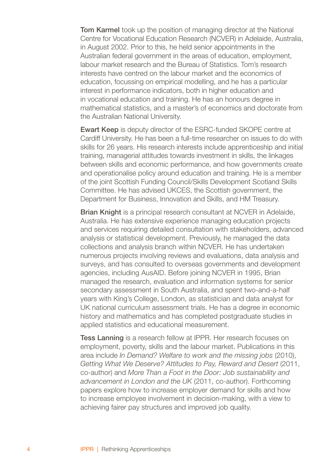**Tom Karmel** took up the position of managing director at the National Centre for Vocational Education Research (NCVER) in Adelaide, Australia, in August 2002. Prior to this, he held senior appointments in the Australian federal government in the areas of education, employment, labour market research and the Bureau of Statistics. Tom's research interests have centred on the labour market and the economics of education, focussing on empirical modelling, and he has a particular interest in performance indicators, both in higher education and in vocational education and training. He has an honours degree in mathematical statistics, and a master's of economics and doctorate from the Australian National University.

Ewart Keep is deputy director of the ESRC-funded SKOPE centre at Cardiff University. He has been a full-time researcher on issues to do with skills for 26 years. His research interests include apprenticeship and initial training, managerial attitudes towards investment in skills, the linkages between skills and economic performance, and how governments create and operationalise policy around education and training. He is a member of the joint Scottish Funding Council/Skills Development Scotland Skills Committee. He has advised UKCES, the Scottish government, the Department for Business, Innovation and Skills, and HM Treasury.

Brian Knight is a principal research consultant at NCVER in Adelaide. Australia. He has extensive experience managing education projects and services requiring detailed consultation with stakeholders, advanced analysis or statistical development. Previously, he managed the data collections and analysis branch within NCVER. He has undertaken numerous projects involving reviews and evaluations, data analysis and surveys, and has consulted to overseas governments and development agencies, including AusAID. Before joining NCVER in 1995, Brian managed the research, evaluation and information systems for senior secondary assessment in South Australia, and spent two-and-a-half years with King's College, London, as statistician and data analyst for UK national curriculum assessment trials. He has a degree in economic history and mathematics and has completed postgraduate studies in applied statistics and educational measurement.

Tess Lanning is a research fellow at IPPR. Her research focuses on employment, poverty, skills and the labour market. Publications in this area include *In Demand? Welfare to work and the missing jobs* (2010), Getting What We Deserve? Attitudes to Pay, Reward and Desert (2011, co-author) and *More Than a Foot in the Door: Job sustainability and advancement in London and the UK* (2011, co-author). Forthcoming papers explore how to increase employer demand for skills and how to increase employee involvement in decision-making, with a view to achieving fairer pay structures and improved job quality.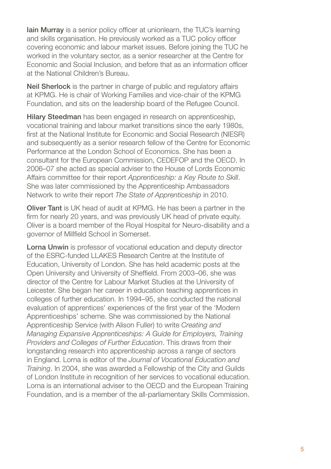Iain Murray is a senior policy officer at unionlearn, the TUC's learning and skills organisation. He previously worked as a TUC policy officer covering economic and labour market issues. Before joining the TUC he worked in the voluntary sector, as a senior researcher at the Centre for Economic and Social Inclusion, and before that as an information officer at the National Children's Bureau.

Neil Sherlock is the partner in charge of public and regulatory affairs at KPMG. He is chair of Working Families and vice-chair of the KPMG Foundation, and sits on the leadership board of the Refugee Council.

Hilary Steedman has been engaged in research on apprenticeship, vocational training and labour market transitions since the early 1980s, first at the National Institute for Economic and Social Research (NIESR) and subsequently as a senior research fellow of the Centre for Economic Performance at the London School of Economics. She has been a consultant for the European Commission, CEDEFOP and the OECD. In 2006–07 she acted as special adviser to the House of Lords Economic Affairs committee for their report *Apprenticeship: a Key Route to Skill*. She was later commissioned by the Apprenticeship Ambassadors Network to write their report *The State of Apprenticeship* in 2010.

Oliver Tant is UK head of audit at KPMG. He has been a partner in the firm for nearly 20 years, and was previously UK head of private equity. Oliver is a board member of the Royal Hospital for Neuro-disability and a governor of Millfield School in Somerset.

Lorna Unwin is professor of vocational education and deputy director of the ESRC-funded LLAKES Research Centre at the Institute of Education, University of London. She has held academic posts at the Open University and University of Sheffield. From 2003–06, she was director of the Centre for Labour Market Studies at the University of Leicester. She began her career in education teaching apprentices in colleges of further education. In 1994–95, she conducted the national evaluation of apprentices' experiences of the first year of the 'Modern Apprenticeships' scheme. She was commissioned by the National Apprenticeship Service (with Alison Fuller) to write *Creating and Managing Expansive Apprenticeships: A Guide for Employers, Training Providers and Colleges of Further Education*. This draws from their longstanding research into apprenticeship across a range of sectors in England. Lorna is editor of the *Journal of Vocational Education and Training*. In 2004, she was awarded a Fellowship of the City and Guilds of London Institute in recognition of her services to vocational education. Lorna is an international adviser to the OECD and the European Training Foundation, and is a member of the all-parliamentary Skills Commission.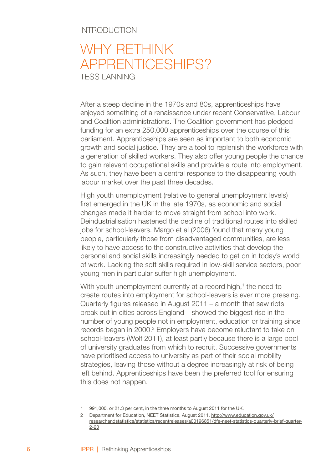#### <span id="page-10-0"></span>**INTRODUCTION**

# WHY RETHINK apprenticeships? TESS LANNING

After a steep decline in the 1970s and 80s, apprenticeships have enjoyed something of a renaissance under recent Conservative, Labour and Coalition administrations. The Coalition government has pledged funding for an extra 250,000 apprenticeships over the course of this parliament. Apprenticeships are seen as important to both economic growth and social justice. They are a tool to replenish the workforce with a generation of skilled workers. They also offer young people the chance to gain relevant occupational skills and provide a route into employment. As such, they have been a central response to the disappearing youth labour market over the past three decades.

High youth unemployment (relative to general unemployment levels) first emerged in the UK in the late 1970s, as economic and social changes made it harder to move straight from school into work. Deindustrialisation hastened the decline of traditional routes into skilled jobs for school-leavers. Margo et al (2006) found that many young people, particularly those from disadvantaged communities, are less likely to have access to the constructive activities that develop the personal and social skills increasingly needed to get on in today's world of work. Lacking the soft skills required in low-skill service sectors, poor young men in particular suffer high unemployment.

With youth unemployment currently at a record high,<sup>1</sup> the need to create routes into employment for school-leavers is ever more pressing. Quarterly figures released in August 2011 – a month that saw riots break out in cities across England – showed the biggest rise in the number of young people not in employment, education or training since records began in 2000.<sup>2</sup> Employers have become reluctant to take on school-leavers (Wolf 2011), at least partly because there is a large pool of university graduates from which to recruit. Successive governments have prioritised access to university as part of their social mobility strategies, leaving those without a degree increasingly at risk of being left behind. Apprenticeships have been the preferred tool for ensuring this does not happen.

<sup>991,000,</sup> or 21.3 per cent, in the three months to August 2011 for the UK.

Department for Education, NEET Statistics, August 2011. http://www.education.gov.uk/ researchandstatistics/statistics/recentreleases/a00196851/dfe-neet-statistics-quarterly-brief-quarter- 2-20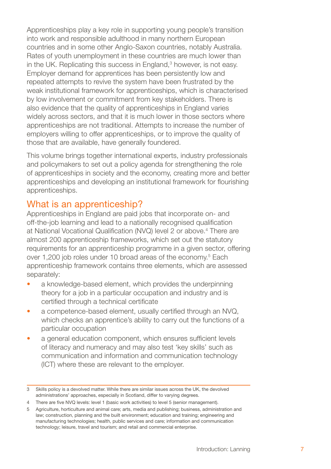Apprenticeships play a key role in supporting young people's transition into work and responsible adulthood in many northern European countries and in some other Anglo-Saxon countries, notably Australia. Rates of youth unemployment in these countries are much lower than in the UK. Replicating this success in England,<sup>3</sup> however, is not easy. Employer demand for apprentices has been persistently low and repeated attempts to revive the system have been frustrated by the weak institutional framework for apprenticeships, which is characterised by low involvement or commitment from key stakeholders. There is also evidence that the quality of apprenticeships in England varies widely across sectors, and that it is much lower in those sectors where apprenticeships are not traditional. Attempts to increase the number of employers willing to offer apprenticeships, or to improve the quality of those that are available, have generally foundered.

This volume brings together international experts, industry professionals and policymakers to set out a policy agenda for strengthening the role of apprenticeships in society and the economy, creating more and better apprenticeships and developing an institutional framework for flourishing apprenticeships.

## What is an apprenticeship?

Apprenticeships in England are paid jobs that incorporate on- and off-the-job learning and lead to a nationally recognised qualification at National Vocational Qualification (NVQ) level 2 or above.<sup>4</sup> There are almost 200 apprenticeship frameworks, which set out the statutory requirements for an apprenticeship programme in a given sector, offering over 1,200 job roles under 10 broad areas of the economy.<sup>5</sup> Each apprenticeship framework contains three elements, which are assessed separately:

- a knowledge-based element, which provides the underpinning theory for a job in a particular occupation and industry and is certified through a technical certificate •
- a competence-based element, usually certified through an NVQ, which checks an apprentice's ability to carry out the functions of a particular occupation •
- a general education component, which ensures sufficient levels of literacy and numeracy and may also test 'key skills' such as communication and information and communication technology (ICT) where these are relevant to the employer. •

Skills policy is a devolved matter. While there are similar issues across the UK, the devolved administrations' approaches, especially in Scotland, differ to varying degrees.

There are five NVQ levels: level 1 (basic work activities) to level 5 (senior management).

Agriculture, horticulture and animal care; arts, media and publishing; business, administration and law; construction, planning and the built environment; education and training; engineering and manufacturing technologies; health, public services and care; information and communication technology; leisure, travel and tourism; and retail and commercial enterprise.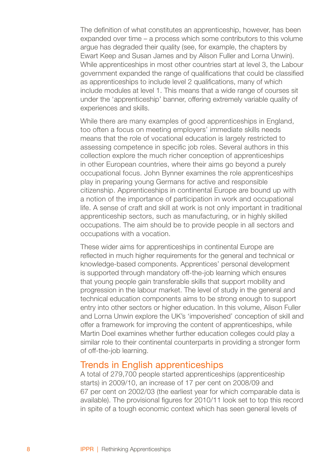The definition of what constitutes an apprenticeship, however, has been expanded over time – a process which some contributors to this volume argue has degraded their quality (see, for example, the chapters by Ewart Keep and Susan James and by Alison Fuller and Lorna Unwin). While apprenticeships in most other countries start at level 3, the Labour government expanded the range of qualifications that could be classified as apprenticeships to include level 2 qualifications, many of which include modules at level 1. This means that a wide range of courses sit under the 'apprenticeship' banner, offering extremely variable quality of experiences and skills.

While there are many examples of good apprenticeships in England, too often a focus on meeting employers' immediate skills needs means that the role of vocational education is largely restricted to assessing competence in specific job roles. Several authors in this collection explore the much richer conception of apprenticeships in other European countries, where their aims go beyond a purely occupational focus. John Bynner examines the role apprenticeships play in preparing young Germans for active and responsible citizenship. Apprenticeships in continental Europe are bound up with a notion of the importance of participation in work and occupational life. A sense of craft and skill at work is not only important in traditional apprenticeship sectors, such as manufacturing, or in highly skilled occupations. The aim should be to provide people in all sectors and occupations with a vocation.

These wider aims for apprenticeships in continental Europe are reflected in much higher requirements for the general and technical or knowledge-based components. Apprentices' personal development is supported through mandatory off-the-job learning which ensures that young people gain transferable skills that support mobility and progression in the labour market. The level of study in the general and technical education components aims to be strong enough to support entry into other sectors or higher education. In this volume, Alison Fuller and Lorna Unwin explore the UK's 'impoverished' conception of skill and offer a framework for improving the content of apprenticeships, while Martin Doel examines whether further education colleges could play a similar role to their continental counterparts in providing a stronger form of off-the-job learning.

## Trends in English apprenticeships

A total of 279,700 people started apprenticeships (apprenticeship starts) in 2009/10, an increase of 17 per cent on 2008/09 and 67 per cent on 2002/03 (the earliest year for which comparable data is available). The provisional figures for 2010/11 look set to top this record in spite of a tough economic context which has seen general levels of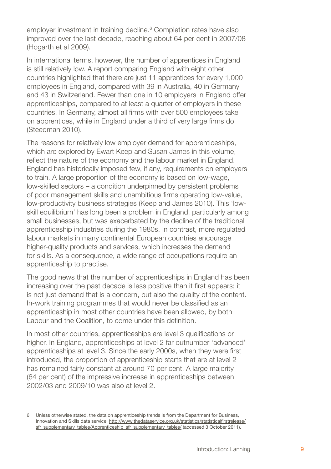employer investment in training decline.<sup>6</sup> Completion rates have also improved over the last decade, reaching about 64 per cent in 2007/08 (Hogarth et al 2009).

In international terms, however, the number of apprentices in England is still relatively low. A report comparing England with eight other countries highlighted that there are just 11 apprentices for every 1,000 employees in England, compared with 39 in Australia, 40 in Germany and 43 in Switzerland. Fewer than one in 10 employers in England offer apprenticeships, compared to at least a quarter of employers in these countries. In Germany, almost all firms with over 500 employees take on apprentices, while in England under a third of very large firms do (Steedman 2010).

The reasons for relatively low employer demand for apprenticeships, which are explored by Ewart Keep and Susan James in this volume, reflect the nature of the economy and the labour market in England. England has historically imposed few, if any, requirements on employers to train. A large proportion of the economy is based on low-wage, low-skilled sectors – a condition underpinned by persistent problems of poor management skills and unambitious firms operating low-value, low-productivity business strategies (Keep and James 2010). This 'lowskill equilibrium' has long been a problem in England, particularly among small businesses, but was exacerbated by the decline of the traditional apprenticeship industries during the 1980s. In contrast, more regulated labour markets in many continental European countries encourage higher-quality products and services, which increases the demand for skills. As a consequence, a wide range of occupations require an apprenticeship to practise.

The good news that the number of apprenticeships in England has been increasing over the past decade is less positive than it first appears; it is not just demand that is a concern, but also the quality of the content. In-work training programmes that would never be classified as an apprenticeship in most other countries have been allowed, by both Labour and the Coalition, to come under this definition.

In most other countries, apprenticeships are level 3 qualifications or higher. In England, apprenticeships at level 2 far outnumber 'advanced' apprenticeships at level 3. Since the early 2000s, when they were first introduced, the proportion of apprenticeship starts that are at level 2 has remained fairly constant at around 70 per cent. A large majority (64 per cent) of the impressive increase in apprenticeships between 2002/03 and 2009/10 was also at level 2.

Unless otherwise stated, the data on apprenticeship trends is from the Department for Business, Innovation and Skills data service. http://www.thedataservice.org.uk/statistics/statisticalfirstrelease/ sfr\_supplementary\_tables/Apprenticeship\_sfr\_supplementary\_tables/ (accessed 3 October 2011).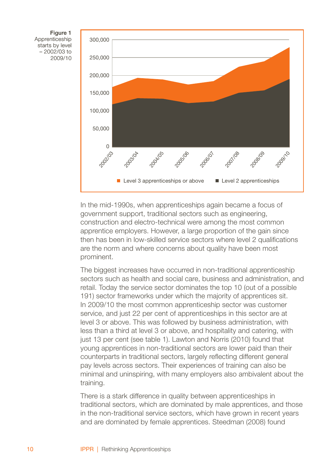Figure 1 Apprenticeship starts by level – 2002/03 to 2009/10



In the mid-1990s, when apprenticeships again became a focus of government support, traditional sectors such as engineering, construction and electro-technical were among the most common apprentice employers. However, a large proportion of the gain since then has been in low-skilled service sectors where level 2 qualifications are the norm and where concerns about quality have been most prominent.

The biggest increases have occurred in non-traditional apprenticeship sectors such as health and social care, business and administration, and retail. Today the service sector dominates the top 10 (out of a possible 191) sector frameworks under which the majority of apprentices sit. In 2009/10 the most common apprenticeship sector was customer service, and just 22 per cent of apprenticeships in this sector are at level 3 or above. This was followed by business administration, with less than a third at level 3 or above, and hospitality and catering, with just 13 per cent (see table 1). Lawton and Norris (2010) found that young apprentices in non-traditional sectors are lower paid than their counterparts in traditional sectors, largely reflecting different general pay levels across sectors. Their experiences of training can also be minimal and uninspiring, with many employers also ambivalent about the training.

There is a stark difference in quality between apprenticeships in traditional sectors, which are dominated by male apprentices, and those in the non-traditional service sectors, which have grown in recent years and are dominated by female apprentices. Steedman (2008) found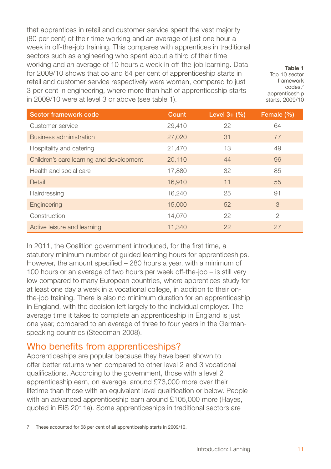that apprentices in retail and customer service spent the vast majority (80 per cent) of their time working and an average of just one hour a week in off-the-job training. This compares with apprentices in traditional sectors such as engineering who spent about a third of their time working and an average of 10 hours a week in off-the-job learning. Data for 2009/10 shows that 55 and 64 per cent of apprenticeship starts in retail and customer service respectively were women, compared to just 3 per cent in engineering, where more than half of apprenticeship starts in 2009/10 were at level 3 or above (see table 1).

Table 1 Top 10 sector framework codes,7 apprenticeship starts, 2009/10

| Sector framework code                    | Count  | Level $3 + (%)$ | Female (%)    |
|------------------------------------------|--------|-----------------|---------------|
| Customer service                         | 29,410 | 22              | 64            |
| Business administration                  | 27,020 | 31              | 77            |
| Hospitality and catering                 | 21,470 | 13              | 49            |
| Children's care learning and development | 20,110 | 44              | 96            |
| Health and social care                   | 17,880 | 32              | 85            |
| Retail                                   | 16,910 | 11              | 55            |
| Hairdressing                             | 16,240 | 25              | 91            |
| Engineering                              | 15,000 | 52              | 3             |
| Construction                             | 14,070 | 22              | $\mathcal{P}$ |
| Active leisure and learning              | 11.340 | 22              | 27            |

In 2011, the Coalition government introduced, for the first time, a statutory minimum number of guided learning hours for apprenticeships. However, the amount specified – 280 hours a year, with a minimum of 100 hours or an average of two hours per week off-the-job – is still very low compared to many European countries, where apprentices study for at least one day a week in a vocational college, in addition to their onthe-job training. There is also no minimum duration for an apprenticeship in England, with the decision left largely to the individual employer. The average time it takes to complete an apprenticeship in England is just one year, compared to an average of three to four years in the Germanspeaking countries (Steedman 2008).

# Who benefits from apprenticeships?

Apprenticeships are popular because they have been shown to offer better returns when compared to other level 2 and 3 vocational qualifications. According to the government, those with a level 2 apprenticeship earn, on average, around £73,000 more over their lifetime than those with an equivalent level qualification or below. People with an advanced apprenticeship earn around £105,000 more (Hayes, quoted in BIS 2011a). Some apprenticeships in traditional sectors are

These accounted for 68 per cent of all apprenticeship starts in 2009/10.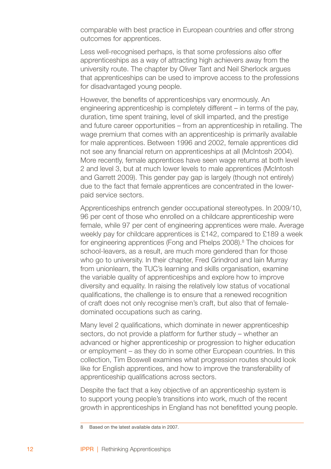comparable with best practice in European countries and offer strong outcomes for apprentices.

Less well-recognised perhaps, is that some professions also offer apprenticeships as a way of attracting high achievers away from the university route. The chapter by Oliver Tant and Neil Sherlock argues that apprenticeships can be used to improve access to the professions for disadvantaged young people.

However, the benefits of apprenticeships vary enormously. An engineering apprenticeship is completely different – in terms of the pay, duration, time spent training, level of skill imparted, and the prestige and future career opportunities – from an apprenticeship in retailing. The wage premium that comes with an apprenticeship is primarily available for male apprentices. Between 1996 and 2002, female apprentices did not see any financial return on apprenticeships at all (McIntosh 2004). More recently, female apprentices have seen wage returns at both level 2 and level 3, but at much lower levels to male apprentices (McIntosh and Garrett 2009). This gender pay gap is largely (though not entirely) due to the fact that female apprentices are concentrated in the lowerpaid service sectors.

Apprenticeships entrench gender occupational stereotypes. In 2009/10, 96 per cent of those who enrolled on a childcare apprenticeship were female, while 97 per cent of engineering apprentices were male. Average weekly pay for childcare apprentices is £142, compared to £189 a week for engineering apprentices (Fong and Phelps 2008).<sup>8</sup> The choices for school-leavers, as a result, are much more gendered than for those who go to university. In their chapter, Fred Grindrod and Iain Murray from unionlearn, the TUC's learning and skills organisation, examine the variable quality of apprenticeships and explore how to improve diversity and equality. In raising the relatively low status of vocational qualifications, the challenge is to ensure that a renewed recognition of craft does not only recognise men's craft, but also that of femaledominated occupations such as caring.

Many level 2 qualifications, which dominate in newer apprenticeship sectors, do not provide a platform for further study – whether an advanced or higher apprenticeship or progression to higher education or employment – as they do in some other European countries. In this collection, Tim Boswell examines what progression routes should look like for English apprentices, and how to improve the transferability of apprenticeship qualifications across sectors.

Despite the fact that a key objective of an apprenticeship system is to support young people's transitions into work, much of the recent growth in apprenticeships in England has not benefitted young people.

<sup>8</sup> Based on the latest available data in 2007.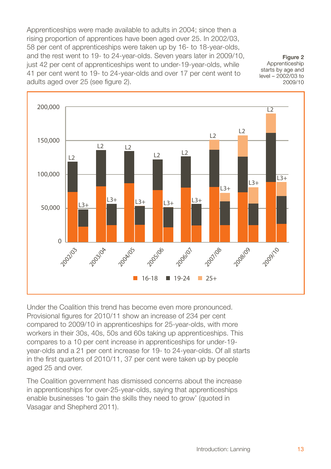Apprenticeships were made available to adults in 2004; since then a rising proportion of apprentices have been aged over 25. In 2002/03, 58 per cent of apprenticeships were taken up by 16- to 18-year-olds, and the rest went to 19- to 24-year-olds. Seven years later in 2009/10, just 42 per cent of apprenticeships went to under-19-year-olds, while 41 per cent went to 19- to 24-year-olds and over 17 per cent went to adults aged over 25 (see figure 2).

Figure 2 Apprenticeship starts by age and level – 2002/03 to 2009/10



Under the Coalition this trend has become even more pronounced. Provisional figures for 2010/11 show an increase of 234 per cent compared to 2009/10 in apprenticeships for 25-year-olds, with more workers in their 30s, 40s, 50s and 60s taking up apprenticeships. This compares to a 10 per cent increase in apprenticeships for under-19 year-olds and a 21 per cent increase for 19- to 24-year-olds. Of all starts in the first quarters of 2010/11, 37 per cent were taken up by people aged 25 and over.

The Coalition government has dismissed concerns about the increase in apprenticeships for over-25-year-olds, saying that apprenticeships enable businesses 'to gain the skills they need to grow' (quoted in Vasagar and Shepherd 2011).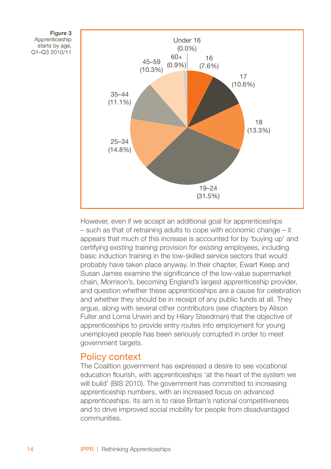



However, even if we accept an additional goal for apprenticeships – such as that of retraining adults to cope with economic change – it appears that much of this increase is accounted for by 'buying up' and certifying *existing* training provision for *existing* employees, including basic induction training in the low-skilled service sectors that would probably have taken place anyway. In their chapter, Ewart Keep and Susan James examine the significance of the low-value supermarket chain, Morrison's, becoming England's largest apprenticeship provider, and question whether these apprenticeships are a cause for celebration and whether they should be in receipt of any public funds at all. They argue, along with several other contributors (see chapters by Alison Fuller and Lorna Unwin and by Hilary Steedman) that the objective of apprenticeships to provide entry routes into employment for young unemployed people has been seriously corrupted in order to meet government targets.

## Policy context

The Coalition government has expressed a desire to see vocational education flourish, with apprenticeships 'at the heart of the system we will build' (BIS 2010). The government has committed to increasing apprenticeship numbers, with an increased focus on advanced apprenticeships. Its aim is to raise Britain's national competitiveness and to drive improved social mobility for people from disadvantaged communities.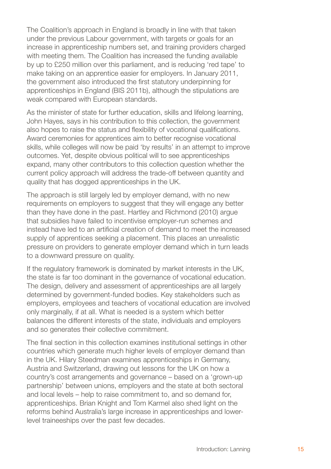The Coalition's approach in England is broadly in line with that taken under the previous Labour government, with targets or goals for an increase in apprenticeship numbers set, and training providers charged with meeting them. The Coalition has increased the funding available by up to £250 million over this parliament, and is reducing 'red tape' to make taking on an apprentice easier for employers. In January 2011, the government also introduced the first statutory underpinning for apprenticeships in England (BIS 2011b), although the stipulations are weak compared with European standards.

As the minister of state for further education, skills and lifelong learning, John Hayes, says in his contribution to this collection, the government also hopes to raise the status and flexibility of vocational qualifications. Award ceremonies for apprentices aim to better recognise vocational skills, while colleges will now be paid 'by results' in an attempt to improve outcomes. Yet, despite obvious political will to see apprenticeships expand, many other contributors to this collection question whether the current policy approach will address the trade-off between quantity and quality that has dogged apprenticeships in the UK.

The approach is still largely led by employer demand, with no new requirements on employers to suggest that they will engage any better than they have done in the past. Hartley and Richmond (2010) argue that subsidies have failed to incentivise employer-run schemes and instead have led to an artificial creation of demand to meet the increased supply of apprentices seeking a placement. This places an unrealistic pressure on providers to generate employer demand which in turn leads to a downward pressure on quality.

If the regulatory framework is dominated by market interests in the UK, the state is far too dominant in the governance of vocational education. The design, delivery and assessment of apprenticeships are all largely determined by government-funded bodies. Key stakeholders such as employers, employees and teachers of vocational education are involved only marginally, if at all. What is needed is a system which better balances the different interests of the state, individuals and employers and so generates their collective commitment.

The final section in this collection examines institutional settings in other countries which generate much higher levels of employer demand than in the UK. Hilary Steedman examines apprenticeships in Germany, Austria and Switzerland, drawing out lessons for the UK on how a country's cost arrangements and governance – based on a 'grown-up partnership' between unions, employers and the state at both sectoral and local levels – help to raise commitment to, and so demand for, apprenticeships. Brian Knight and Tom Karmel also shed light on the reforms behind Australia's large increase in apprenticeships and lowerlevel traineeships over the past few decades.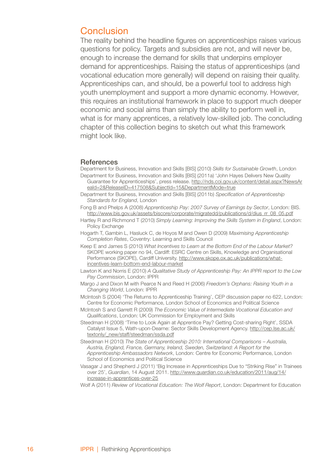## Conclusion

The reality behind the headline figures on apprenticeships raises various questions for policy. Targets and subsidies are not, and will never be, enough to increase the demand for skills that underpins employer demand for apprenticeships. Raising the status of apprenticeships (and vocational education more generally) will depend on raising their quality. Apprenticeships can, and should, be a powerful tool to address high youth unemployment and support a more dynamic economy. However, this requires an institutional framework in place to support much deeper economic and social aims than simply the ability to perform well in, what is for many apprentices, a relatively low-skilled job. The concluding chapter of this collection begins to sketch out what this framework might look like.

#### **References**

Department for Business, Innovation and Skills [BIS] (2010) *Skills for Sustainable Growth*, London Department for Business, Innovation and Skills [BIS] (2011a) 'John Hayes Delivers New Quality

- Guarantee for Apprenticeships', press release. http://nds.coi.gov.uk/content/detail.aspx?NewsAr eaId=2&ReleaseID=417508&SubjectId=15&DepartmentMode=true
- Department for Business, Innovation and Skills [BIS] (2011b) *Specification of Apprenticeship Standards for England*, London
- Fong B and Phelps A (2008) *Apprenticeship Pay: 2007 Survey of Earnings by Sector*, London: BIS. http://www.bis.gov.uk/assets/biscore/corporate/migratedd/publications/d/dius\_rr\_08\_05.pdf
- Hartley R and Richmond T (2010) *Simply Learning: Improving the Skills System in England*, London: Policy Exchange
- Hogarth T, Gambin L, Hasluck C, de Hoyos M and Owen D (2009) *Maximising Apprenticeship Completion Rates*, Coventry: Learning and Skills Council
- Keep E and James S (2010) *What Incentives to Learn at the Bottom End of the Labour Market?* SKOPE working paper no 94, Cardiff: ESRC Centre on Skills, Knowledge and Organisational Performance (SKOPE), Cardiff University. http://www.skope.ox.ac.uk/publications/whatincentives-learn-bottom-end-labour-market
- Lawton K and Norris E (2010) *A Qualitative Study of Apprenticeship Pay: An IPPR report to the Low Pay Commission*, London: IPPR
- Margo J and Dixon M with Pearce N and Reed H (2006) *Freedom's Orphans: Raising Youth in a Changing World*, London: IPPR
- McIntosh S (2004) 'The Returns to Apprenticeship Training', CEP discussion paper no 622, London: Centre for Economic Performance, London School of Economics and Political Science
- McIntosh S and Garrett R (2009) *The Economic Value of Intermediate Vocational Education and Qualifications*, London: UK Commission for Employment and Skills
- Steedman H (2008) 'Time to Look Again at Apprentice Pay? Getting Cost-sharing Right', SSDA Catalyst Issue 5, Wath-upon-Dearne: Sector Skills Development Agency. http://cep.lse.ac.uk/ textonly/\_new/staff/steedman/ssda.pdf
- Steedman H (2010) *The State of Apprenticeship 2010: International Comparisons Australia, Austria, England, France, Germany, Ireland, Sweden, Switzerland: A Report for the Apprenticeship Ambassadors Network*, London: Centre for Economic Performance, London School of Economics and Political Science
- Vasagar J and Shepherd J (2011) 'Big Increase in Apprenticeships Due to "Striking Rise" in Trainees over 25', *Guardian*, 14 August 2011. http://www.guardian.co.uk/education/2011/aug/14/ increase-in-apprentices-over-25
- Wolf A (2011) *Review of Vocational Education: The Wolf Report*, London: Department for Education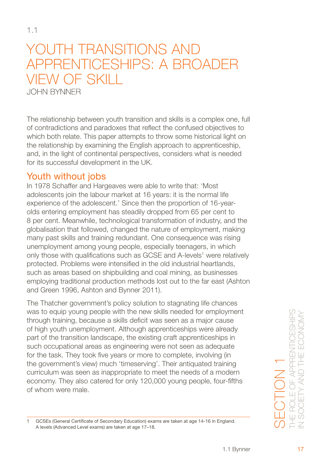# <span id="page-21-0"></span>YOUTH TRANSITIONS AND apprenticeships: A broader view of skill John Bynner

The relationship between youth transition and skills is a complex one, full of contradictions and paradoxes that reflect the confused objectives to which both relate. This paper attempts to throw some historical light on the relationship by examining the English approach to apprenticeship, and, in the light of continental perspectives, considers what is needed for its successful development in the UK.

# Youth without jobs

In 1978 Schaffer and Hargeaves were able to write that: 'Most adolescents join the labour market at 16 years: it is the normal life experience of the adolescent.' Since then the proportion of 16-yearolds entering employment has steadily dropped from 65 per cent to 8 per cent. Meanwhile, technological transformation of industry, and the globalisation that followed, changed the nature of employment, making many past skills and training redundant. One consequence was rising unemployment among young people, especially teenagers, in which only those with qualifications such as GCSE and A-levels<sup>1</sup> were relatively protected. Problems were intensified in the old industrial heartlands, such as areas based on shipbuilding and coal mining, as businesses employing traditional production methods lost out to the far east (Ashton and Green 1996, Ashton and Bynner 2011).

The Thatcher government's policy solution to stagnating life chances was to equip young people with the new skills needed for employment through training, because a skills deficit was seen as a major cause of high youth unemployment. Although apprenticeships were already part of the transition landscape, the existing craft apprenticeships in such occupational areas as engineering were not seen as adequate for the task. They took five years or more to complete, involving (in the government's view) much 'timeserving'. Their antiquated training curriculum was seen as inappropriate to meet the needs of a modern economy. They also catered for only 120,000 young people, four-fifths of whom were male.

GCSEs (General Certificate of Secondary Education) exams are taken at age 14-16 in England. A levels (Advanced Level exams) are taken at age 17–18.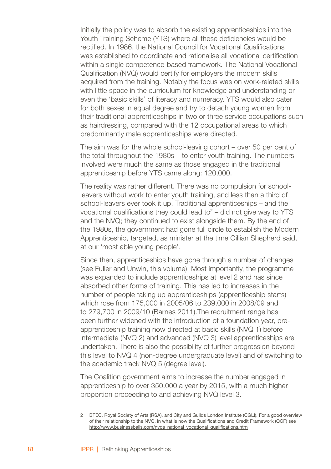Initially the policy was to absorb the existing apprenticeships into the Youth Training Scheme (YTS) where all these deficiencies would be rectified. In 1986, the National Council for Vocational Qualifications was established to coordinate and rationalise all vocational certification within a single competence-based framework. The National Vocational Qualification (NVQ) would certify for employers the modern skills acquired from the training. Notably the focus was on work-related skills with little space in the curriculum for knowledge and understanding or even the 'basic skills' of literacy and numeracy. YTS would also cater for both sexes in equal degree and try to detach young women from their traditional apprenticeships in two or three service occupations such as hairdressing, compared with the 12 occupational areas to which predominantly male apprenticeships were directed.

The aim was for the whole school-leaving cohort – over 50 per cent of the total throughout the 1980s – to enter youth training. The numbers involved were much the same as those engaged in the traditional apprenticeship before YTS came along: 120,000.

The reality was rather different. There was no compulsion for schoolleavers without work to enter youth training, and less than a third of school-leavers ever took it up. Traditional apprenticeships – and the vocational qualifications they could lead to $2 -$  did not give way to YTS and the NVQ; they continued to exist alongside them. By the end of the 1980s, the government had gone full circle to establish the Modern Apprenticeship, targeted, as minister at the time Gillian Shepherd said, at our 'most able young people'.

Since then, apprenticeships have gone through a number of changes (see Fuller and Unwin, this volume). Most importantly, the programme was expanded to include apprenticeships at level 2 and has since absorbed other forms of training. This has led to increases in the number of people taking up apprenticeships (apprenticeship starts) which rose from 175,000 in 2005/06 to 239,000 in 2008/09 and to 279,700 in 2009/10 (Barnes 2011).The recruitment range has been further widened with the introduction of a foundation year, preapprenticeship training now directed at basic skills (NVQ 1) before intermediate (NVQ 2) and advanced (NVQ 3) level apprenticeships are undertaken. There is also the possibility of further progression beyond this level to NVQ 4 (non-degree undergraduate level) and of switching to the academic track NVQ 5 (degree level).

The Coalition government aims to increase the number engaged in apprenticeship to over 350,000 a year by 2015, with a much higher proportion proceeding to and achieving NVQ level 3.

<sup>2</sup> BTEC, Royal Society of Arts (RSA), and City and Guilds London Institute (CGLI). For a good overview of their relationship to the NVQ, in what is now the Qualifications and Credit Framework (QCF) see http://www.businessballs.com/nvqs\_national\_vocational\_qualifications.htm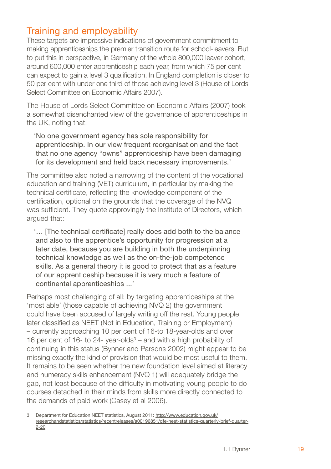# Training and employability

These targets are impressive indications of government commitment to making apprenticeships the premier transition route for school-leavers. But to put this in perspective, in Germany of the whole 800,000 leaver cohort, around 600,000 enter apprenticeship each year, from which 75 per cent can expect to gain a level 3 qualification. In England completion is closer to 50 per cent with under one third of those achieving level 3 (House of Lords Select Committee on Economic Affairs 2007).

The House of Lords Select Committee on Economic Affairs (2007) took a somewhat disenchanted view of the governance of apprenticeships in the UK, noting that:

'No one government agency has sole responsibility for apprenticeship. In our view frequent reorganisation and the fact that no one agency "owns" apprenticeship have been damaging for its development and held back necessary improvements.'

The committee also noted a narrowing of the content of the vocational education and training (VET) curriculum, in particular by making the technical certificate, reflecting the knowledge component of the certification, optional on the grounds that the coverage of the NVQ was sufficient. They quote approvingly the Institute of Directors, which argued that:

'… [The technical certificate] really does add both to the balance and also to the apprentice's opportunity for progression at a later date, because you are building in both the underpinning technical knowledge as well as the on-the-job competence skills. As a general theory it is good to protect that as a feature of our apprenticeship because it is very much a feature of continental apprenticeships ...'

Perhaps most challenging of all: by targeting apprenticeships at the 'most able' (those capable of achieving NVQ 2) the government could have been accused of largely writing off the rest. Young people later classified as NEET (Not in Education, Training or Employment) – currently approaching 10 per cent of 16-to 18-year-olds and over 16 per cent of 16- to 24- year-olds $3$  – and with a high probability of continuing in this status (Bynner and Parsons 2002) might appear to be missing exactly the kind of provision that would be most useful to them. It remains to be seen whether the new foundation level aimed at literacy and numeracy skills enhancement (NVQ 1) will adequately bridge the gap, not least because of the difficulty in motivating young people to do courses detached in their minds from skills more directly connected to the demands of paid work (Casey et al 2006).

Department for Education NEET statistics, August 2011: http://www.education.gov.uk/ researchandstatistics/statistics/recentreleases/a00196851/dfe-neet-statistics-quarterly-brief-quarter- 2-20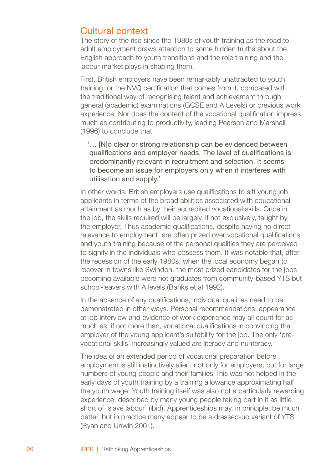## Cultural context

The story of the rise since the 1980s of youth training as the road to adult employment draws attention to some hidden truths about the English approach to youth transitions and the role training and the labour market plays in shaping them.

First, British employers have been remarkably unattracted to youth training, or the NVQ certification that comes from it, compared with the traditional way of recognising talent and achievement through general (academic) examinations (GCSE and A Levels) or previous work experience. Nor does the content of the vocational qualification impress much as contributing to productivity, leading Pearson and Marshall (1996) to conclude that:

'… [N]o clear or strong relationship can be evidenced between qualifications and employer needs. The level of qualifications is predominantly relevant in recruitment and selection. It seems to become an issue for employers only when it interferes with utilisation and supply.'

In other words, British employers use qualifications to sift young job applicants in terms of the broad abilities associated with educational attainment as much as by their accredited vocational skills. Once in the job, the skills required will be largely, if not exclusively, taught by the employer. Thus academic qualifications, despite having no direct relevance to employment, are often prized over vocational qualifications and youth training because of the personal qualities they are perceived to signify in the individuals who possess them. It was notable that, after the recession of the early 1980s, when the local economy began to recover in towns like Swindon, the most prized candidates for the jobs becoming available were not graduates from community-based YTS but school-leavers with A levels (Banks et al 1992).

In the absence of any qualifications, individual qualities need to be demonstrated in other ways. Personal recommendations, appearance at job interview and evidence of work experience may all count for as much as, if not more than, vocational qualifications in convincing the employer of the young applicant's suitability for the job. The only 'prevocational skills' increasingly valued are literacy and numeracy.

The idea of an extended period of vocational preparation before employment is still instinctively alien, not only for employers, but for large numbers of young people and their families This was not helped in the early days of youth training by a training allowance approximating half the youth wage. Youth training itself was also not a particularly rewarding experience, described by many young people taking part in it as little short of 'slave labour' (ibid). Apprenticeships may, in principle, be much better, but in practice many appear to be a dressed-up variant of YTS (Ryan and Unwin 2001).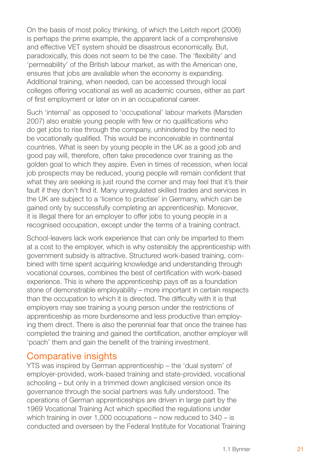On the basis of most policy thinking, of which the Leitch report (2006) is perhaps the prime example, the apparent lack of a comprehensive and effective VET system should be disastrous economically. But, paradoxically, this does not seem to be the case. The 'flexibility' and 'permeability' of the British labour market, as with the American one, ensures that jobs are available when the economy is expanding. Additional training, when needed, can be accessed through local colleges offering vocational as well as academic courses, either as part of first employment or later on in an occupational career.

Such 'internal' as opposed to 'occupational' labour markets (Marsden 2007) also enable young people with few or no qualifications who do get jobs to rise through the company, unhindered by the need to be vocationally qualified. This would be inconceivable in continental countries. What is seen by young people in the UK as a good job and good pay will, therefore, often take precedence over training as the golden goal to which they aspire. Even in times of recession, when local job prospects may be reduced, young people will remain confident that what they are seeking is just round the corner and may feel that it's their fault if they don't find it. Many unregulated skilled trades and services in the UK are subject to a 'licence to practise' in Germany, which can be gained only by successfully completing an apprenticeship. Moreover, it is illegal there for an employer to offer jobs to young people in a recognised occupation, except under the terms of a training contract.

School-leavers lack work experience that can only be imparted to them at a cost to the employer, which is why ostensibly the apprenticeship with government subsidy is attractive. Structured work-based training, combined with time spent acquiring knowledge and understanding through vocational courses, combines the best of certification with work-based experience. This is where the apprenticeship pays off as a foundation stone of demonstrable employability – more important in certain respects than the occupation to which it is directed. The difficulty with it is that employers may see training a young person under the restrictions of apprenticeship as more burdensome and less productive than employing them direct. There is also the perennial fear that once the trainee has completed the training and gained the certification, another employer will 'poach' them and gain the benefit of the training investment.

## Comparative insights

YTS was inspired by German apprenticeship – the 'dual system' of employer-provided, work-based training and state-provided, vocational schooling – but only in a trimmed down anglicised version once its governance through the social partners was fully understood. The operations of German apprenticeships are driven in large part by the 1969 Vocational Training Act which specified the regulations under which training in over 1,000 occupations – now reduced to 340 – is conducted and overseen by the Federal Institute for Vocational Training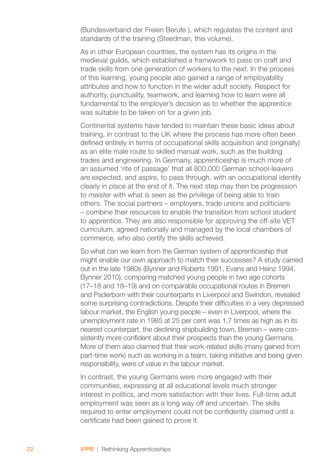(Bundesverband der Freien Berufe ), which regulates the content and standards of the training (Steedman, this volume).

As in other European countries, the system has its origins in the medieval guilds, which established a framework to pass on craft and trade skills from one generation of workers to the next. In the process of this learning, young people also gained a range of employability attributes and how to function in the wider adult society. Respect for authority, punctuality, teamwork, and learning how to learn were all fundamental to the employer's decision as to whether the apprentice was suitable to be taken on for a given job.

Continental systems have tended to maintain these basic ideas about training, in contrast to the UK where the process has more often been defined entirely in terms of occupational skills acquisition and (originally) as an elite male route to skilled manual work, such as the building trades and engineering. In Germany, apprenticeship is much more of an assumed 'rite of passage' that all 800,000 German school-leavers are expected, and aspire, to pass through, with an occupational identity clearly in place at the end of it. The next step may then be progression to *meister* with what is seen as the privilege of being able to train others. The social partners – employers, trade unions and politicians – combine their resources to enable the transition from school student to apprentice. They are also responsible for approving the off-site VET curriculum, agreed nationally and managed by the local chambers of commerce, who also certify the skills achieved.

So what can we learn from the German system of apprenticeship that might enable our own approach to match their successes? A study carried out in the late 1980s (Bynner and Roberts 1991, Evans and Heinz 1994, Bynner 2010), comparing matched young people in two age cohorts (17–18 and 18–19) and on comparable occupational routes in Bremen and Paderborn with their counterparts in Liverpool and Swindon, revealed some surprising contradictions. Despite their difficulties in a very depressed labour market, the English young people – even in Liverpool, where the unemployment rate in 1985 at 25 per cent was 1.7 times as high as in its nearest counterpart, the declining shipbuilding town, Bremen – were consistently more confident about their prospects than the young Germans. More of them also claimed that their work-related skills (many gained from part-time work) such as working in a team, taking initiative and being given responsibility, were of value in the labour market.

In contrast, the young Germans were more engaged with their communities, expressing at all educational levels much stronger interest in politics, and more satisfaction with their lives. Full-time adult employment was seen as a long way off and uncertain. The skills required to enter employment could not be confidently claimed until a certificate had been gained to prove it.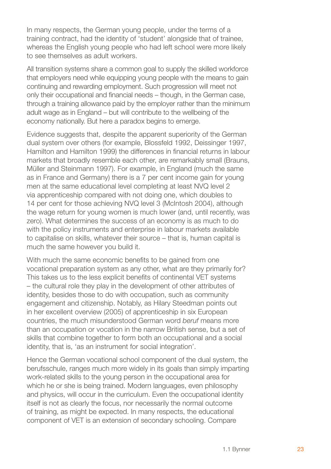In many respects, the German young people, under the terms of a training contract, had the identity of 'student' alongside that of trainee, whereas the English young people who had left school were more likely to see themselves as adult workers.

All transition systems share a common goal to supply the skilled workforce that employers need while equipping young people with the means to gain continuing and rewarding employment. Such progression will meet not only their occupational and financial needs – though, in the German case, through a training allowance paid by the employer rather than the minimum adult wage as in England – but will contribute to the wellbeing of the economy nationally. But here a paradox begins to emerge.

Evidence suggests that, despite the apparent superiority of the German dual system over others (for example, Blossfeld 1992, Deissinger 1997, Hamilton and Hamilton 1999) the differences in financial returns in labour markets that broadly resemble each other, are remarkably small (Brauns, Müller and Steinmann 1997). For example, in England (much the same as in France and Germany) there is a 7 per cent income gain for young men at the same educational level completing at least NVQ level 2 via apprenticeship compared with not doing one, which doubles to 14 per cent for those achieving NVQ level 3 (McIntosh 2004), although the wage return for young women is much lower (and, until recently, was zero). What determines the success of an economy is as much to do with the policy instruments and enterprise in labour markets available to capitalise on skills, whatever their source – that is, human capital is much the same however you build it.

With much the same economic benefits to be gained from one vocational preparation system as any other, what are they primarily for? This takes us to the less explicit benefits of continental VET systems – the cultural role they play in the development of other attributes of identity, besides those to do with occupation, such as community engagement and citizenship. Notably, as Hilary Steedman points out in her excellent overview (2005) of apprenticeship in six European countries, the much misunderstood German word *beruf* means more than an occupation or vocation in the narrow British sense, but a set of skills that combine together to form both an occupational and a social identity, that is, 'as an instrument for social integration'.

Hence the German vocational school component of the dual system, the berufsschule, ranges much more widely in its goals than simply imparting work-related skills to the young person in the occupational area for which he or she is being trained. Modern languages, even philosophy and physics, will occur in the curriculum. Even the occupational identity itself is not as clearly the focus, nor necessarily the normal outcome of training, as might be expected. In many respects, the educational component of VET is an extension of secondary schooling. Compare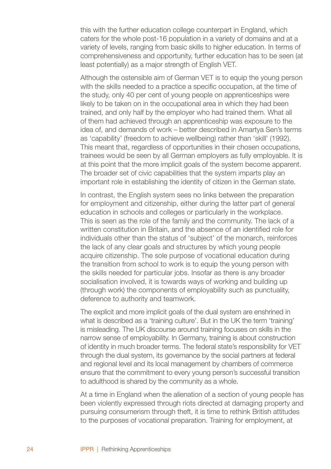this with the further education college counterpart in England, which caters for the whole post-16 population in a variety of domains and at a variety of levels, ranging from basic skills to higher education. In terms of comprehensiveness and opportunity, further education has to be seen (at least potentially) as a major strength of English VET.

Although the ostensible aim of German VET is to equip the young person with the skills needed to a practice a specific occupation, at the time of the study, only 40 per cent of young people on apprenticeships were likely to be taken on in the occupational area in which they had been trained, and only half by the employer who had trained them. What all of them had achieved through an apprenticeship was exposure to the idea of, and demands of work – better described in Amartya Sen's terms as 'capability' (freedom to achieve wellbeing) rather than 'skill' (1992). This meant that, regardless of opportunities in their chosen occupations, trainees would be seen by all German employers as fully employable. It is at this point that the more implicit goals of the system become apparent. The broader set of civic capabilities that the system imparts play an important role in establishing the identity of citizen in the German state.

In contrast, the English system sees no links between the preparation for employment and citizenship, either during the latter part of general education in schools and colleges or particularly in the workplace. This is seen as the role of the family and the community. The lack of a written constitution in Britain, and the absence of an identified role for individuals other than the status of 'subject' of the monarch, reinforces the lack of any clear goals and structures by which young people acquire citizenship. The sole purpose of vocational education during the transition from school to work is to equip the young person with the skills needed for particular jobs. Insofar as there is any broader socialisation involved, it is towards ways of working and building up (through work) the components of employability such as punctuality, deference to authority and teamwork.

The explicit and more implicit goals of the dual system are enshrined in what is described as a 'training culture'. But in the UK the term 'training' is misleading. The UK discourse around training focuses on skills in the narrow sense of employability. In Germany, training is about construction of identity in much broader terms. The federal state's responsibility for VET through the dual system, its governance by the social partners at federal and regional level and its local management by chambers of commerce ensure that the commitment to every young person's successful transition to adulthood is shared by the community as a whole.

At a time in England when the alienation of a section of young people has been violently expressed through riots directed at damaging property and pursuing consumerism through theft, it is time to rethink British attitudes to the purposes of vocational preparation. Training for employment, at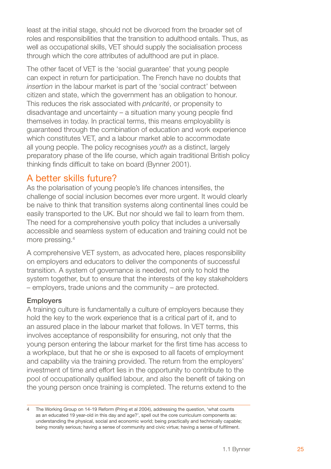least at the initial stage, should not be divorced from the broader set of roles and responsibilities that the transition to adulthood entails. Thus, as well as occupational skills, VET should supply the socialisation process through which the core attributes of adulthood are put in place.

The other facet of VET is the 'social guarantee' that young people can expect in return for participation. The French have no doubts that *insertion* in the labour market is part of the 'social contract' between citizen and state, which the government has an obligation to honour. This reduces the risk associated with *précarité*, or propensity to disadvantage and uncertainty – a situation many young people find themselves in today. In practical terms, this means employability is guaranteed through the combination of education and work experience which constitutes VET, and a labour market able to accommodate all young people. The policy recognises *youth* as a distinct, largely preparatory phase of the life course, which again traditional British policy thinking finds difficult to take on board (Bynner 2001).

## A better skills future?

As the polarisation of young people's life chances intensifies, the challenge of social inclusion becomes ever more urgent. It would clearly be naive to think that transition systems along continental lines could be easily transported to the UK. But nor should we fail to learn from them. The need for a comprehensive youth policy that includes a universally accessible and seamless system of education and training could not be more pressing.

A comprehensive VET system, as advocated here, places responsibility on employers and educators to deliver the components of successful transition. A system of governance is needed, not only to hold the system together, but to ensure that the interests of the key stakeholders – employers, trade unions and the community – are protected.

#### Employers

A training culture is fundamentally a culture of employers because they hold the key to the work experience that is a critical part of it, and to an assured place in the labour market that follows. In VET terms, this involves acceptance of responsibility for ensuring, not only that the young person entering the labour market for the first time has access to a workplace, but that he or she is exposed to all facets of employment and capability via the training provided. The return from the employers' investment of time and effort lies in the opportunity to contribute to the pool of occupationally qualified labour, and also the benefit of taking on the young person once training is completed. The returns extend to the

The Working Group on 14-19 Reform (Pring et al 2004), addressing the question, 'what counts as an educated 19 year-old in this day and age?', spell out the core curriculum components as: understanding the physical, social and economic world; being practically and technically capable; being morally serious; having a sense of community and civic virtue; having a sense of fulfilment.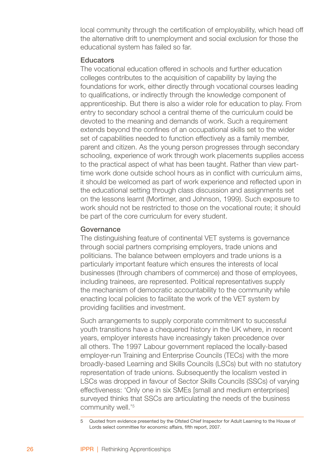local community through the certification of employability, which head off the alternative drift to unemployment and social exclusion for those the educational system has failed so far.

#### Educators

The vocational education offered in schools and further education colleges contributes to the acquisition of capability by laying the foundations for work, either directly through vocational courses leading to qualifications, or indirectly through the knowledge component of apprenticeship. But there is also a wider role for education to play. From entry to secondary school a central theme of the curriculum could be devoted to the meaning and demands of work. Such a requirement extends beyond the confines of an occupational skills set to the wider set of capabilities needed to function effectively as a family member. parent and citizen. As the young person progresses through secondary schooling, experience of work through work placements supplies access to the practical aspect of what has been taught. Rather than view parttime work done outside school hours as in conflict with curriculum aims, it should be welcomed as part of work experience and reflected upon in the educational setting through class discussion and assignments set on the lessons learnt (Mortimer, and Johnson, 1999). Such exposure to work should not be restricted to those on the vocational route; it should be part of the core curriculum for every student.

#### **Governance**

The distinguishing feature of continental VET systems is governance through social partners comprising employers, trade unions and politicians. The balance between employers and trade unions is a particularly important feature which ensures the interests of local businesses (through chambers of commerce) and those of employees, including trainees, are represented. Political representatives supply the mechanism of democratic accountability to the community while enacting local policies to facilitate the work of the VET system by providing facilities and investment.

Such arrangements to supply corporate commitment to successful youth transitions have a chequered history in the UK where, in recent years, employer interests have increasingly taken precedence over all others. The 1997 Labour government replaced the locally-based employer-run Training and Enterprise Councils (TECs) with the more broadly-based Learning and Skills Councils (LSCs) but with no statutory representation of trade unions. Subsequently the localism vested in LSCs was dropped in favour of Sector Skills Councils (SSCs) of varying effectiveness: 'Only one in six SMEs [small and medium enterprises] surveyed thinks that SSCs are articulating the needs of the business community well.'

Quoted from evidence presented by the Ofsted Chief Inspector for Adult Learning to the House of Lords select committee for economic affairs, fifth report, 2007.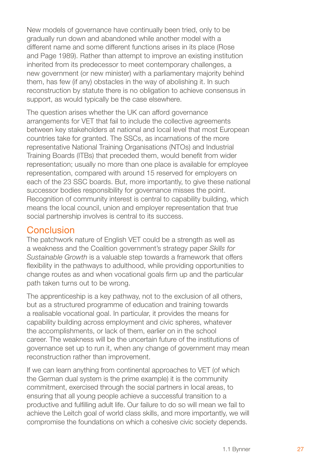New models of governance have continually been tried, only to be gradually run down and abandoned while another model with a different name and some different functions arises in its place (Rose and Page 1989). Rather than attempt to improve an existing institution inherited from its predecessor to meet contemporary challenges, a new government (or new minister) with a parliamentary majority behind them, has few (if any) obstacles in the way of abolishing it. In such reconstruction by statute there is no obligation to achieve consensus in support, as would typically be the case elsewhere.

The question arises whether the UK can afford governance arrangements for VET that fail to include the collective agreements between key stakeholders at national and local level that most European countries take for granted. The SSCs, as incarnations of the more representative National Training Organisations (NTOs) and Industrial Training Boards (ITBs) that preceded them, would benefit from wider representation; usually no more than one place is available for employee representation, compared with around 15 reserved for employers on each of the 23 SSC boards. But, more importantly, to give these national successor bodies responsibility for governance misses the point. Recognition of community interest is central to capability building, which means the local council, union and employer representation that true social partnership involves is central to its success.

# Conclusion

The patchwork nature of English VET could be a strength as well as a weakness and the Coalition government's strategy paper *Skills for Sustainable Growth* is a valuable step towards a framework that offers flexibility in the pathways to adulthood, while providing opportunities to change routes as and when vocational goals firm up and the particular path taken turns out to be wrong.

The apprenticeship is a key pathway, not to the exclusion of all others, but as a structured programme of education and training towards a realisable vocational goal. In particular, it provides the means for capability building across employment and civic spheres, whatever the accomplishments, or lack of them, earlier on in the school career. The weakness will be the uncertain future of the institutions of governance set up to run it, when any change of government may mean reconstruction rather than improvement.

If we can learn anything from continental approaches to VET (of which the German dual system is the prime example) it is the community commitment, exercised through the social partners in local areas, to ensuring that all young people achieve a successful transition to a productive and fulfilling adult life. Our failure to do so will mean we fail to achieve the Leitch goal of world class skills, and more importantly, we will compromise the foundations on which a cohesive civic society depends.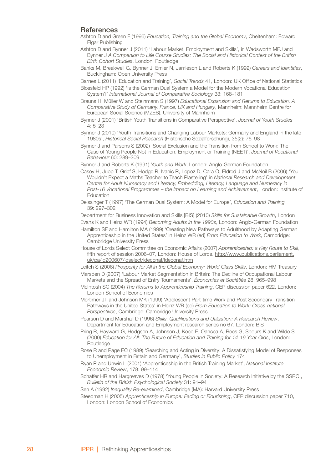#### **References**

- Ashton D and Green F (1996) *Education, Training and the Global Economy*, Cheltenham: Edward Elgar Publishing
- Ashton D and Bynner J (2011) 'Labour Market, Employment and Skills', in Wadsworth MEJ and Bynner J *A Companion to Life Course Studies: The Social and Historical Context of the British Birth Cohort Studies*, London: Routledge
- Banks M, Breakwell G, Bynner J, Emler N, Jamieson L and Roberts K (1992) *Careers and Identities*, Buckingham: Open University Press

Barnes L (2011) 'Education and Training', *Social Trends* 41, London: UK Office of National Statistics

- Blossfeld HP (1992) 'Is the German Dual System a Model for the Modern Vocational Education System?' *International Journal of Comparative Sociology* 33: 168–181
- Brauns H, Müller W and Steinmann S (1997) *Educational Expansion and Returns to Education. A Comparative Study of Germany, France, UK and Hungary*, Mannheim: Mannheim Centre for European Social Science (MZES), University of Mannheim
- Bynner J (2001) 'British Youth Transitions in Comparative Perspective', *Journal of Youth Studies* 4: 5–23
- Bynner J (2010) 'Youth Transitions and Changing Labour Markets: Germany and England in the late 1980s', *Historical Social Research* (Historische Sozialforschung), 35(2): 76–98
- Bynner J and Parsons S (2002) 'Social Exclusion and the Transition from School to Work: The Case of Young People Not in Education, Employment or Training (NEET)', *Journal of Vocational Behaviour* 60: 289–309
- Bynner J and Roberts K (1991) *Youth and Work*, London: Anglo-German Foundation
- Casey H, Jupp T, Grief S, Hodge R, Ivanic R, Lopez D, Cara O, Eldred J and McNeil B (2006) 'You Wouldn't Expect a Maths Teacher to Teach Plastering' in *National Research and Development Centre for Adult Numeracy and Literacy, Embedding, Literacy, Language and Numeracy in Post-16 Vocational Programmes – the Impact on Learning and Achievement*, London: Institute of Education
- Deissinger T (1997) 'The German Dual System: A Model for Europe', *Education and Training* 39: 297–302

Department for Business Innovation and Skills [BIS] (2010) *Skills for Sustainable Growth*, London Evans K and Heinz WR (1994) *Becoming Adults in the 1990s*, London: Anglo-German Foundation

- Hamilton SF and Hamilton MA (1999) 'Creating New Pathways to Adulthood by Adapting German Apprenticeship in the United States' in Heinz WR (ed) *From Education to Work*, Cambridge: Cambridge University Press
- House of Lords Select Committee on Economic Affairs (2007) *Apprenticeship: a Key Route to Skill*, fifth report of session 2006–07, London: House of Lords. http://www.publications.parliament. uk/pa/ld200607/ldselect/ldeconaf/ldeconaf.htm
- Leitch S (2006) *Prosperity for All in the Global Economy: World Class Skills*, London: HM Treasury
- Marsden D (2007) 'Labour Market Segmentation in Britain: The Decline of Occupational Labour Markets and the Spread of Entry Tournaments', *Économies et Sociétiés* 28: 965–998
- McIntosh SC (2004) *The Returns to Apprenticeship Training*, CEP discussion paper 622, London: London School of Economics
- Mortimer JT and Johnson MK (1999) 'Adolescent Part-time Work and Post Secondary Transition Pathways in the United States' in Heinz WR (ed) *From Education to Work: Cross-national Perspectives*, Cambridge: Cambridge University Press
- Pearson D and Marshall D (1996) *Skills, Qualifications and Utilization: A Research Review*, Department for Education and Employment research series no 67, London: BIS
- Pring R, Hayward G, Hodgson A, Johnson J, Keep E, Oancea A, Rees G, Spours K and Wilde S (2009) *Education for All: The Future of Education and Training for 14-19 Year-Olds*, London: Routledge
- Rose R and Page EC (1989) 'Searching and Acting in Diversity: A Dissatisfying Model of Responses to Unemployment in Britain and Germany', *Studies in Public Policy* 174
- Ryan P and Unwin L (2001) 'Apprenticeship in the British Training Market', *National Institute Economic Review*, 178: 99–114
- Schaffer HR and Hargreaves D (1978) 'Young People in Society: A Research Initiative by the SSRC', *Bulletin of the British Psychological Society* 31: 91–94
- Sen A (1992) *Inequality Re-examined*, Cambridge (MA): Harvard University Press
- Steedman H (2005) *Apprenticeship in Europe: Fading or Flourishing*, CEP discussion paper 710, London: London School of Economics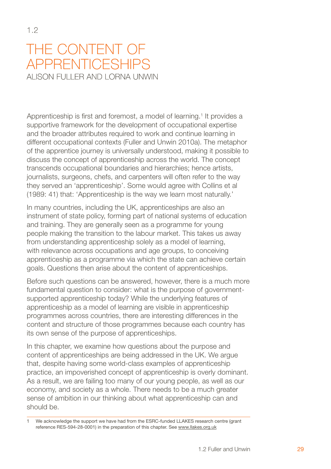# <span id="page-33-0"></span>The content of **APPRENTICESHIPS** ALISON FULLER AND LORNA UNWIN

Apprenticeship is first and foremost, a model of learning.<sup>1</sup> It provides a supportive framework for the development of occupational expertise and the broader attributes required to work and continue learning in different occupational contexts (Fuller and Unwin 2010a). The metaphor of the apprentice journey is universally understood, making it possible to discuss the concept of apprenticeship across the world. The concept transcends occupational boundaries and hierarchies; hence artists, journalists, surgeons, chefs, and carpenters will often refer to the way they served an 'apprenticeship'. Some would agree with Collins et al (1989: 41) that: 'Apprenticeship is the way we learn most naturally.'

In many countries, including the UK, apprenticeships are also an instrument of state policy, forming part of national systems of education and training. They are generally seen as a programme for young people making the transition to the labour market. This takes us away from understanding apprenticeship solely as a model of learning, with relevance across occupations and age groups, to conceiving apprenticeship as a programme via which the state can achieve certain goals. Questions then arise about the content of apprenticeships.

Before such questions can be answered, however, there is a much more fundamental question to consider: what is the purpose of governmentsupported apprenticeship today? While the underlying features of apprenticeship as a model of learning are visible in apprenticeship programmes across countries, there are interesting differences in the content and structure of those programmes because each country has its own sense of the purpose of apprenticeships.

In this chapter, we examine how questions about the purpose and content of apprenticeships are being addressed in the UK. We argue that, despite having some world-class examples of apprenticeship practice, an impoverished concept of apprenticeship is overly dominant. As a result, we are failing too many of our young people, as well as our economy, and society as a whole. There needs to be a much greater sense of ambition in our thinking about what apprenticeship can and should be.

We acknowledge the support we have had from the ESRC-funded LLAKES research centre (grant reference RES-594-28-0001) in the preparation of this chapter. See www.llakes.org.uk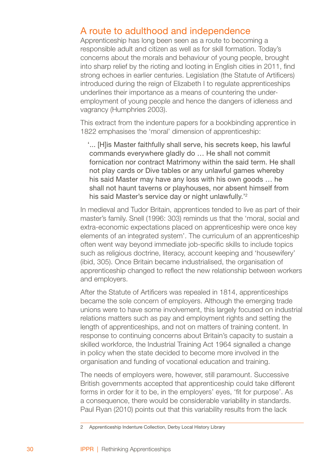## A route to adulthood and independence

Apprenticeship has long been seen as a route to becoming a responsible adult and citizen as well as for skill formation. Today's concerns about the morals and behaviour of young people, brought into sharp relief by the rioting and looting in English cities in 2011, find strong echoes in earlier centuries. Legislation (the Statute of Artificers) introduced during the reign of Elizabeth I to regulate apprenticeships underlines their importance as a means of countering the underemployment of young people and hence the dangers of idleness and vagrancy (Humphries 2003).

This extract from the indenture papers for a bookbinding apprentice in 1822 emphasises the 'moral' dimension of apprenticeship:

'... [H]is Master faithfully shall serve, his secrets keep, his lawful commands everywhere gladly do … He shall not commit fornication nor contract Matrimony within the said term. He shall not play cards or Dive tables or any unlawful games whereby his said Master may have any loss with his own goods … he shall not haunt taverns or playhouses, nor absent himself from his said Master's service day or night unlawfully.<sup>12</sup>

In medieval and Tudor Britain, apprentices tended to live as part of their master's family. Snell (1996: 303) reminds us that the 'moral, social and extra-economic expectations placed on apprenticeship were once key elements of an integrated system'. The curriculum of an apprenticeship often went way beyond immediate job-specific skills to include topics such as religious doctrine, literacy, account keeping and 'housewifery' (ibid, 305). Once Britain became industrialised, the organisation of apprenticeship changed to reflect the new relationship between workers and employers.

After the Statute of Artificers was repealed in 1814, apprenticeships became the sole concern of employers. Although the emerging trade unions were to have some involvement, this largely focused on industrial relations matters such as pay and employment rights and setting the length of apprenticeships, and not on matters of training content. In response to continuing concerns about Britain's capacity to sustain a skilled workforce, the Industrial Training Act 1964 signalled a change in policy when the state decided to become more involved in the organisation and funding of vocational education and training.

The needs of employers were, however, still paramount. Successive British governments accepted that apprenticeship could take different forms in order for it to be, in the employers' eyes, 'fit for purpose'. As a consequence, there would be considerable variability in standards. Paul Ryan (2010) points out that this variability results from the lack

Apprenticeship Indenture Collection, Derby Local History Library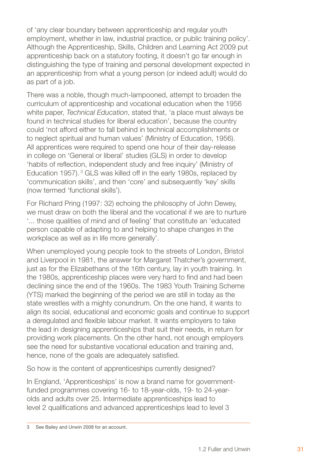of 'any clear boundary between apprenticeship and regular youth employment, whether in law, industrial practice, or public training policy'. Although the Apprenticeship, Skills, Children and Learning Act 2009 put apprenticeship back on a statutory footing, it doesn't go far enough in distinguishing the type of training and personal development expected in an apprenticeship from what a young person (or indeed adult) would do as part of a job.

There was a noble, though much-lampooned, attempt to broaden the curriculum of apprenticeship and vocational education when the 1956 white paper, *Technical Education*, stated that, 'a place must always be found in technical studies for liberal education', because the country could 'not afford either to fall behind in technical accomplishments or to neglect spiritual and human values' (Ministry of Education, 1956). All apprentices were required to spend one hour of their day-release in college on 'General or liberal' studies (GLS) in order to develop 'habits of reflection, independent study and free inquiry' (Ministry of Education 1957).<sup>3</sup> GLS was killed off in the early 1980s, replaced by 'communication skills', and then 'core' and subsequently 'key' skills (now termed 'functional skills').

For Richard Pring (1997: 32) echoing the philosophy of John Dewey, we must draw on both the liberal and the vocational if we are to nurture '... those qualities of mind and of feeling' that constitute an 'educated person capable of adapting to and helping to shape changes in the workplace as well as in life more generally'.

When unemployed young people took to the streets of London, Bristol and Liverpool in 1981, the answer for Margaret Thatcher's government, just as for the Elizabethans of the 16th century, lay in youth training. In the 1980s, apprenticeship places were very hard to find and had been declining since the end of the 1960s. The 1983 Youth Training Scheme (YTS) marked the beginning of the period we are still in today as the state wrestles with a mighty conundrum. On the one hand, it wants to align its social, educational and economic goals and continue to support a deregulated and flexible labour market. It wants employers to take the lead in designing apprenticeships that suit their needs, in return for providing work placements. On the other hand, not enough employers see the need for substantive vocational education and training and, hence, none of the goals are adequately satisfied.

So how is the content of apprenticeships currently designed?

In England, 'Apprenticeships' is now a brand name for governmentfunded programmes covering 16- to 18-year-olds, 19- to 24-yearolds and adults over 25. Intermediate apprenticeships lead to level 2 qualifications and advanced apprenticeships lead to level 3

See Bailey and Unwin 2008 for an account.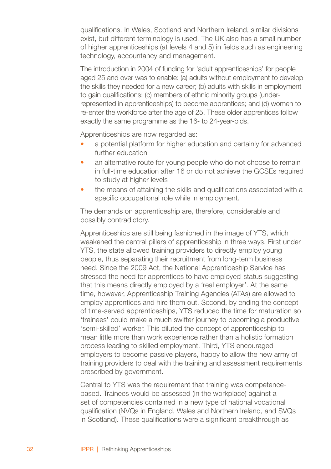qualifications. In Wales, Scotland and Northern Ireland, similar divisions exist, but different terminology is used. The UK also has a small number of higher apprenticeships (at levels 4 and 5) in fields such as engineering technology, accountancy and management.

The introduction in 2004 of funding for 'adult apprenticeships' for people aged 25 and over was to enable: (a) adults without employment to develop the skills they needed for a new career; (b) adults with skills in employment to gain qualifications; (c) members of ethnic minority groups (underrepresented in apprenticeships) to become apprentices; and (d) women to re-enter the workforce after the age of 25. These older apprentices follow exactly the same programme as the 16- to 24-year-olds.

Apprenticeships are now regarded as:

- a potential platform for higher education and certainly for advanced further education •
- an alternative route for young people who do not choose to remain in full-time education after 16 or do not achieve the GCSEs required to study at higher levels •
- the means of attaining the skills and qualifications associated with a specific occupational role while in employment. •

The demands on apprenticeship are, therefore, considerable and possibly contradictory.

Apprenticeships are still being fashioned in the image of YTS, which weakened the central pillars of apprenticeship in three ways. First under YTS, the state allowed training providers to directly employ young people, thus separating their recruitment from long-term business need. Since the 2009 Act, the National Apprenticeship Service has stressed the need for apprentices to have employed-status suggesting that this means directly employed by a 'real employer'. At the same time, however, Apprenticeship Training Agencies (ATAs) are allowed to employ apprentices and hire them out. Second, by ending the concept of time-served apprenticeships, YTS reduced the time for maturation so 'trainees' could make a much swifter journey to becoming a productive 'semi-skilled' worker. This diluted the concept of apprenticeship to mean little more than work experience rather than a holistic formation process leading to skilled employment. Third, YTS encouraged employers to become passive players, happy to allow the new army of training providers to deal with the training and assessment requirements prescribed by government.

Central to YTS was the requirement that training was competencebased. Trainees would be assessed (in the workplace) against a set of competencies contained in a new type of national vocational qualification (NVQs in England, Wales and Northern Ireland, and SVQs in Scotland). These qualifications were a significant breakthrough as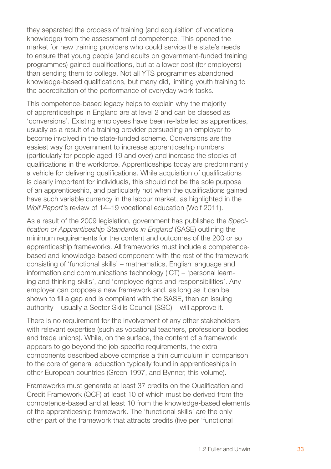they separated the process of training (and acquisition of vocational knowledge) from the assessment of competence. This opened the market for new training providers who could service the state's needs to ensure that young people (and adults on government-funded training programmes) gained qualifications, but at a lower cost (for employers) than sending them to college. Not all YTS programmes abandoned knowledge-based qualifications, but many did, limiting youth training to the accreditation of the performance of everyday work tasks.

This competence-based legacy helps to explain why the majority of apprenticeships in England are at level 2 and can be classed as 'conversions'. Existing employees have been re-labelled as apprentices, usually as a result of a training provider persuading an employer to become involved in the state-funded scheme. Conversions are the easiest way for government to increase apprenticeship numbers (particularly for people aged 19 and over) and increase the stocks of qualifications in the workforce. Apprenticeships today are predominantly a vehicle for delivering qualifications. While acquisition of qualifications is clearly important for individuals, this should not be the sole purpose of an apprenticeship, and particularly not when the qualifications gained have such variable currency in the labour market, as highlighted in the *Wolf Report*'s review of 14–19 vocational education (Wolf 2011).

As a result of the 2009 legislation, government has published the *Specification of Apprenticeship Standards in England* (SASE) outlining the minimum requirements for the content and outcomes of the 200 or so apprenticeship frameworks. All frameworks must include a competencebased and knowledge-based component with the rest of the framework consisting of 'functional skills' – mathematics, English language and information and communications technology (ICT) – 'personal learning and thinking skills', and 'employee rights and responsibilities'. Any employer can propose a new framework and, as long as it can be shown to fill a gap and is compliant with the SASE, then an issuing authority – usually a Sector Skills Council (SSC) – will approve it.

There is no requirement for the involvement of any other stakeholders with relevant expertise (such as vocational teachers, professional bodies and trade unions). While, on the surface, the content of a framework appears to go beyond the job-specific requirements, the extra components described above comprise a thin curriculum in comparison to the core of general education typically found in apprenticeships in other European countries (Green 1997, and Bynner, this volume).

Frameworks must generate at least 37 credits on the Qualification and Credit Framework (QCF) at least 10 of which must be derived from the competence-based and at least 10 from the knowledge-based elements of the apprenticeship framework. The 'functional skills' are the only other part of the framework that attracts credits (five per 'functional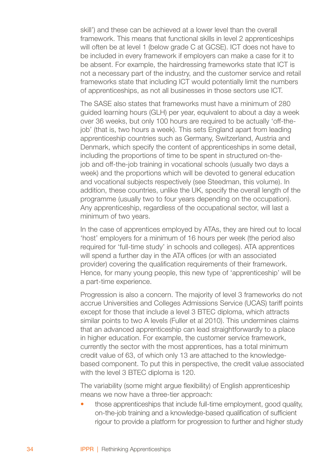skill') and these can be achieved at a lower level than the overall framework. This means that functional skills in level 2 apprenticeships will often be at level 1 (below grade C at GCSE). ICT does not have to be included in every framework if employers can make a case for it to be absent. For example, the hairdressing frameworks state that ICT is not a necessary part of the industry, and the customer service and retail frameworks state that including ICT would potentially limit the numbers of apprenticeships, as not all businesses in those sectors use ICT.

The SASE also states that frameworks must have a minimum of 280 guided learning hours (GLH) per year, equivalent to about a day a week over 36 weeks, but only 100 hours are required to be actually 'off-thejob' (that is, two hours a week). This sets England apart from leading apprenticeship countries such as Germany, Switzerland, Austria and Denmark, which specify the content of apprenticeships in some detail, including the proportions of time to be spent in structured on-thejob and off-the-job training in vocational schools (usually two days a week) and the proportions which will be devoted to general education and vocational subjects respectively (see Steedman, this volume). In addition, these countries, unlike the UK, specify the overall length of the programme (usually two to four years depending on the occupation). Any apprenticeship, regardless of the occupational sector, will last a minimum of two years.

In the case of apprentices employed by ATAs, they are hired out to local 'host' employers for a minimum of 16 hours per week (the period also required for 'full-time study' in schools and colleges). ATA apprentices will spend a further day in the ATA offices (or with an associated provider) covering the qualification requirements of their framework. Hence, for many young people, this new type of 'apprenticeship' will be a part-time experience.

Progression is also a concern. The majority of level 3 frameworks do not accrue Universities and Colleges Admissions Service (UCAS) tariff points except for those that include a level 3 BTEC diploma, which attracts similar points to two A levels (Fuller et al 2010). This undermines claims that an advanced apprenticeship can lead straightforwardly to a place in higher education. For example, the customer service framework, currently the sector with the most apprentices, has a total minimum credit value of 63, of which only 13 are attached to the knowledgebased component. To put this in perspective, the credit value associated with the level 3 BTEC diploma is 120.

The variability (some might argue flexibility) of English apprenticeship means we now have a three-tier approach:

those apprenticeships that include full-time employment, good quality, on-the-job training and a knowledge-based qualification of sufficient rigour to provide a platform for progression to further and higher study •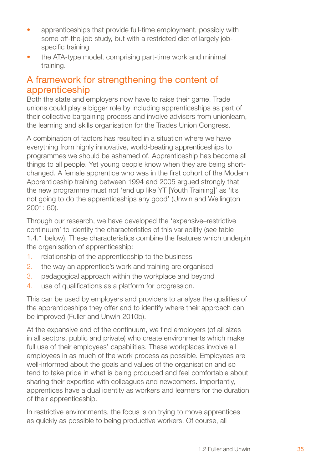- apprenticeships that provide full-time employment, possibly with some off-the-job study, but with a restricted diet of largely jobspecific training •
- the ATA-type model, comprising part-time work and minimal training. •

## A framework for strengthening the content of apprenticeship

Both the state and employers now have to raise their game. Trade unions could play a bigger role by including apprenticeships as part of their collective bargaining process and involve advisers from unionlearn, the learning and skills organisation for the Trades Union Congress.

A combination of factors has resulted in a situation where we have everything from highly innovative, world-beating apprenticeships to programmes we should be ashamed of. Apprenticeship has become all things to all people. Yet young people know when they are being shortchanged. A female apprentice who was in the first cohort of the Modern Apprenticeship training between 1994 and 2005 argued strongly that the new programme must not 'end up like YT [Youth Training]' as 'it's not going to do the apprenticeships any good' (Unwin and Wellington 2001: 60).

Through our research, we have developed the 'expansive–restrictive continuum' to identify the characteristics of this variability (see table 1.4.1 below). These characteristics combine the features which underpin the organisation of apprenticeship:

- relationship of the apprenticeship to the business 1.
- the way an apprentice's work and training are organised 2.
- pedagogical approach within the workplace and beyond 3.
- use of qualifications as a platform for progression. 4.

This can be used by employers and providers to analyse the qualities of the apprenticeships they offer and to identify where their approach can be improved (Fuller and Unwin 2010b).

At the expansive end of the continuum, we find employers (of all sizes in all sectors, public and private) who create environments which make full use of their employees' capabilities. These workplaces involve all employees in as much of the work process as possible. Employees are well-informed about the goals and values of the organisation and so tend to take pride in what is being produced and feel comfortable about sharing their expertise with colleagues and newcomers. Importantly, apprentices have a dual identity as workers and learners for the duration of their apprenticeship.

In restrictive environments, the focus is on trying to move apprentices as quickly as possible to being productive workers. Of course, all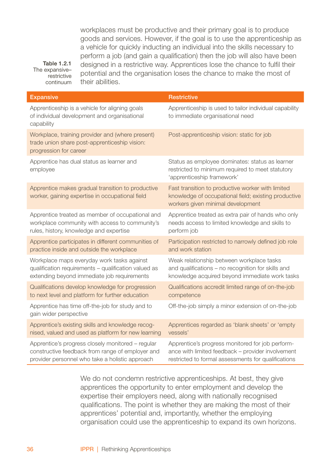workplaces must be productive and their primary goal is to produce goods and services. However, if the goal is to use the apprenticeship as a vehicle for quickly inducting an individual into the skills necessary to perform a job (and gain a qualification) then the job will also have been designed in a restrictive way. Apprentices lose the chance to fulfil their potential and the organisation loses the chance to make the most of their abilities.

**Expansive Restrictive** Restrictive Apprenticeship is a vehicle for aligning goals of individual development and organisational capability Apprenticeship is used to tailor individual capability to immediate organisational need Workplace, training provider and (where present) trade union share post-apprenticeship vision: progression for career Post-apprenticeship vision: static for job Apprentice has dual status as learner and employee Status as employee dominates: status as learner restricted to minimum required to meet statutory 'apprenticeship framework' Apprentice makes gradual transition to productive worker, gaining expertise in occupational field Fast transition to productive worker with limited knowledge of occupational field; existing productive workers given minimal development Apprentice treated as member of occupational and workplace community with access to community's rules, history, knowledge and expertise Apprentice treated as extra pair of hands who only needs access to limited knowledge and skills to perform job Apprentice participates in different communities of practice inside and outside the workplace Participation restricted to narrowly defined job role and work station Workplace maps everyday work tasks against qualification requirements – qualification valued as extending beyond immediate job requirements Weak relationship between workplace tasks and qualifications – no recognition for skills and knowledge acquired beyond immediate work tasks Qualifications develop knowledge for progression to next level and platform for further education Qualifications accredit limited range of on-the-job competence Apprentice has time off-the-job for study and to gain wider perspective Off-the-job simply a minor extension of on-the-job Apprentice's existing skills and knowledge recognised, valued and used as platform for new learning Apprentices regarded as 'blank sheets' or 'empty vessels' Apprentice's progress closely monitored – regular constructive feedback from range of employer and provider personnel who take a holistic approach Apprentice's progress monitored for job performance with limited feedback – provider involvement restricted to formal assessments for qualifications

> We do not condemn restrictive apprenticeships. At best, they give apprentices the opportunity to enter employment and develop the expertise their employers need, along with nationally recognised qualifications. The point is whether they are making the most of their apprentices' potential and, importantly, whether the employing organisation could use the apprenticeship to expand its own horizons.

Table 1.2.1 The expansiverestrictive continuum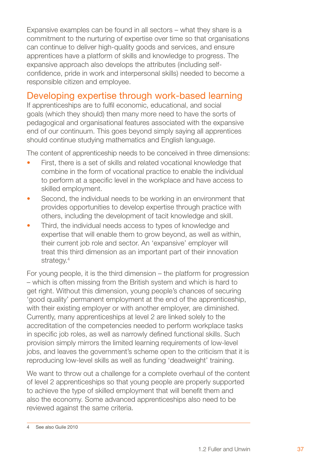Expansive examples can be found in all sectors – what they share is a commitment to the nurturing of expertise over time so that organisations can continue to deliver high-quality goods and services, and ensure apprentices have a platform of skills and knowledge to progress. The expansive approach also develops the attributes (including selfconfidence, pride in work and interpersonal skills) needed to become a responsible citizen and employee.

## Developing expertise through work-based learning

If apprenticeships are to fulfil economic, educational, and social goals (which they should) then many more need to have the sorts of pedagogical and organisational features associated with the expansive end of our continuum. This goes beyond simply saying all apprentices should continue studying mathematics and English language.

The content of apprenticeship needs to be conceived in three dimensions:

- First, there is a set of skills and related vocational knowledge that combine in the form of vocational practice to enable the individual to perform at a specific level in the workplace and have access to skilled employment. •
- Second, the individual needs to be working in an environment that provides opportunities to develop expertise through practice with others, including the development of tacit knowledge and skill. •
- Third, the individual needs access to types of knowledge and expertise that will enable them to grow beyond, as well as within, their current job role and sector. An 'expansive' employer will treat this third dimension as an important part of their innovation strategy.<sup>4</sup> •

For young people, it is the third dimension – the platform for progression – which is often missing from the British system and which is hard to get right. Without this dimension, young people's chances of securing 'good quality' permanent employment at the end of the apprenticeship, with their existing employer or with another employer, are diminished. Currently, many apprenticeships at level 2 are linked solely to the accreditation of the competencies needed to perform workplace tasks in specific job roles, as well as narrowly defined functional skills. Such provision simply mirrors the limited learning requirements of low-level jobs, and leaves the government's scheme open to the criticism that it is reproducing low-level skills as well as funding 'deadweight' training.

We want to throw out a challenge for a complete overhaul of the content of level 2 apprenticeships so that young people are properly supported to achieve the type of skilled employment that will benefit them and also the economy. Some advanced apprenticeships also need to be reviewed against the same criteria.

See also Guile 2010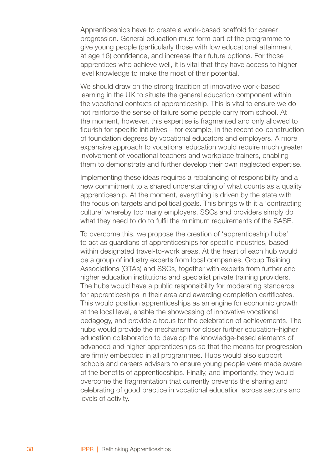Apprenticeships have to create a work-based scaffold for career progression. General education must form part of the programme to give young people (particularly those with low educational attainment at age 16) confidence, and increase their future options. For those apprentices who achieve well, it is vital that they have access to higherlevel knowledge to make the most of their potential.

We should draw on the strong tradition of innovative work-based learning in the UK to situate the general education component within the vocational contexts of apprenticeship. This is vital to ensure we do not reinforce the sense of failure some people carry from school. At the moment, however, this expertise is fragmented and only allowed to flourish for specific initiatives – for example, in the recent co-construction of foundation degrees by vocational educators and employers. A more expansive approach to vocational education would require much greater involvement of vocational teachers and workplace trainers, enabling them to demonstrate and further develop their own neglected expertise.

Implementing these ideas requires a rebalancing of responsibility and a new commitment to a shared understanding of what counts as a quality apprenticeship. At the moment, everything is driven by the state with the focus on targets and political goals. This brings with it a 'contracting culture' whereby too many employers, SSCs and providers simply do what they need to do to fulfil the minimum requirements of the SASE.

To overcome this, we propose the creation of 'apprenticeship hubs' to act as guardians of apprenticeships for specific industries, based within designated travel-to-work areas. At the heart of each hub would be a group of industry experts from local companies, Group Training Associations (GTAs) and SSCs, together with experts from further and higher education institutions and specialist private training providers. The hubs would have a public responsibility for moderating standards for apprenticeships in their area and awarding completion certificates. This would position apprenticeships as an engine for economic growth at the local level, enable the showcasing of innovative vocational pedagogy, and provide a focus for the celebration of achievements. The hubs would provide the mechanism for closer further education–higher education collaboration to develop the knowledge-based elements of advanced and higher apprenticeships so that the means for progression are firmly embedded in all programmes. Hubs would also support schools and careers advisers to ensure young people were made aware of the benefits of apprenticeships. Finally, and importantly, they would overcome the fragmentation that currently prevents the sharing and celebrating of good practice in vocational education across sectors and levels of activity.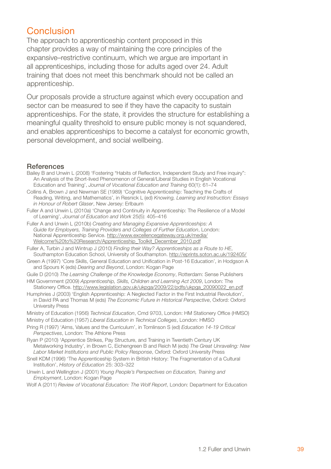## Conclusion

The approach to apprenticeship content proposed in this chapter provides a way of maintaining the core principles of the expansive–restrictive continuum, which we argue are important in all apprenticeships, including those for adults aged over 24. Adult training that does not meet this benchmark should not be called an apprenticeship.

Our proposals provide a structure against which every occupation and sector can be measured to see if they have the capacity to sustain apprenticeships. For the state, it provides the structure for establishing a meaningful quality threshold to ensure public money is not squandered, and enables apprenticeships to become a catalyst for economic growth, personal development, and social wellbeing.

#### **References**

- Bailey B and Unwin L (2008) 'Fostering "Habits of Reflection, Independent Study and Free inquiry": An Analysis of the Short-lived Phenomenon of General/Liberal Studies in English Vocational Education and Training', *Journal of Vocational Education and Training* 60(1): 61–74
- Collins A, Brown J and Newman SE (1989) 'Cognitive Apprenticeship: Teaching the Crafts of Reading, Writing, and Mathematics', in Resnick L (ed) *Knowing, Learning and Instruction: Essays in Honour of Robert Glaser*, New Jersey: Erlbaum
- Fuller A and Unwin L (2010a) 'Change and Continuity in Apprenticeship: The Resilience of a Model of Learning', *Journal of Education and Work* 25(5): 405–416
- Fuller A and Unwin L (2010b) *Creating and Managing Expansive Apprenticeships: A Guide for Employers, Training Providers and Colleges of Further Education*, London: National Apprenticeship Service. http://www.excellencegateway.org.uk/media/ Welcome%20to%20Research/Apprenticeship\_Toolkit\_December\_2010.pdf
- Fuller A, Turbin J and Wintrup J (2010) *Finding their Way? Apprenticeships as a Route to HE*, Southampton Education School, University of Southampton. http://eprints.soton.ac.uk/192405/
- Green A (1997) 'Core Skills, General Education and Unification in Post-16 Education', in Hodgson A and Spours K (eds) *Dearing and Beyond*, London: Kogan Page
- Guile D (2010) *The Learning Challenge of the Knowledge Economy*, Rotterdam: Sense Publishers
- HM Government (2009) *Apprenticeship, Skills, Children and Learning Act 2009*, London: The Stationery Office. http://www.legislation.gov.uk/ukpga/2009/22/pdfs/ukpga\_20090022\_en.pdf
- Humphries J (2003) 'English Apprenticeship: A Neglected Factor in the First Industrial Revolution', in David PA and Thomas M (eds) *The Economic Future in Historical Perspective*, Oxford: Oxford University Press
- Ministry of Education (1956) *Technical Education*, Cmd 9703, London: HM Stationery Office (HMSO) Ministry of Education (1957) *Liberal Education in Technical Colleges*, London: HMSO
- Pring R (1997) 'Aims, Values and the Curriculum', in Tomlinson S (ed) *Education 14-19 Critical Perspectives*, London: The Athlone Press
- Ryan P (2010) 'Apprentice Strikes, Pay Structure, and Training in Twentieth Century UK Metalworking Industry', in Brown C, Eichengreen B and Reich M (eds) *The Great Unraveling: New Labor Market Institutions and Public Policy Response*, Oxford: Oxford University Press
- Snell KDM (1996) 'The Apprenticeship System in British History: The Fragmentation of a Cultural Institution', *History of Education* 25: 303–322
- Unwin L and Wellington J (2001) *Young People's Perspectives on Education, Training and Employment*, London: Kogan Page
- Wolf A (2011) *Review of Vocational Education: The Wolf Report*, London: Department for Education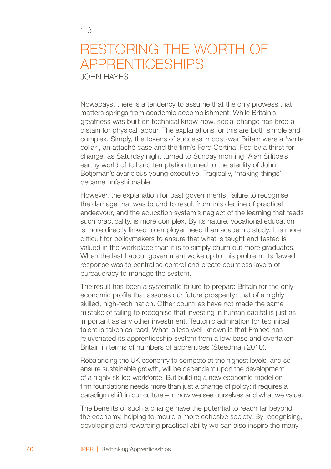# Restoring the worth of apprenticeships

John Hayes

Nowadays, there is a tendency to assume that the only prowess that matters springs from academic accomplishment. While Britain's greatness was built on technical know-how, social change has bred a distain for physical labour. The explanations for this are both simple and complex. Simply, the tokens of success in post-war Britain were a 'white collar', an attaché case and the firm's Ford Cortina. Fed by a thirst for change, as Saturday night turned to Sunday morning, Alan Sillitoe's earthy world of toil and temptation turned to the sterility of John Betjeman's avaricious young executive. Tragically, 'making things' became unfashionable.

However, the explanation for past governments' failure to recognise the damage that was bound to result from this decline of practical endeavour, and the education system's neglect of the learning that feeds such practicality, is more complex. By its nature, vocational education is more directly linked to employer need than academic study. It is more difficult for policymakers to ensure that what is taught and tested is valued in the workplace than it is to simply churn out more graduates. When the last Labour government woke up to this problem, its flawed response was to centralise control and create countless layers of bureaucracy to manage the system.

The result has been a systematic failure to prepare Britain for the only economic profile that assures our future prosperity: that of a highly skilled, high-tech nation. Other countries have not made the same mistake of failing to recognise that investing in human capital is just as important as any other investment. Teutonic admiration for technical talent is taken as read. What is less well-known is that France has rejuvenated its apprenticeship system from a low base and overtaken Britain in terms of numbers of apprentices (Steedman 2010).

Rebalancing the UK economy to compete at the highest levels, and so ensure sustainable growth, will be dependent upon the development of a highly skilled workforce. But building a new economic model on firm foundations needs more than just a change of policy: it requires a paradigm shift in our culture – in how we see ourselves and what we value.

The benefits of such a change have the potential to reach far beyond the economy, helping to mould a more cohesive society. By recognising, developing and rewarding practical ability we can also inspire the many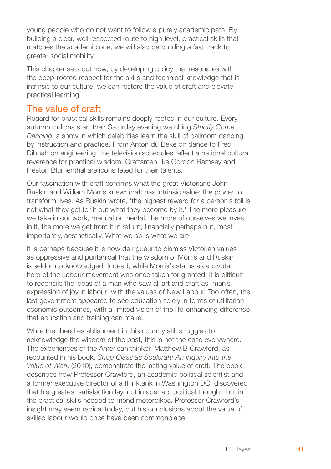young people who do not want to follow a purely academic path. By building a clear, well respected route to high-level, practical skills that matches the academic one, we will also be building a fast track to greater social mobility.

This chapter sets out how, by developing policy that resonates with the deep-rooted respect for the skills and technical knowledge that is intrinsic to our culture, we can restore the value of craft and elevate practical learning

### The value of craft

Regard for practical skills remains deeply rooted in our culture. Every autumn millions start their Saturday evening watching *Strictly Come Dancing*, a show in which celebrities learn the skill of ballroom dancing by instruction and practice. From Anton du Beke on dance to Fred Dibnah on engineering, the television schedules reflect a national cultural reverence for practical wisdom. Craftsmen like Gordon Ramsey and Heston Blumenthal are icons feted for their talents.

Our fascination with craft confirms what the great Victorians John Ruskin and William Morris knew: craft has intrinsic value; the power to transform lives. As Ruskin wrote, 'the highest reward for a person's toil is not what they get for it but what they become by it.' The more pleasure we take in our work, manual or mental, the more of ourselves we invest in it, the more we get from it in return; financially perhaps but, most importantly, aesthetically. What we *do* is what we are.

It is perhaps because it is now de rigueur to dismiss Victorian values as oppressive and puritanical that the wisdom of Morris and Ruskin is seldom acknowledged. Indeed, while Morris's status as a pivotal hero of the Labour movement was once taken for granted, it is difficult to reconcile the ideas of a man who saw all art and craft as 'man's expression of joy in labour' with the values of New Labour. Too often, the last government appeared to see education solely in terms of utilitarian economic outcomes, with a limited vision of the life-enhancing difference that education and training can make.

While the liberal establishment in this country still struggles to acknowledge the wisdom of the past, this is not the case everywhere. The experiences of the American thinker, Matthew B Crawford, as recounted in his book, *Shop Class as Soulcraft: An Inquiry into the Value of Work* (2010), demonstrate the lasting value of craft. The book describes how Professor Crawford, an academic political scientist and a former executive director of a thinktank in Washington DC, discovered that his greatest satisfaction lay, not in abstract political thought, but in the practical skills needed to mend motorbikes. Professor Crawford's insight may seem radical today, but his conclusions about the value of skilled labour would once have been commonplace.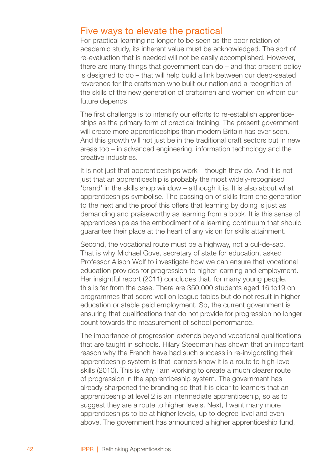#### Five ways to elevate the practical

For practical learning no longer to be seen as the poor relation of academic study, its inherent value must be acknowledged. The sort of re-evaluation that is needed will not be easily accomplished. However, there are many things that government can do – and that present policy is designed to do – that will help build a link between our deep-seated reverence for the craftsmen who built our nation and a recognition of the skills of the new generation of craftsmen and women on whom our future depends.

The first challenge is to intensify our efforts to re-establish apprenticeships as the primary form of practical training. The present government will create more apprenticeships than modern Britain has ever seen. And this growth will not just be in the traditional craft sectors but in new areas too – in advanced engineering, information technology and the creative industries.

It is not just that apprenticeships work – though they do. And it is not just that an apprenticeship is probably the most widely-recognised 'brand' in the skills shop window – although it is. It is also about what apprenticeships symbolise. The passing on of skills from one generation to the next and the proof this offers that learning by doing is just as demanding and praiseworthy as learning from a book. It is this sense of apprenticeships as the embodiment of a learning continuum that should guarantee their place at the heart of any vision for skills attainment.

Second, the vocational route must be a highway, not a cul-de-sac. That is why Michael Gove, secretary of state for education, asked Professor Alison Wolf to investigate how we can ensure that vocational education provides for progression to higher learning and employment. Her insightful report (2011) concludes that, for many young people, this is far from the case. There are 350,000 students aged 16 to19 on programmes that score well on league tables but do not result in higher education or stable paid employment. So, the current government is ensuring that qualifications that do not provide for progression no longer count towards the measurement of school performance.

The importance of progression extends beyond vocational qualifications that are taught in schools. Hilary Steedman has shown that an important reason why the French have had such success in re-invigorating their apprenticeship system is that learners know it is a route to high-level skills (2010). This is why I am working to create a much clearer route of progression in the apprenticeship system. The government has already sharpened the branding so that it is clear to learners that an apprenticeship at level 2 is an intermediate apprenticeship, so as to suggest they are a route to higher levels. Next, I want many more apprenticeships to be at higher levels, up to degree level and even above. The government has announced a higher apprenticeship fund,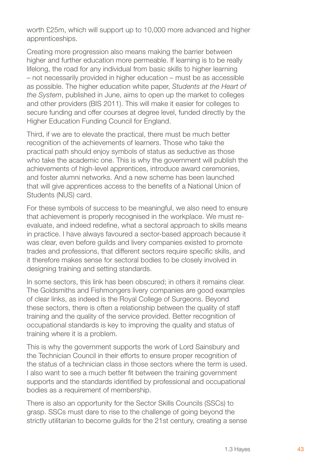worth £25m, which will support up to 10,000 more advanced and higher apprenticeships.

Creating more progression also means making the barrier between higher and further education more permeable. If learning is to be really lifelong, the road for any individual from basic skills to higher learning – not necessarily provided in higher education – must be as accessible as possible. The higher education white paper, *Students at the Heart of the System*, published in June, aims to open up the market to colleges and other providers (BIS 2011). This will make it easier for colleges to secure funding and offer courses at degree level, funded directly by the Higher Education Funding Council for England.

Third, if we are to elevate the practical, there must be much better recognition of the achievements of learners. Those who take the practical path should enjoy symbols of status as seductive as those who take the academic one. This is why the government will publish the achievements of high-level apprentices, introduce award ceremonies, and foster alumni networks. And a new scheme has been launched that will give apprentices access to the benefits of a National Union of Students (NUS) card.

For these symbols of success to be meaningful, we also need to ensure that achievement is properly recognised in the workplace. We must reevaluate, and indeed redefine, what a sectoral approach to skills means in practice. I have always favoured a sector-based approach because it was clear, even before guilds and livery companies existed to promote trades and professions, that different sectors require specific skills, and it therefore makes sense for sectoral bodies to be closely involved in designing training and setting standards.

In some sectors, this link has been obscured; in others it remains clear. The Goldsmiths and Fishmongers livery companies are good examples of clear links, as indeed is the Royal College of Surgeons. Beyond these sectors, there is often a relationship between the quality of staff training and the quality of the service provided. Better recognition of occupational standards is key to improving the quality and status of training where it is a problem.

This is why the government supports the work of Lord Sainsbury and the Technician Council in their efforts to ensure proper recognition of the status of a technician class in those sectors where the term is used. I also want to see a much better fit between the training government supports and the standards identified by professional and occupational bodies as a requirement of membership.

There is also an opportunity for the Sector Skills Councils (SSCs) to grasp. SSCs must dare to rise to the challenge of going beyond the strictly utilitarian to become guilds for the 21st century, creating a sense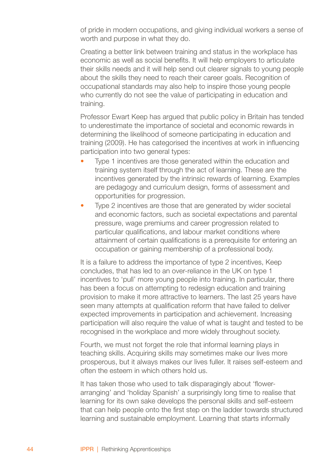of pride in modern occupations, and giving individual workers a sense of worth and purpose in what they do.

Creating a better link between training and status in the workplace has economic as well as social benefits. It will help employers to articulate their skills needs and it will help send out clearer signals to young people about the skills they need to reach their career goals. Recognition of occupational standards may also help to inspire those young people who currently do not see the value of participating in education and training.

Professor Ewart Keep has argued that public policy in Britain has tended to underestimate the importance of societal and economic rewards in determining the likelihood of someone participating in education and training (2009). He has categorised the incentives at work in influencing participation into two general types:

- Type 1 incentives are those generated within the education and training system itself through the act of learning. These are the incentives generated by the intrinsic rewards of learning. Examples are pedagogy and curriculum design, forms of assessment and opportunities for progression. •
- Type 2 incentives are those that are generated by wider societal and economic factors, such as societal expectations and parental pressure, wage premiums and career progression related to particular qualifications, and labour market conditions where attainment of certain qualifications is a prerequisite for entering an occupation or gaining membership of a professional body. •

It is a failure to address the importance of type 2 incentives, Keep concludes, that has led to an over-reliance in the UK on type 1 incentives to 'pull' more young people into training. In particular, there has been a focus on attempting to redesign education and training provision to make it more attractive to learners. The last 25 years have seen many attempts at qualification reform that have failed to deliver expected improvements in participation and achievement. Increasing participation will also require the value of what is taught and tested to be recognised in the workplace and more widely throughout society.

Fourth, we must not forget the role that informal learning plays in teaching skills. Acquiring skills may sometimes make our lives more prosperous, but it always makes our lives fuller. It raises self-esteem and often the esteem in which others hold us.

It has taken those who used to talk disparagingly about 'flowerarranging' and 'holiday Spanish' a surprisingly long time to realise that learning for its own sake develops the personal skills and self-esteem that can help people onto the first step on the ladder towards structured learning and sustainable employment. Learning that starts informally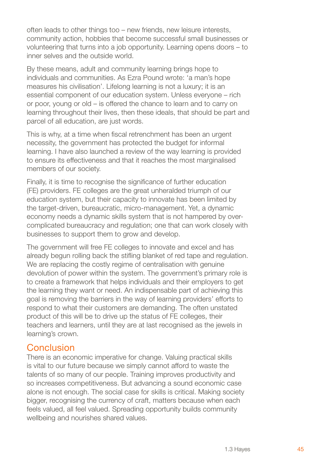often leads to other things too – new friends, new leisure interests, community action, hobbies that become successful small businesses or volunteering that turns into a job opportunity. Learning opens doors – to inner selves and the outside world.

By these means, adult and community learning brings hope to individuals and communities. As Ezra Pound wrote: 'a man's hope measures his civilisation'. Lifelong learning is not a luxury; it is an essential component of our education system. Unless everyone – rich or poor, young or old – is offered the chance to learn and to carry on learning throughout their lives, then these ideals, that should be part and parcel of all education, are just words.

This is why, at a time when fiscal retrenchment has been an urgent necessity, the government has protected the budget for informal learning. I have also launched a review of the way learning is provided to ensure its effectiveness and that it reaches the most marginalised members of our society.

Finally, it is time to recognise the significance of further education (FE) providers. FE colleges are the great unheralded triumph of our education system, but their capacity to innovate has been limited by the target-driven, bureaucratic, micro-management. Yet, a dynamic economy needs a dynamic skills system that is not hampered by overcomplicated bureaucracy and regulation; one that can work closely with businesses to support them to grow and develop.

The government will free FE colleges to innovate and excel and has already begun rolling back the stifling blanket of red tape and regulation. We are replacing the costly regime of centralisation with genuine devolution of power within the system. The government's primary role is to create a framework that helps individuals and their employers to get the learning they want or need. An indispensable part of achieving this goal is removing the barriers in the way of learning providers' efforts to respond to what their customers are demanding. The often unstated product of this will be to drive up the status of FE colleges, their teachers and learners, until they are at last recognised as the jewels in learning's crown.

## **Conclusion**

There is an economic imperative for change. Valuing practical skills is vital to our future because we simply cannot afford to waste the talents of so many of our people. Training improves productivity and so increases competitiveness. But advancing a sound economic case alone is not enough. The social case for skills is critical. Making society bigger, recognising the currency of craft, matters because when each feels valued, all feel valued. Spreading opportunity builds community wellbeing and nourishes shared values.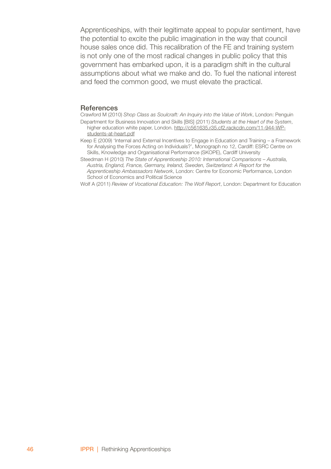Apprenticeships, with their legitimate appeal to popular sentiment, have the potential to excite the public imagination in the way that council house sales once did. This recalibration of the FE and training system is not only one of the most radical changes in public policy that this government has embarked upon, it is a paradigm shift in the cultural assumptions about what we make and do. To fuel the national interest and feed the common good, we must elevate the practical.

#### **References**

- Crawford M (2010) *Shop Class as Soulcraft: An Inquiry into the Value of Work*, London: Penguin Department for Business Innovation and Skills [BIS] (2011) *Students at the Heart of the System*, higher education white paper, London. http://c561635.r35.cf2.rackcdn.com/11-944-WP
	- students-at-heart.pdf
- Keep E (2009) 'Internal and External Incentives to Engage in Education and Training a Framework for Analysing the Forces Acting on Individuals?', Monograph no 12, Cardiff: ESRC Centre on Skills, Knowledge and Organisational Performance (SKOPE), Cardiff University
- Steedman H (2010) *The State of Apprenticeship 2010: International Comparisons Australia, Austria, England, France, Germany, Ireland, Sweden, Switzerland: A Report for the Apprenticeship Ambassadors Network*, London: Centre for Economic Performance, London School of Economics and Political Science
- Wolf A (2011) *Review of Vocational Education: The Wolf Report*, London: Department for Education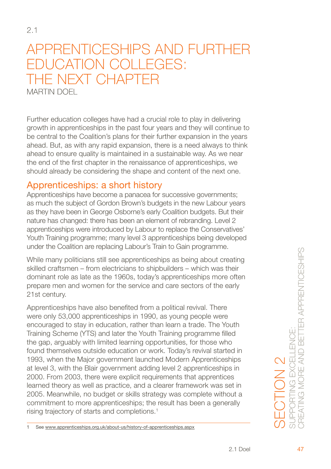## Apprenticeships and further education colleges: The next chapter Martin Doel

Further education colleges have had a crucial role to play in delivering growth in apprenticeships in the past four years and they will continue to be central to the Coalition's plans for their further expansion in the years ahead. But, as with any rapid expansion, there is a need always to think ahead to ensure quality is maintained in a sustainable way. As we near the end of the first chapter in the renaissance of apprenticeships, we should already be considering the shape and content of the next one.

## Apprenticeships: a short history

Apprenticeships have become a panacea for successive governments; as much the subject of Gordon Brown's budgets in the new Labour years as they have been in George Osborne's early Coalition budgets. But their nature has changed: there has been an element of rebranding. Level 2 apprenticeships were introduced by Labour to replace the Conservatives' Youth Training programme; many level 3 apprenticeships being developed under the Coalition are replacing Labour's Train to Gain programme.

While many politicians still see apprenticeships as being about creating skilled craftsmen – from electricians to shipbuilders – which was their dominant role as late as the 1960s, today's apprenticeships more often prepare men and women for the service and care sectors of the early 21st century.

Apprenticeships have also benefited from a political revival. There were only 53,000 apprenticeships in 1990, as young people were encouraged to stay in education, rather than learn a trade. The Youth Training Scheme (YTS) and later the Youth Training programme filled the gap, arguably with limited learning opportunities, for those who found themselves outside education or work. Today's revival started in 1993, when the Major government launched Modern Apprenticeships at level 3, with the Blair government adding level 2 apprenticeships in 2000. From 2003, there were explicit requirements that apprentices learned theory as well as practice, and a clearer framework was set in 2005. Meanwhile, no budget or skills strategy was complete without a commitment to more apprenticeships; the result has been a generally rising trajectory of starts and completions.<sup>1</sup>

 $\overline{1}$ See www.apprenticeships.org.uk/about-us/history-of-apprenticeships.aspx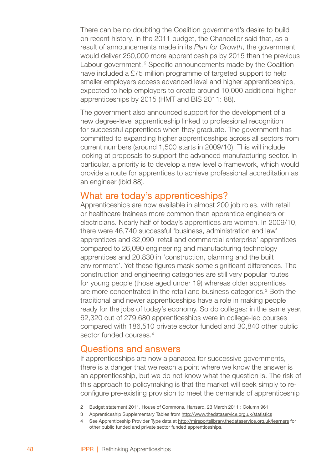There can be no doubting the Coalition government's desire to build on recent history. In the 2011 budget, the Chancellor said that, as a result of announcements made in its *Plan for Growth*, the government would deliver 250,000 more apprenticeships by 2015 than the previous Labour government.<sup>2</sup> Specific announcements made by the Coalition have included a £75 million programme of targeted support to help smaller employers access advanced level and higher apprenticeships, expected to help employers to create around 10,000 additional higher apprenticeships by 2015 (HMT and BIS 2011: 88).

The government also announced support for the development of a new degree-level apprenticeship linked to professional recognition for successful apprentices when they graduate. The government has committed to expanding higher apprenticeships across all sectors from current numbers (around 1,500 starts in 2009/10). This will include looking at proposals to support the advanced manufacturing sector. In particular, a priority is to develop a new level 5 framework, which would provide a route for apprentices to achieve professional accreditation as an engineer (ibid 88).

#### What are today's apprenticeships?

Apprenticeships are now available in almost 200 job roles, with retail or healthcare trainees more common than apprentice engineers or electricians. Nearly half of today's apprentices are women. In 2009/10, there were 46,740 successful 'business, administration and law' apprentices and 32,090 'retail and commercial enterprise' apprentices compared to 26,090 engineering and manufacturing technology apprentices and 20,830 in 'construction, planning and the built environment'. Yet these figures mask some significant differences. The construction and engineering categories are still very popular routes for young people (those aged under 19) whereas older apprentices are more concentrated in the retail and business categories.<sup>3</sup> Both the traditional and newer apprenticeships have a role in making people ready for the jobs of today's economy. So do colleges: in the same year, 62,320 out of 279,680 apprenticeships were in college-led courses compared with 186,510 private sector funded and 30,840 other public sector funded courses.<sup>4</sup>

#### Questions and answers

If apprenticeships are now a panacea for successive governments, there is a danger that we reach a point where we know the answer is an apprenticeship, but we do not know what the question is. The risk of this approach to policymaking is that the market will seek simply to reconfigure pre-existing provision to meet the demands of apprenticeship

Budget statement 2011, House of Commons, Hansard, 23 March 2011 : Column 961

Apprenticeship Supplementary Tables from http://www.thedataservice.org.uk/statistics

See Apprenticeship Provider Type data at http://mireportslibrary.thedataservice.org.uk/learners for other public funded and private sector funded apprenticeships.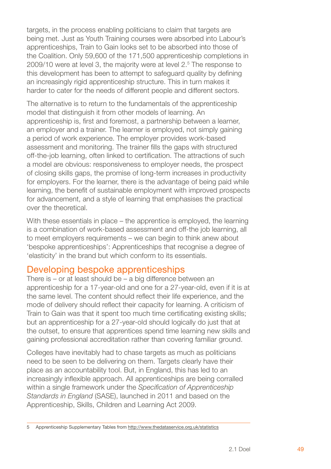targets, in the process enabling politicians to claim that targets are being met. Just as Youth Training courses were absorbed into Labour's apprenticeships, Train to Gain looks set to be absorbed into those of the Coalition. Only 59,600 of the 171,500 apprenticeship completions in 2009/10 were at level 3, the majority were at level 2.<sup>5</sup> The response to this development has been to attempt to safeguard quality by defining an increasingly rigid apprenticeship structure. This in turn makes it harder to cater for the needs of different people and different sectors.

The alternative is to return to the fundamentals of the apprenticeship model that distinguish it from other models of learning. An apprenticeship is, first and foremost, a partnership between a learner, an employer and a trainer. The learner is employed, not simply gaining a period of work experience. The employer provides work-based assessment and monitoring. The trainer fills the gaps with structured off-the-job learning, often linked to certification. The attractions of such a model are obvious: responsiveness to employer needs, the prospect of closing skills gaps, the promise of long-term increases in productivity for employers. For the learner, there is the advantage of being paid while learning, the benefit of sustainable employment with improved prospects for advancement, and a style of learning that emphasises the practical over the theoretical.

With these essentials in place – the apprentice is employed, the learning is a combination of work-based assessment and off-the job learning, all to meet employers requirements – we can begin to think anew about 'bespoke apprenticeships': Apprenticeships that recognise a degree of 'elasticity' in the brand but which conform to its essentials.

## Developing bespoke apprenticeships

There is – or at least should be – a big difference between an apprenticeship for a 17-year-old and one for a 27-year-old, even if it is at the same level. The content should reflect their life experience, and the mode of delivery should reflect their capacity for learning. A criticism of Train to Gain was that it spent too much time certificating existing skills; but an apprenticeship for a 27-year-old should logically do just that at the outset, to ensure that apprentices spend time learning new skills and gaining professional accreditation rather than covering familiar ground.

Colleges have inevitably had to chase targets as much as politicians need to be seen to be delivering on them. Targets clearly have their place as an accountability tool. But, in England, this has led to an increasingly inflexible approach. All apprenticeships are being corralled within a single framework under the *Specification of Apprenticeship Standards in England* (SASE), launched in 2011 and based on the Apprenticeship, Skills, Children and Learning Act 2009.

Apprenticeship Supplementary Tables from http://www.thedataservice.org.uk/statistics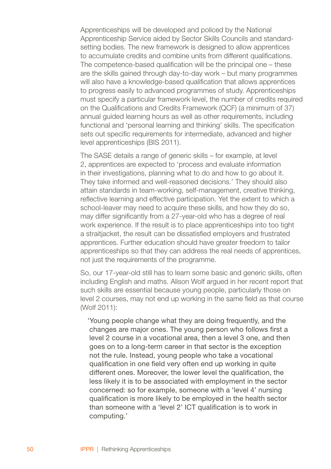Apprenticeships will be developed and policed by the National Apprenticeship Service aided by Sector Skills Councils and standardsetting bodies. The new framework is designed to allow apprentices to accumulate credits and combine units from different qualifications. The competence-based qualification will be the principal one – these are the skills gained through day-to-day work – but many programmes will also have a knowledge-based qualification that allows apprentices to progress easily to advanced programmes of study. Apprenticeships must specify a particular framework level, the number of credits required on the Qualifications and Credits Framework (QCF) (a minimum of 37) annual guided learning hours as well as other requirements, including functional and 'personal learning and thinking' skills. The specification sets out specific requirements for intermediate, advanced and higher level apprenticeships (BIS 2011).

The SASE details a range of generic skills – for example, at level 2, apprentices are expected to 'process and evaluate information in their investigations, planning what to do and how to go about it. They take informed and well-reasoned decisions.' They should also attain standards in team-working, self-management, creative thinking, reflective learning and effective participation. Yet the extent to which a school-leaver may need to acquire these skills, and how they do so, may differ significantly from a 27-year-old who has a degree of real work experience. If the result is to place apprenticeships into too tight a straitjacket, the result can be dissatisfied employers and frustrated apprentices. Further education should have greater freedom to tailor apprenticeships so that they can address the real needs of apprentices, not just the requirements of the programme.

So, our 17-year-old still has to learn some basic and generic skills, often including English and maths. Alison Wolf argued in her recent report that such skills are essential because young people, particularly those on level 2 courses, may not end up working in the same field as that course (Wolf 2011):

'Young people change what they are doing frequently, and the changes are major ones. The young person who follows first a level 2 course in a vocational area, then a level 3 one, and then goes on to a long-term career in that sector is the exception not the rule. Instead, young people who take a vocational qualification in one field very often end up working in quite different ones. Moreover, the lower level the qualification, the less likely it is to be associated with employment in the sector concerned: so for example, someone with a 'level 4' nursing qualification is more likely to be employed in the health sector than someone with a 'level 2' ICT qualification is to work in computing.'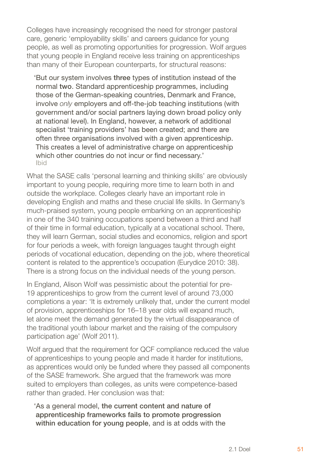Colleges have increasingly recognised the need for stronger pastoral care, generic 'employability skills' and careers guidance for young people, as well as promoting opportunities for progression. Wolf argues that young people in England receive less training on apprenticeships than many of their European counterparts, for structural reasons:

'But our system involves three types of institution instead of the normal two. Standard apprenticeship programmes, including those of the German-speaking countries, Denmark and France, involve *only* employers and off-the-job teaching institutions (with government and/or social partners laying down broad policy only at national level). In England, however, a network of additional specialist 'training providers' has been created; and there are often three organisations involved with a given apprenticeship. This creates a level of administrative charge on apprenticeship which other countries do not incur or find necessary.' Ibid

What the SASE calls 'personal learning and thinking skills' are obviously important to young people, requiring more time to learn both in and outside the workplace. Colleges clearly have an important role in developing English and maths and these crucial life skills. In Germany's much-praised system, young people embarking on an apprenticeship in one of the 340 training occupations spend between a third and half of their time in formal education, typically at a vocational school. There, they will learn German, social studies and economics, religion and sport for four periods a week, with foreign languages taught through eight periods of vocational education, depending on the job, where theoretical content is related to the apprentice's occupation (Eurydice 2010: 38). There is a strong focus on the individual needs of the young person.

In England, Alison Wolf was pessimistic about the potential for pre-19 apprenticeships to grow from the current level of around 73,000 completions a year: 'It is extremely unlikely that, under the current model of provision, apprenticeships for 16–18 year olds will expand much, let alone meet the demand generated by the virtual disappearance of the traditional youth labour market and the raising of the compulsory participation age' (Wolf 2011).

Wolf arqued that the requirement for QCF compliance reduced the value of apprenticeships to young people and made it harder for institutions, as apprentices would only be funded where they passed all components of the SASE framework. She argued that the framework was more suited to employers than colleges, as units were competence-based rather than graded. Her conclusion was that:

'As a general model, the current content and nature of apprenticeship frameworks fails to promote progression within education for young people, and is at odds with the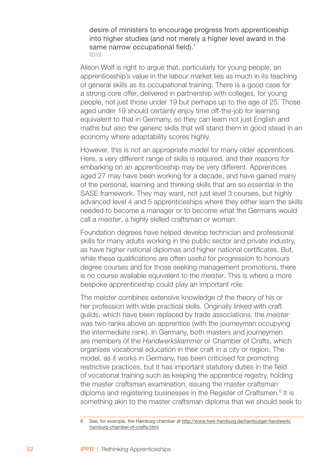desire of ministers to encourage progress from apprenticeship into higher studies (and not merely a higher level award in the same narrow occupational field).' Ibid

Alison Wolf is right to argue that, particularly for young people, an apprenticeship's value in the labour market lies as much in its teaching of general skills as its occupational training. There is a good case for a strong core offer, delivered in partnership with colleges, for young people, not just those under 19 but perhaps up to the age of 25. Those aged under 19 should certainly enjoy time off-the-job for learning equivalent to that in Germany, so they can learn not just English and maths but also the generic skills that will stand them in good stead in an economy where adaptability scores highly.

However, this is not an appropriate model for many older apprentices. Here, a very different range of skills is required, and their reasons for embarking on an apprenticeship may be very different. Apprentices aged 27 may have been working for a decade, and have gained many of the personal, learning and thinking skills that are so essential in the SASE framework. They may want, not just level 3 courses, but highly advanced level 4 and 5 apprenticeships where they either learn the skills needed to become a manager or to become what the Germans would call a *meister*, a highly skilled craftsman or woman.

Foundation degrees have helped develop technician and professional skills for many adults working in the public sector and private industry, as have higher national diplomas and higher national certificates. But, while these qualifications are often useful for progression to honours degree courses and for those seeking management promotions, there is no course available equivalent to the *meister*. This is where a more bespoke apprenticeship could play an important role.

The *meister* combines extensive knowledge of the theory of his or her profession with wide practical skills. Originally linked with craft guilds, which have been replaced by trade associations, the *meister* was two ranks above an apprentice (with the journeyman occupying the intermediate rank). In Germany, both masters and journeymen are members of the *Handwerkskammer* or Chamber of Crafts, which organises vocational education in their craft in a city or region. The model, as it works in Germany, has been criticised for promoting restrictive practices, but it has important statutory duties in the field of vocational training such as keeping the apprentice registry, holding the master craftsman examination, issuing the master craftsman diploma and registering businesses in the Register of Craftsmen.<sup>6</sup> It is something akin to the master craftsman diploma that we should seek to

See, for example, the Hamburg chamber at http://www.hwk-hamburg.de/hamburger-handwerk/ hamburg-chamber-of-crafts.html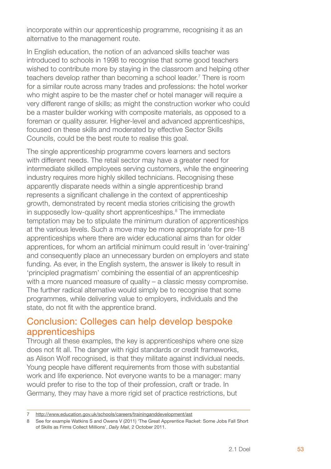incorporate within our apprenticeship programme, recognising it as an alternative to the management route.

In English education, the notion of an advanced skills teacher was introduced to schools in 1998 to recognise that some good teachers wished to contribute more by staying in the classroom and helping other teachers develop rather than becoming a school leader.<sup>7</sup> There is room for a similar route across many trades and professions: the hotel worker who might aspire to be the master chef or hotel manager will require a very different range of skills; as might the construction worker who could be a master builder working with composite materials, as opposed to a foreman or quality assurer. Higher-level and advanced apprenticeships, focused on these skills and moderated by effective Sector Skills Councils, could be the best route to realise this goal.

The single apprenticeship programme covers learners and sectors with different needs. The retail sector may have a greater need for intermediate skilled employees serving customers, while the engineering industry requires more highly skilled technicians. Recognising these apparently disparate needs within a single apprenticeship brand represents a significant challenge in the context of apprenticeship growth, demonstrated by recent media stories criticising the growth in supposedly low-quality short apprenticeships.<sup>8</sup> The immediate temptation may be to stipulate the minimum duration of apprenticeships at the various levels. Such a move may be more appropriate for pre-18 apprenticeships where there are wider educational aims than for older apprentices, for whom an artificial minimum could result in 'over-training' and consequently place an unnecessary burden on employers and state funding. As ever, in the English system, the answer is likely to result in 'principled pragmatism' combining the essential of an apprenticeship with a more nuanced measure of quality – a classic messy compromise. The further radical alternative would simply be to recognise that some programmes, while delivering value to employers, individuals and the state, do not fit with the apprentice brand.

## Conclusion: Colleges can help develop bespoke apprenticeships

Through all these examples, the key is apprenticeships where one size does not fit all. The danger with rigid standards or credit frameworks, as Alison Wolf recognised, is that they militate against individual needs. Young people have different requirements from those with substantial work and life experience. Not everyone wants to be a manager: many would prefer to rise to the top of their profession, craft or trade. In Germany, they may have a more rigid set of practice restrictions, but

http://www.education.gov.uk/schools/careers/traininganddevelopment/ast

See for example Watkins S and Owens V (2011) 'The Great Apprentice Racket: Some Jobs Fall Short of Skills as Firms Collect Millions', *Daily Mail*, 2 October 2011.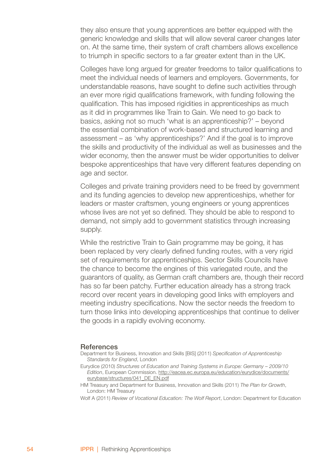they also ensure that young apprentices are better equipped with the generic knowledge and skills that will allow several career changes later on. At the same time, their system of craft chambers allows excellence to triumph in specific sectors to a far greater extent than in the UK.

Colleges have long argued for greater freedoms to tailor qualifications to meet the individual needs of learners and employers. Governments, for understandable reasons, have sought to define such activities through an ever more rigid qualifications framework, with funding following the qualification. This has imposed rigidities in apprenticeships as much as it did in programmes like Train to Gain. We need to go back to basics, asking not so much 'what is an apprenticeship?' – beyond the essential combination of work-based and structured learning and assessment – as 'why apprenticeships?' And if the goal is to improve the skills and productivity of the individual as well as businesses and the wider economy, then the answer must be wider opportunities to deliver bespoke apprenticeships that have very different features depending on age and sector.

Colleges and private training providers need to be freed by government and its funding agencies to develop new apprenticeships, whether for leaders or master craftsmen, young engineers or young apprentices whose lives are not yet so defined. They should be able to respond to demand, not simply add to government statistics through increasing supply.

While the restrictive Train to Gain programme may be going, it has been replaced by very clearly defined funding routes, with a very rigid set of requirements for apprenticeships. Sector Skills Councils have the chance to become the engines of this variegated route, and the guarantors of quality, as German craft chambers are, though their record has so far been patchy. Further education already has a strong track record over recent years in developing good links with employers and meeting industry specifications. Now the sector needs the freedom to turn those links into developing apprenticeships that continue to deliver the goods in a rapidly evolving economy.

#### **References**

- Department for Business, Innovation and Skills [BIS] (2011) *Specification of Apprenticeship Standards for England*, London
- Eurydice (2010) *Structures of Education and Training Systems in Europe: Germany 2009/10 Edition*, European Commission. http://eacea.ec.europa.eu/education/eurydice/documents/ eurybase/structures/041\_DE\_EN.pdf
- HM Treasury and Department for Business, Innovation and Skills (2011) *The Plan for Growth*, London: HM Treasury
- Wolf A (2011) *Review of Vocational Education: The Wolf Report*, London: Department for Education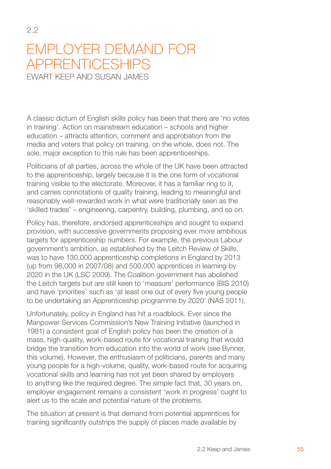## Employer demand for apprenticeships Ewart Keep and Susan James

2.2

A classic dictum of English skills policy has been that there are 'no votes in training'. Action on mainstream education – schools and higher education – attracts attention, comment and approbation from the media and voters that policy on training, on the whole, does not. The sole, major exception to this rule has been apprenticeships.

Politicians of all parties, across the whole of the UK have been attracted to the apprenticeship, largely because it is the one form of vocational training visible to the electorate. Moreover, it has a familiar ring to it, and carries connotations of quality training, leading to meaningful and reasonably well-rewarded work in what were traditionally seen as the 'skilled trades' – engineering, carpentry, building, plumbing, and so on.

Policy has, therefore, endorsed apprenticeships and sought to expand provision, with successive governments proposing ever more ambitious targets for apprenticeship numbers. For example, the previous Labour government's ambition, as established by the Leitch Review of Skills, was to have 130,000 apprenticeship completions in England by 2013 (up from 98,000 in 2007/08) and 500,000 apprentices in learning by 2020 in the UK (LSC 2009). The Coalition government has abolished the Leitch targets but are still keen to 'measure' performance (BIS 2010) and have 'priorities' such as 'at least one out of every five young people to be undertaking an Apprenticeship programme by 2020' (NAS 2011).

Unfortunately, policy in England has hit a roadblock. Ever since the Manpower Services Commission's New Training Initiative (launched in 1981) a consistent goal of English policy has been the creation of a mass, high-quality, work-based route for vocational training that would bridge the transition from education into the world of work (see Bynner, this volume). However, the enthusiasm of politicians, parents and many young people for a high-volume, quality, work-based route for acquiring vocational skills and learning has not yet been shared by employers to anything like the required degree. The simple fact that, 30 years on, employer engagement remains a consistent 'work in progress' ought to alert us to the scale and potential nature of the problems.

The situation at present is that demand from potential apprentices for training significantly outstrips the supply of places made available by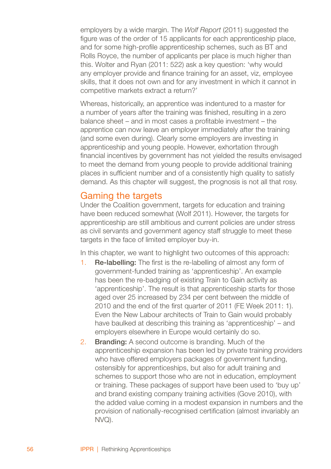employers by a wide margin. The *Wolf Report* (2011) suggested the figure was of the order of 15 applicants for each apprenticeship place, and for some high-profile apprenticeship schemes, such as BT and Rolls Royce, the number of applicants per place is much higher than this. Wolter and Ryan (2011: 522) ask a key question: 'why would any employer provide and finance training for an asset, viz, employee skills, that it does not own and for any investment in which it cannot in competitive markets extract a return?'

Whereas, historically, an apprentice was indentured to a master for a number of years after the training was finished, resulting in a zero balance sheet – and in most cases a profitable investment – the apprentice can now leave an employer immediately after the training (and some even during). Clearly some employers are investing in apprenticeship and young people. However, exhortation through financial incentives by government has not yielded the results envisaged to meet the demand from young people to provide additional training places in sufficient number and of a consistently high quality to satisfy demand. As this chapter will suggest, the prognosis is not all that rosy.

#### Gaming the targets

Under the Coalition government, targets for education and training have been reduced somewhat (Wolf 2011). However, the targets for apprenticeship are still ambitious and current policies are under stress as civil servants and government agency staff struggle to meet these targets in the face of limited employer buy-in.

In this chapter, we want to highlight two outcomes of this approach:

- Re-labelling: The first is the re-labelling of almost any form of government-funded training as 'apprenticeship'. An example has been the re-badging of existing Train to Gain activity as 'apprenticeship'. The result is that apprenticeship starts for those aged over 25 increased by 234 per cent between the middle of 2010 and the end of the first quarter of 2011 (FE Week 2011: 1). Even the New Labour architects of Train to Gain would probably have baulked at describing this training as 'apprenticeship' – and employers elsewhere in Europe would certainly do so. 1.
- Branding: A second outcome is branding. Much of the apprenticeship expansion has been led by private training providers who have offered employers packages of government funding. ostensibly for apprenticeships, but also for adult training and schemes to support those who are not in education, employment or training. These packages of support have been used to 'buy up' and brand existing company training activities (Gove 2010), with the added value coming in a modest expansion in numbers and the provision of nationally-recognised certification (almost invariably an NVQ). 2.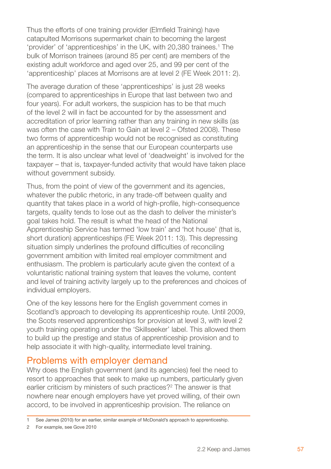Thus the efforts of one training provider (Elmfield Training) have catapulted Morrisons supermarket chain to becoming the largest 'provider' of 'apprenticeships' in the UK, with 20,380 trainees.<sup>1</sup> The bulk of Morrison trainees (around 85 per cent) are members of the existing adult workforce and aged over 25, and 99 per cent of the 'apprenticeship' places at Morrisons are at level 2 (FE Week 2011: 2).

The average duration of these 'apprenticeships' is just 28 weeks (compared to apprenticeships in Europe that last between two and four years). For adult workers, the suspicion has to be that much of the level 2 will in fact be accounted for by the assessment and accreditation of prior learning rather than any training in new skills (as was often the case with Train to Gain at level 2 – Ofsted 2008). These two forms of apprenticeship would not be recognised as constituting an apprenticeship in the sense that our European counterparts use the term. It is also unclear what level of 'deadweight' is involved for the taxpayer – that is, taxpayer-funded activity that would have taken place without government subsidy.

Thus, from the point of view of the government and its agencies, whatever the public rhetoric, in any trade-off between quality and quantity that takes place in a world of high-profile, high-consequence targets, quality tends to lose out as the dash to deliver the minister's goal takes hold. The result is what the head of the National Apprenticeship Service has termed 'low train' and 'hot house' (that is, short duration) apprenticeships (FE Week 2011: 13). This depressing situation simply underlines the profound difficulties of reconciling government ambition with limited real employer commitment and enthusiasm. The problem is particularly acute given the context of a voluntaristic national training system that leaves the volume, content and level of training activity largely up to the preferences and choices of individual employers.

One of the key lessons here for the English government comes in Scotland's approach to developing its apprenticeship route. Until 2009, the Scots reserved apprenticeships for provision at level 3, with level 2 youth training operating under the 'Skillseeker' label. This allowed them to build up the prestige and status of apprenticeship provision and to help associate it with high-quality, intermediate level training.

#### Problems with employer demand

Why does the English government (and its agencies) feel the need to resort to approaches that seek to make up numbers, particularly given earlier criticism by ministers of such practices?<sup>2</sup> The answer is that nowhere near enough employers have yet proved willing, of their own accord, to be involved in apprenticeship provision. The reliance on

See James (2010) for an earlier, similar example of McDonald's approach to apprenticeship.

For example, see Gove 2010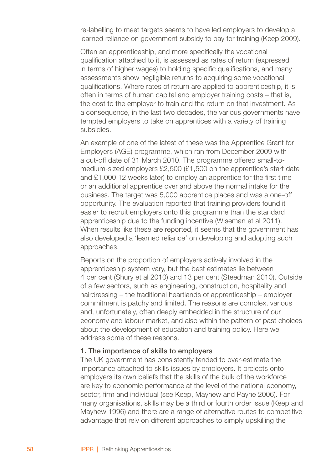re-labelling to meet targets seems to have led employers to develop a learned reliance on government subsidy to pay for training (Keep 2009).

Often an apprenticeship, and more specifically the vocational qualification attached to it, is assessed as rates of return (expressed in terms of higher wages) to holding specific qualifications, and many assessments show negligible returns to acquiring some vocational qualifications. Where rates of return are applied to apprenticeship, it is often in terms of human capital and employer training costs – that is, the cost to the employer to train and the return on that investment. As a consequence, in the last two decades, the various governments have tempted employers to take on apprentices with a variety of training subsidies.

An example of one of the latest of these was the Apprentice Grant for Employers (AGE) programme, which ran from December 2009 with a cut-off date of 31 March 2010. The programme offered small-tomedium-sized employers £2,500 (£1,500 on the apprentice's start date and £1,000 12 weeks later) to employ an apprentice for the first time or an additional apprentice over and above the normal intake for the business. The target was 5,000 apprentice places and was a one-off opportunity. The evaluation reported that training providers found it easier to recruit employers onto this programme than the standard apprenticeship due to the funding incentive (Wiseman et al 2011). When results like these are reported, it seems that the government has also developed a 'learned reliance' on developing and adopting such approaches.

Reports on the proportion of employers actively involved in the apprenticeship system vary, but the best estimates lie between 4 per cent (Shury et al 2010) and 13 per cent (Steedman 2010). Outside of a few sectors, such as engineering, construction, hospitality and hairdressing – the traditional heartlands of apprenticeship – employer commitment is patchy and limited. The reasons are complex, various and, unfortunately, often deeply embedded in the structure of our economy and labour market, and also within the pattern of past choices about the development of education and training policy. Here we address some of these reasons.

#### 1. The importance of skills to employers

The UK government has consistently tended to over-estimate the importance attached to skills issues by employers. It projects onto employers its own beliefs that the skills of the bulk of the workforce are key to economic performance at the level of the national economy, sector, firm and individual (see Keep, Mayhew and Payne 2006). For many organisations, skills may be a third or fourth order issue (Keep and Mayhew 1996) and there are a range of alternative routes to competitive advantage that rely on different approaches to simply upskilling the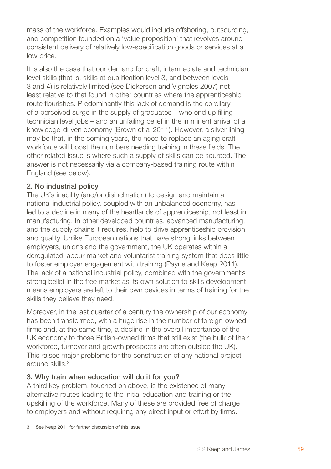mass of the workforce. Examples would include offshoring, outsourcing, and competition founded on a 'value proposition' that revolves around consistent delivery of relatively low-specification goods or services at a low price.

It is also the case that our demand for craft, intermediate and technician level skills (that is, skills at qualification level 3, and between levels 3 and 4) is relatively limited (see Dickerson and Vignoles 2007) not least relative to that found in other countries where the apprenticeship route flourishes. Predominantly this lack of demand is the corollary of a perceived surge in the supply of graduates – who end up filling technician level jobs – and an unfailing belief in the imminent arrival of a knowledge-driven economy (Brown et al 2011). However, a silver lining may be that, in the coming years, the need to replace an aging craft workforce will boost the numbers needing training in these fields. The other related issue is where such a supply of skills can be sourced. The answer is not necessarily via a company-based training route within England (see below).

#### 2. No industrial policy

The UK's inability (and/or disinclination) to design and maintain a national industrial policy, coupled with an unbalanced economy, has led to a decline in many of the heartlands of apprenticeship, not least in manufacturing. In other developed countries, advanced manufacturing, and the supply chains it requires, help to drive apprenticeship provision and quality. Unlike European nations that have strong links between employers, unions and the government, the UK operates within a deregulated labour market and voluntarist training system that does little to foster employer engagement with training (Payne and Keep 2011). The lack of a national industrial policy, combined with the government's strong belief in the free market as its own solution to skills development, means employers are left to their own devices in terms of training for the skills they believe they need.

Moreover, in the last quarter of a century the ownership of our economy has been transformed, with a huge rise in the number of foreign-owned firms and, at the same time, a decline in the overall importance of the UK economy to those British-owned firms that still exist (the bulk of their workforce, turnover and growth prospects are often outside the UK). This raises major problems for the construction of any national project around skills.<sup>3</sup>

#### 3. Why train when education will do it for you?

A third key problem, touched on above, is the existence of many alternative routes leading to the initial education and training or the upskilling of the workforce. Many of these are provided free of charge to employers and without requiring any direct input or effort by firms.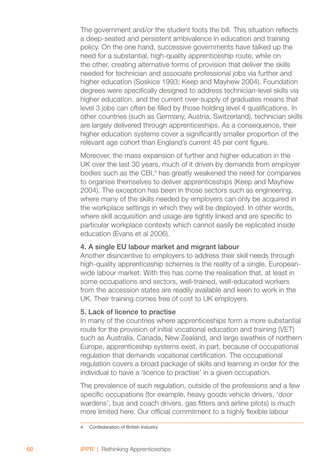The government and/or the student foots the bill. This situation reflects a deep-seated and persistent ambivalence in education and training policy. On the one hand, successive governments have talked up the need for a substantial, high-quality apprenticeship route, while on the other, creating alternative forms of provision that deliver the skills needed for technician and associate professional jobs via further and higher education (Soskice 1993; Keep and Mayhew 2004). Foundation degrees were specifically designed to address technician-level skills via higher education, and the current over-supply of graduates means that level 3 jobs can often be filled by those holding level 4 qualifications. In other countries (such as Germany, Austria, Switzerland), technician skills are largely delivered through apprenticeships. As a consequence, their higher education systems cover a significantly smaller proportion of the relevant age cohort than England's current 45 per cent figure.

Moreover, the mass expansion of further and higher education in the UK over the last 30 years, much of it driven by demands from employer bodies such as the CBI,<sup>4</sup> has greatly weakened the need for companies to organise themselves to deliver apprenticeships (Keep and Mayhew 2004). The exception has been in those sectors such as engineering, where many of the skills needed by employers can only be acquired in the workplace settings in which they will be deployed. In other words, where skill acquisition and usage are tightly linked and are specific to particular workplace contexts which cannot easily be replicated inside education (Evans et al 2006).

#### 4. A single EU labour market and migrant labour

Another disincentive to employers to address their skill needs through high-quality apprenticeship schemes is the reality of a single, Europeanwide labour market. With this has come the realisation that, at least in some occupations and sectors, well-trained, well-educated workers from the accession states are readily available and keen to work in the UK. Their training comes free of cost to UK employers.

#### 5. Lack of licence to practise

In many of the countries where apprenticeships form a more substantial route for the provision of initial vocational education and training (VET) such as Australia, Canada, New Zealand, and large swathes of northern Europe, apprenticeship systems exist, in part, because of occupational regulation that demands vocational certification. The occupational regulation covers a broad package of skills and learning in order for the individual to have a 'licence to practise' in a given occupation.

The prevalence of such regulation, outside of the professions and a few specific occupations (for example, heavy goods vehicle drivers, 'door wardens', bus and coach drivers, gas fitters and airline pilots) is much more limited here. Our official commitment to a highly flexible labour

Confederation of British Industry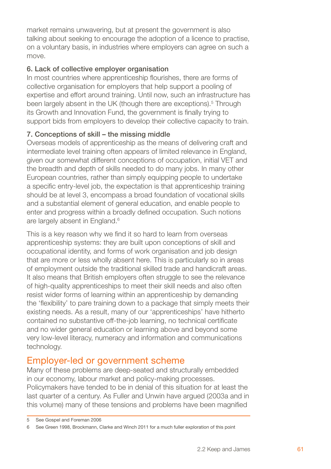market remains unwavering, but at present the government is also talking about seeking to encourage the adoption of a licence to practise, on a voluntary basis, in industries where employers can agree on such a move.

#### 6. Lack of collective employer organisation

In most countries where apprenticeship flourishes, there are forms of collective organisation for employers that help support a pooling of expertise and effort around training. Until now, such an infrastructure has been largely absent in the UK (though there are exceptions).<sup>5</sup> Through its Growth and Innovation Fund, the government is finally trying to support bids from employers to develop their collective capacity to train.

#### 7. Conceptions of skill – the missing middle

Overseas models of apprenticeship as the means of delivering craft and intermediate level training often appears of limited relevance in England, given our somewhat different conceptions of occupation, initial VET and the breadth and depth of skills needed to do many jobs. In many other European countries, rather than simply equipping people to undertake a specific entry-level job, the expectation is that apprenticeship training should be at level 3, encompass a broad foundation of vocational skills and a substantial element of general education, and enable people to enter and progress within a broadly defined occupation. Such notions are largely absent in England.

This is a key reason why we find it so hard to learn from overseas apprenticeship systems: they are built upon conceptions of skill and occupational identity, and forms of work organisation and job design that are more or less wholly absent here. This is particularly so in areas of employment outside the traditional skilled trade and handicraft areas. It also means that British employers often struggle to see the relevance of high-quality apprenticeships to meet their skill needs and also often resist wider forms of learning within an apprenticeship by demanding the 'flexibility' to pare training down to a package that simply meets their existing needs. As a result, many of our 'apprenticeships' have hitherto contained no substantive off-the-job learning, no technical certificate and no wider general education or learning above and beyond some very low-level literacy, numeracy and information and communications technology.

## Employer-led or government scheme

Many of these problems are deep-seated and structurally embedded in our economy, labour market and policy-making processes. Policymakers have tended to be in denial of this situation for at least the last quarter of a century. As Fuller and Unwin have argued (2003a and in this volume) many of these tensions and problems have been magnified

<sup>5</sup> See Gospel and Foreman 2006

See Green 1998, Brockmann, Clarke and Winch 2011 for a much fuller exploration of this point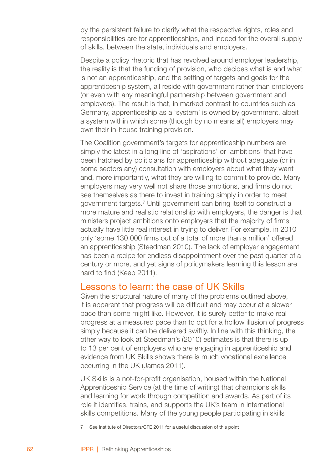by the persistent failure to clarify what the respective rights, roles and responsibilities are for apprenticeships, and indeed for the overall supply of skills, between the state, individuals and employers.

Despite a policy rhetoric that has revolved around employer leadership, the reality is that the funding of provision, who decides what is and what is not an apprenticeship, and the setting of targets and goals for the apprenticeship system, all reside with government rather than employers (or even with any meaningful partnership between government and employers). The result is that, in marked contrast to countries such as Germany, apprenticeship as a 'system' is owned by government, albeit a system within which some (though by no means all) employers may own their in-house training provision.

The Coalition government's targets for apprenticeship numbers are simply the latest in a long line of 'aspirations' or 'ambitions' that have been hatched by politicians for apprenticeship without adequate (or in some sectors any) consultation with employers about what they want and, more importantly, what they are willing to commit to provide. Many employers may very well not share those ambitions, and firms do not see themselves as there to invest in training simply in order to meet government targets.<sup>7</sup> Until government can bring itself to construct a more mature and realistic relationship with employers, the danger is that ministers project ambitions onto employers that the majority of firms actually have little real interest in trying to deliver. For example, in 2010 only 'some 130,000 firms out of a total of more than a million' offered an apprenticeship (Steedman 2010). The lack of employer engagement has been a recipe for endless disappointment over the past quarter of a century or more, and yet signs of policymakers learning this lesson are hard to find (Keep 2011).

#### Lessons to learn: the case of UK Skills

Given the structural nature of many of the problems outlined above, it is apparent that progress will be difficult and may occur at a slower pace than some might like. However, it is surely better to make real progress at a measured pace than to opt for a hollow illusion of progress simply because it can be delivered swiftly. In line with this thinking, the other way to look at Steedman's (2010) estimates is that there is up to 13 per cent of employers who *are* engaging in apprenticeship and evidence from UK Skills shows there is much vocational excellence occurring in the UK (James 2011).

UK Skills is a not-for-profit organisation, housed within the National Apprenticeship Service (at the time of writing) that champions skills and learning for work through competition and awards. As part of its role it identifies, trains, and supports the UK's team in international skills competitions. Many of the young people participating in skills

 $\overline{7}$ See Institute of Directors/CFE 2011 for a useful discussion of this point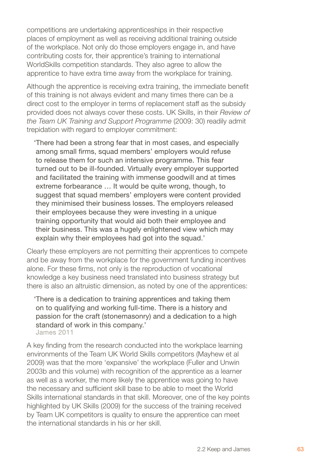competitions are undertaking apprenticeships in their respective places of employment as well as receiving additional training outside of the workplace. Not only do those employers engage in, and have contributing costs for, their apprentice's training to international WorldSkills competition standards. They also agree to allow the apprentice to have extra time away from the workplace for training.

Although the apprentice is receiving extra training, the immediate benefit of this training is not always evident and many times there can be a direct cost to the employer in terms of replacement staff as the subsidy provided does not always cover these costs. UK Skills, in their *Review of the Team UK Training and Support Programme* (2009: 30) readily admit trepidation with regard to employer commitment:

'There had been a strong fear that in most cases, and especially among small firms, squad members' employers would refuse to release them for such an intensive programme. This fear turned out to be ill-founded. Virtually every employer supported and facilitated the training with immense goodwill and at times extreme forbearance … It would be quite wrong, though, to suggest that squad members' employers were content provided they minimised their business losses. The employers released their employees because they were investing in a unique training opportunity that would aid both their employee and their business. This was a hugely enlightened view which may explain why their employees had got into the squad.'

Clearly these employers are not permitting their apprentices to compete and be away from the workplace for the government funding incentives alone. For these firms, not only is the reproduction of vocational knowledge a key business need translated into business strategy but there is also an altruistic dimension, as noted by one of the apprentices:

'There is a dedication to training apprentices and taking them on to qualifying and working full-time. There is a history and passion for the craft (stonemasonry) and a dedication to a high standard of work in this company.' James 2011

A key finding from the research conducted into the workplace learning environments of the Team UK World Skills competitors (Mayhew et al 2009) was that the more 'expansive' the workplace (Fuller and Unwin 2003b and this volume) with recognition of the apprentice as a learner as well as a worker, the more likely the apprentice was going to have the necessary and sufficient skill base to be able to meet the World Skills international standards in that skill. Moreover, one of the key points highlighted by UK Skills (2009) for the success of the training received by Team UK competitors is quality to ensure the apprentice can meet the international standards in his or her skill.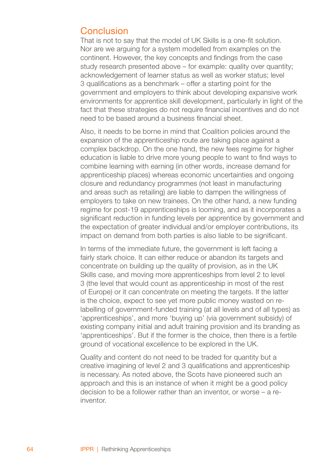### Conclusion

That is not to say that the model of UK Skills is a one-fit solution. Nor are we arguing for a system modelled from examples on the continent. However, the key concepts and findings from the case study research presented above – for example: quality over quantity: acknowledgement of learner status as well as worker status; level 3 qualifications as a benchmark – offer a starting point for the government and employers to think about developing expansive work environments for apprentice skill development, particularly in light of the fact that these strategies do not require financial incentives and do not need to be based around a business financial sheet.

Also, it needs to be borne in mind that Coalition policies around the expansion of the apprenticeship route are taking place against a complex backdrop. On the one hand, the new fees regime for higher education is liable to drive more young people to want to find ways to combine learning with earning (in other words, increase demand for apprenticeship places) whereas economic uncertainties and ongoing closure and redundancy programmes (not least in manufacturing and areas such as retailing) are liable to dampen the willingness of employers to take on new trainees. On the other hand, a new funding regime for post-19 apprenticeships is looming, and as it incorporates a significant reduction in funding levels per apprentice by government and the expectation of greater individual and/or employer contributions, its impact on demand from both parties is also liable to be significant.

In terms of the immediate future, the government is left facing a fairly stark choice. It can either reduce or abandon its targets and concentrate on building up the quality of provision, as in the UK Skills case, and moving more apprenticeships from level 2 to level 3 (the level that would count as apprenticeship in most of the rest of Europe) or it can concentrate on meeting the targets. If the latter is the choice, expect to see yet more public money wasted on relabelling of government-funded training (at all levels and of all types) as 'apprenticeships', and more 'buying up' (via government subsidy) of existing company initial and adult training provision and its branding as 'apprenticeships'. But if the former is the choice, then there is a fertile ground of vocational excellence to be explored in the UK.

Quality and content do not need to be traded for quantity but a creative imagining of level 2 and 3 qualifications and apprenticeship is necessary. As noted above, the Scots have pioneered such an approach and this is an instance of when it might be a good policy decision to be a follower rather than an inventor, or worse – a reinventor.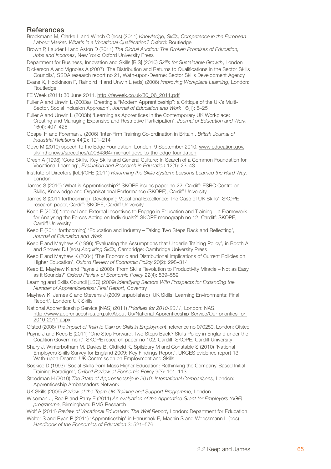#### **References**

Brockmann M, Clarke L and Winch C (eds) (2011) *Knowledge, Skills, Competence in the European Labour Market: What's in a Vocational Qualification?* Oxford: Routledge

Brown P, Lauder H and Aston D (2011) *The Global Auction: The Broken Promises of Education, Jobs and Incomes*, New York: Oxford University Press

Department for Business, Innovation and Skills [BIS] (2010) *Skills for Sustainable Growth*, London Dickerson A and Vignoles A (2007) 'The Distribution and Returns to Qualifications in the Sector Skills

- Councils', SSDA research report no 21, Wath-upon-Dearne: Sector Skills Development Agency
- Evans K, Hodkinson P, Rainbird H and Unwin L (eds) (2006) *Improving Workplace Learning*, London: **Routledge**

FE Week (2011) 30 June 2011. http://feweek.co.uk/30\_06\_2011.pdf

Fuller A and Unwin L (2003a) 'Creating a "Modern Apprenticeship": a Critique of the UK's Multi-Sector, Social Inclusion Approach', *Journal of Education and Work* 16(1): 5–25

Fuller A and Unwin L (2003b) 'Learning as Apprentices in the Contemporary UK Workplace: Creating and Managing Expansive and Restrictive Participation', *Journal of Education and Work* 16(4): 407–426

Gospel H and Foreman J (2006) 'Inter-Firm Training Co-ordination in Britain', *British Journal of Industrial Relations* 44(2): 191–214

- Gove M (2010) speech to the Edge Foundation, London, 9 September 2010. www.education.gov. uk/inthenews/speeches/a0064364/michael-gove-to-the-edge-foundation
- Green A (1998) 'Core Skills, Key Skills and General Culture: In Search of a Common Foundation for Vocational Learning', *Evaluation and Research in Education* 12(1): 23–43
- Institute of Directors [IoD]/CFE (2011) *Reforming the Skills System: Lessons Learned the Hard Way*, London

James S (2010) 'What is Apprenticeship?' SKOPE issues paper no 22, Cardiff: ESRC Centre on Skills, Knowledge and Organisational Performance (SKOPE), Cardiff University

James S (2011 forthcoming) 'Developing Vocational Excellence: The Case of UK Skills', SKOPE research paper, Cardiff: SKOPE, Cardiff University

Keep E (2009) 'Internal and External Incentives to Engage in Education and Training – a Framework for Analysing the Forces Acting on Individuals?' SKOPE monograph no 12, Cardiff: SKOPE Cardiff University

Keep E (2011 forthcoming) 'Education and Industry – Taking Two Steps Back and Reflecting', *Journal of Education and Work*

Keep E and Mayhew K (1996) 'Evaluating the Assumptions that Underlie Training Policy', in Booth A and Snower DJ (eds) *Acquiring Skills*, Cambridge: Cambridge University Press

Keep E and Mayhew K (2004) 'The Economic and Distributional Implications of Current Policies on Higher Education', *Oxford Review of Economic Policy* 20(2): 298–314

Keep E, Mayhew K and Payne J (2006) 'From Skills Revolution to Productivity Miracle – Not as Easy as it Sounds?' *Oxford Review of Economic Policy* 22(4): 539–559

Learning and Skills Council [LSC] (2009) *Identifying Sectors With Prospects for Expanding the Number of Apprenticeships: Final Report*, Coventry

Mayhew K, James S and Stevens J (2009 unpublished) 'UK Skills: Learning Environments: Final Report', London: UK Skills

National Apprenticeship Service [NAS] (2011) *Priorities for 2010-2011*, London: NAS. http://www.apprenticeships.org.uk/About-Us/National-Apprenticeship-Service/Our-priorities-for-2010-2011.aspx

Ofsted (2008) *The Impact of Train to Gain on Skills in Employment*, reference no 070250, London: Ofsted

Payne J and Keep E (2011) 'One Step Forward, Two Steps Back? Skills Policy in England under the Coalition Government', SKOPE research paper no 102, Cardiff: SKOPE, Cardiff University

Shury J, Winterbotham M, Davies B, Oldfield K, Spilsbury M and Constable S (2010) 'National Employers Skills Survey for England 2009: Key Findings Report', UKCES evidence report 13, Wath-upon-Dearne: UK Commission on Employment and Skills

Soskice D (1993) 'Social Skills from Mass Higher Education: Rethinking the Company-Based Initial Training Paradigm', *Oxford Review of Economic Policy* 9(3): 101–113

Steedman H (2010) *The State of Apprenticeship in 2010: International Comparisons*, London: Apprenticeship Ambassadors Network

UK Skills (2009) *Review of the Team UK Training and Support Programme*, London

Wiseman J, Roe P and Parry E (2011) *An evaluation of the Apprentice Grant for Employers (AGE) programme*, Birmingham: BMG Research

Wolf A (2011) *Review of Vocational Education: The Wolf Report*, London: Department for Education

Wolter S and Ryan P (2011) 'Apprenticeship' in Hanushek E, Machin S and Woessmann L (eds) *Handbook of the Economics of Education* 3: 521–576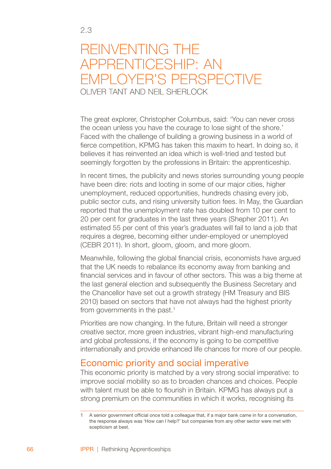## Reinventing the apprenticeship: An employer's perspective OLIVER TANT AND NEIL SHERLOCK

The great explorer, Christopher Columbus, said: 'You can never cross the ocean unless you have the courage to lose sight of the shore.' Faced with the challenge of building a growing business in a world of fierce competition, KPMG has taken this maxim to heart. In doing so, it believes it has reinvented an idea which is well-tried and tested but seemingly forgotten by the professions in Britain: the apprenticeship.

In recent times, the publicity and news stories surrounding young people have been dire: riots and looting in some of our major cities, higher unemployment, reduced opportunities, hundreds chasing every job, public sector cuts, and rising university tuition fees. In May, the Guardian reported that the unemployment rate has doubled from 10 per cent to 20 per cent for graduates in the last three years (Shepher 2011). An estimated 55 per cent of this year's graduates will fail to land a job that requires a degree, becoming either under-employed or unemployed (CEBR 2011). In short, gloom, gloom, and more gloom.

Meanwhile, following the global financial crisis, economists have argued that the UK needs to rebalance its economy away from banking and financial services and in favour of other sectors. This was a big theme at the last general election and subsequently the Business Secretary and the Chancellor have set out a growth strategy (HM Treasury and BIS 2010) based on sectors that have not always had the highest priority from governments in the past.

Priorities are now changing. In the future, Britain will need a stronger creative sector, more green industries, vibrant high-end manufacturing and global professions, if the economy is going to be competitive internationally and provide enhanced life chances for more of our people.

## Economic priority and social imperative

This economic priority is matched by a very strong social imperative: to improve social mobility so as to broaden chances and choices. People with talent must be able to flourish in Britain. KPMG has always put a strong premium on the communities in which it works, recognising its

A senior government official once told a colleague that, if a major bank came in for a conversation, the response always was 'How can I help?' but companies from any other sector were met with scepticism at best.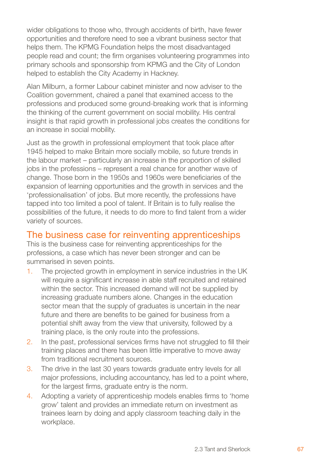wider obligations to those who, through accidents of birth, have fewer opportunities and therefore need to see a vibrant business sector that helps them. The KPMG Foundation helps the most disadvantaged people read and count; the firm organises volunteering programmes into primary schools and sponsorship from KPMG and the City of London helped to establish the City Academy in Hackney.

Alan Milburn, a former Labour cabinet minister and now adviser to the Coalition government, chaired a panel that examined access to the professions and produced some ground-breaking work that is informing the thinking of the current government on social mobility. His central insight is that rapid growth in professional jobs creates the conditions for an increase in social mobility.

Just as the growth in professional employment that took place after 1945 helped to make Britain more socially mobile, so future trends in the labour market – particularly an increase in the proportion of skilled jobs in the professions – represent a real chance for another wave of change. Those born in the 1950s and 1960s were beneficiaries of the expansion of learning opportunities and the growth in services and the 'professionalisation' of jobs. But more recently, the professions have tapped into too limited a pool of talent. If Britain is to fully realise the possibilities of the future, it needs to do more to find talent from a wider variety of sources.

#### The business case for reinventing apprenticeships

This is the business case for reinventing apprenticeships for the professions, a case which has never been stronger and can be summarised in seven points.

- The projected growth in employment in service industries in the UK will require a significant increase in able staff recruited and retained within the sector. This increased demand will not be supplied by increasing graduate numbers alone. Changes in the education sector mean that the supply of graduates is uncertain in the near future and there are benefits to be gained for business from a potential shift away from the view that university, followed by a training place, is the only route into the professions. 1.
- 2. In the past, professional services firms have not struggled to fill their training places and there has been little imperative to move away from traditional recruitment sources.
- The drive in the last 30 years towards graduate entry levels for all major professions, including accountancy, has led to a point where, for the largest firms, graduate entry is the norm. 3.
- Adopting a variety of apprenticeship models enables firms to 'home grow' talent and provides an immediate return on investment as trainees learn by doing and apply classroom teaching daily in the workplace. 4.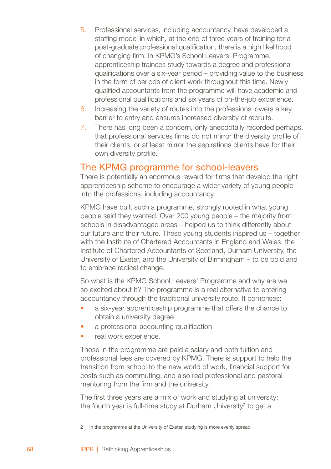- Professional services, including accountancy, have developed a staffing model in which, at the end of three years of training for a post-graduate professional qualification, there is a high likelihood of changing firm. In KPMG's School Leavers' Programme, apprenticeship trainees study towards a degree and professional qualifications over a six-year period – providing value to the business in the form of periods of client work throughout this time. Newly qualified accountants from the programme will have academic and professional qualifications and six years of on-the-job experience. 5.
- Increasing the variety of routes into the professions lowers a key barrier to entry and ensures increased diversity of recruits. 6.
- 7. There has long been a concern, only anecdotally recorded perhaps, that professional services firms do not mirror the diversity profile of their clients, or at least mirror the aspirations clients have for their own diversity profile.

## The KPMG programme for school-leavers

There is potentially an enormous reward for firms that develop the right apprenticeship scheme to encourage a wider variety of young people into the professions, including accountancy.

KPMG have built such a programme, strongly rooted in what young people said they wanted. Over 200 young people – the majority from schools in disadvantaged areas – helped us to think differently about our future and their future. These young students inspired us – together with the Institute of Chartered Accountants in England and Wales, the Institute of Chartered Accountants of Scotland, Durham University, the University of Exeter, and the University of Birmingham – to be bold and to embrace radical change.

So what is the KPMG School Leavers' Programme and why are we so excited about it? The programme is a real alternative to entering accountancy through the traditional university route. It comprises:

- a six-year apprenticeship programme that offers the chance to obtain a university degree •
- a professional accounting qualification •
- real work experience. •

Those in the programme are paid a salary and both tuition and professional fees are covered by KPMG. There is support to help the transition from school to the new world of work, financial support for costs such as commuting, and also real professional and pastoral mentoring from the firm and the university.

The first three years are a mix of work and studying at university; the fourth year is full-time study at Durham University $2$  to get a

<sup>2</sup> In the programme at the University of Exeter, studying is more evenly spread.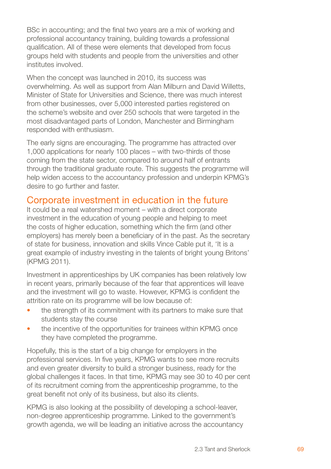BSc in accounting; and the final two years are a mix of working and professional accountancy training, building towards a professional qualification. All of these were elements that developed from focus groups held with students and people from the universities and other institutes involved.

When the concept was launched in 2010, its success was overwhelming. As well as support from Alan Milburn and David Willetts, Minister of State for Universities and Science, there was much interest from other businesses, over 5,000 interested parties registered on the scheme's website and over 250 schools that were targeted in the most disadvantaged parts of London, Manchester and Birmingham responded with enthusiasm.

The early signs are encouraging. The programme has attracted over 1,000 applications for nearly 100 places – with two-thirds of those coming from the state sector, compared to around half of entrants through the traditional graduate route. This suggests the programme will help widen access to the accountancy profession and underpin KPMG's desire to go further and faster.

# Corporate investment in education in the future

It could be a real watershed moment – with a direct corporate investment in the education of young people and helping to meet the costs of higher education, something which the firm (and other employers) has merely been a beneficiary of in the past. As the secretary of state for business, innovation and skills Vince Cable put it, 'It is a great example of industry investing in the talents of bright young Britons' (KPMG 2011).

Investment in apprenticeships by UK companies has been relatively low in recent years, primarily because of the fear that apprentices will leave and the investment will go to waste. However, KPMG is confident the attrition rate on its programme will be low because of:

- the strength of its commitment with its partners to make sure that students stay the course •
- the incentive of the opportunities for trainees within KPMG once they have completed the programme. •

Hopefully, this is the start of a big change for employers in the professional services. In five years, KPMG wants to see more recruits and even greater diversity to build a stronger business, ready for the global challenges it faces. In that time, KPMG may see 30 to 40 per cent of its recruitment coming from the apprenticeship programme, to the great benefit not only of its business, but also its clients.

KPMG is also looking at the possibility of developing a school-leaver, non-degree apprenticeship programme. Linked to the government's growth agenda, we will be leading an initiative across the accountancy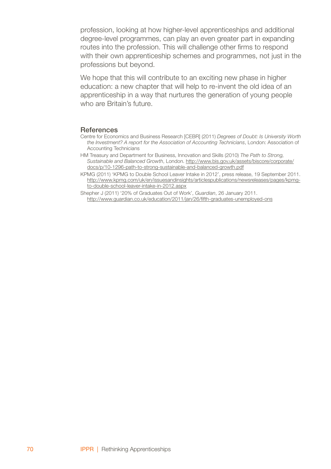profession, looking at how higher-level apprenticeships and additional degree-level programmes, can play an even greater part in expanding routes into the profession. This will challenge other firms to respond with their own apprenticeship schemes and programmes, not just in the professions but beyond.

We hope that this will contribute to an exciting new phase in higher education: a new chapter that will help to re-invent the old idea of an apprenticeship in a way that nurtures the generation of young people who are Britain's future.

#### **References**

- Centre for Economics and Business Research [CEBR] (2011) *Degrees of Doubt: Is University Worth the Investment? A report for the Association of Accounting Technicians*, London: Association of Accounting Technicians
- HM Treasury and Department for Business, Innovation and Skills (2010) *The Path to Strong, Sustainable and Balanced Growth*, London. http://www.bis.gov.uk/assets/biscore/corporate/ docs/p/10-1296-path-to-strong-sustainable-and-balanced-growth.pdf
- KPMG (2011) 'KPMG to Double School Leaver Intake in 2012', press release, 19 September 2011. http://www.kpmg.com/uk/en/issuesandinsights/articlespublications/newsreleases/pages/kpmgto-double-school-leaver-intake-in-2012.aspx
- Shepher J (2011) '20% of Graduates Out of Work', *Guardian*, 26 January 2011. http://www.guardian.co.uk/education/2011/jan/26/fifth-graduates-unemployed-ons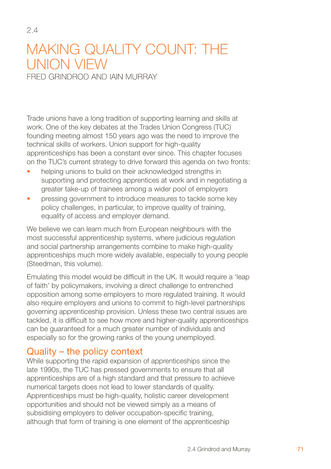# MAKING QUALITY COUNT: THE union view

Fred Grindrod and Iain Murray

 $24$ 

Trade unions have a long tradition of supporting learning and skills at work. One of the key debates at the Trades Union Congress (TUC) founding meeting almost 150 years ago was the need to improve the technical skills of workers. Union support for high-quality apprenticeships has been a constant ever since. This chapter focuses on the TUC's current strategy to drive forward this agenda on two fronts:

- helping unions to build on their acknowledged strengths in supporting and protecting apprentices at work and in negotiating a greater take-up of trainees among a wider pool of employers •
- pressing government to introduce measures to tackle some key policy challenges, in particular, to improve quality of training, equality of access and employer demand. •

We believe we can learn much from European neighbours with the most successful apprenticeship systems, where judicious regulation and social partnership arrangements combine to make high-quality apprenticeships much more widely available, especially to young people (Steedman, this volume).

Emulating this model would be difficult in the UK. It would require a 'leap of faith' by policymakers, involving a direct challenge to entrenched opposition among some employers to more regulated training. It would also require employers and unions to commit to high-level partnerships governing apprenticeship provision. Unless these two central issues are tackled, it is difficult to see how more and higher-quality apprenticeships can be guaranteed for a much greater number of individuals and especially so for the growing ranks of the young unemployed.

# Quality – the policy context

While supporting the rapid expansion of apprenticeships since the late 1990s, the TUC has pressed governments to ensure that all apprenticeships are of a high standard and that pressure to achieve numerical targets does not lead to lower standards of quality. Apprenticeships must be high-quality, holistic career development opportunities and should not be viewed simply as a means of subsidising employers to deliver occupation-specific training, although that form of training is one element of the apprenticeship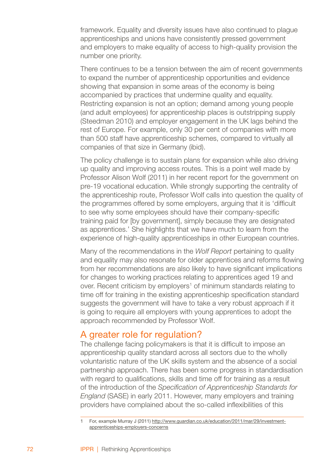framework. Equality and diversity issues have also continued to plague apprenticeships and unions have consistently pressed government and employers to make equality of access to high-quality provision the number one priority.

There continues to be a tension between the aim of recent governments to expand the number of apprenticeship opportunities and evidence showing that expansion in some areas of the economy is being accompanied by practices that undermine quality and equality. Restricting expansion is not an option; demand among young people (and adult employees) for apprenticeship places is outstripping supply (Steedman 2010) and employer engagement in the UK lags behind the rest of Europe. For example, only 30 per cent of companies with more than 500 staff have apprenticeship schemes, compared to virtually all companies of that size in Germany (ibid).

The policy challenge is to sustain plans for expansion while also driving up quality and improving access routes. This is a point well made by Professor Alison Wolf (2011) in her recent report for the government on pre-19 vocational education. While strongly supporting the centrality of the apprenticeship route, Professor Wolf calls into question the quality of the programmes offered by some employers, arguing that it is 'difficult to see why some employees should have their company-specific training paid for [by government], simply because they are designated as apprentices.' She highlights that we have much to learn from the experience of high-quality apprenticeships in other European countries.

Many of the recommendations in the *Wolf Report* pertaining to quality and equality may also resonate for older apprentices and reforms flowing from her recommendations are also likely to have significant implications for changes to working practices relating to apprentices aged 19 and over. Recent criticism by employers<sup>1</sup> of minimum standards relating to time off for training in the existing apprenticeship specification standard suggests the government will have to take a very robust approach if it is going to require all employers with young apprentices to adopt the approach recommended by Professor Wolf.

# A greater role for regulation?

The challenge facing policymakers is that it is difficult to impose an apprenticeship quality standard across all sectors due to the wholly voluntaristic nature of the UK skills system and the absence of a social partnership approach. There has been some progress in standardisation with regard to qualifications, skills and time off for training as a result of the introduction of the *Specification of Apprenticeship Standards for England* (SASE) in early 2011. However, many employers and training providers have complained about the so-called inflexibilities of this

For, example Murray J (2011) http://www.guardian.co.uk/education/2011/mar/29/investmentapprenticeships-employers-concerns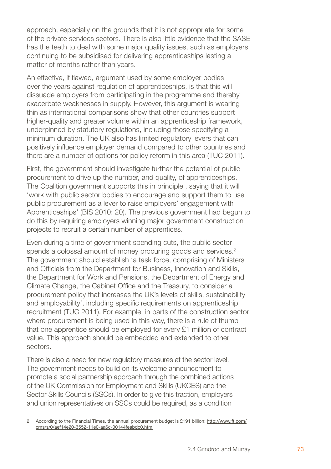approach, especially on the grounds that it is not appropriate for some of the private services sectors. There is also little evidence that the SASE has the teeth to deal with some major quality issues, such as employers continuing to be subsidised for delivering apprenticeships lasting a matter of months rather than years.

An effective, if flawed, argument used by some employer bodies over the years against regulation of apprenticeships, is that this will dissuade employers from participating in the programme and thereby exacerbate weaknesses in supply. However, this argument is wearing thin as international comparisons show that other countries support higher-quality and greater volume within an apprenticeship framework, underpinned by statutory regulations, including those specifying a minimum duration. The UK also has limited regulatory levers that can positively influence employer demand compared to other countries and there are a number of options for policy reform in this area (TUC 2011).

First, the government should investigate further the potential of public procurement to drive up the number, and quality, of apprenticeships. The Coalition government supports this in principle , saying that it will 'work with public sector bodies to encourage and support them to use public procurement as a lever to raise employers' engagement with Apprenticeships' (BIS 2010: 20). The previous government had begun to do this by requiring employers winning major government construction projects to recruit a certain number of apprentices.

Even during a time of government spending cuts, the public sector spends a colossal amount of money procuring goods and services.<sup>2</sup> The government should establish 'a task force, comprising of Ministers and Officials from the Department for Business, Innovation and Skills, the Department for Work and Pensions, the Department of Energy and Climate Change, the Cabinet Office and the Treasury, to consider a procurement policy that increases the UK's levels of skills, sustainability and employability', including specific requirements on apprenticeship recruitment (TUC 2011). For example, in parts of the construction sector where procurement is being used in this way, there is a rule of thumb that one apprentice should be employed for every £1 million of contract value. This approach should be embedded and extended to other sectors.

There is also a need for new regulatory measures at the sector level. The government needs to build on its welcome announcement to promote a social partnership approach through the combined actions of the UK Commission for Employment and Skills (UKCES) and the Sector Skills Councils (SSCs). In order to give this traction, employers and union representatives on SSCs could be required, as a condition

According to the Financial Times, the annual procurement budget is £191 billion: http://www.ft.com/ cms/s/0/aef14e20-3552-11e0-aa6c-00144feabdc0.html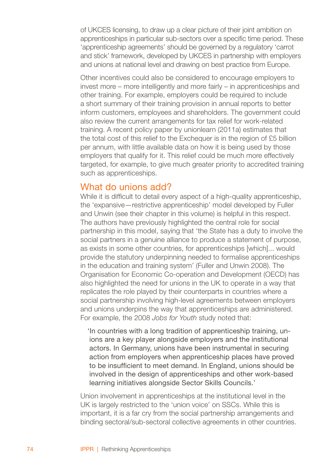of UKCES licensing, to draw up a clear picture of their joint ambition on apprenticeships in particular sub-sectors over a specific time period. These 'apprenticeship agreements' should be governed by a regulatory 'carrot and stick' framework, developed by UKCES in partnership with employers and unions at national level and drawing on best practice from Europe.

Other incentives could also be considered to encourage employers to invest more – more intelligently and more fairly – in apprenticeships and other training. For example, employers could be required to include a short summary of their training provision in annual reports to better inform customers, employees and shareholders. The government could also review the current arrangements for tax relief for work-related training. A recent policy paper by unionlearn (2011a) estimates that the total cost of this relief to the Exchequer is in the region of £5 billion per annum, with little available data on how it is being used by those employers that qualify for it. This relief could be much more effectively targeted, for example, to give much greater priority to accredited training such as apprenticeships.

### What do unions add?

While it is difficult to detail every aspect of a high-quality apprenticeship, the 'expansive—restrictive apprenticeship' model developed by Fuller and Unwin (see their chapter in this volume) is helpful in this respect. The authors have previously highlighted the central role for social partnership in this model, saying that 'the State has a duty to involve the social partners in a genuine alliance to produce a statement of purpose, as exists in some other countries, for apprenticeships [which]... would provide the statutory underpinning needed to formalise apprenticeships in the education and training system' (Fuller and Unwin 2008). The Organisation for Economic Co-operation and Development (OECD) has also highlighted the need for unions in the UK to operate in a way that replicates the role played by their counterparts in countries where a social partnership involving high-level agreements between employers and unions underpins the way that apprenticeships are administered. For example, the 2008 *Jobs for Youth* study noted that:

'In countries with a long tradition of apprenticeship training, un ions are a key player alongside employers and the institutional actors. In Germany, unions have been instrumental in securing action from employers when apprenticeship places have proved to be insufficient to meet demand. In England, unions should be involved in the design of apprenticeships and other work-based learning initiatives alongside Sector Skills Councils.'

Union involvement in apprenticeships at the institutional level in the UK is largely restricted to the 'union voice' on SSCs. While this is important, it is a far cry from the social partnership arrangements and binding sectoral/sub-sectoral collective agreements in other countries.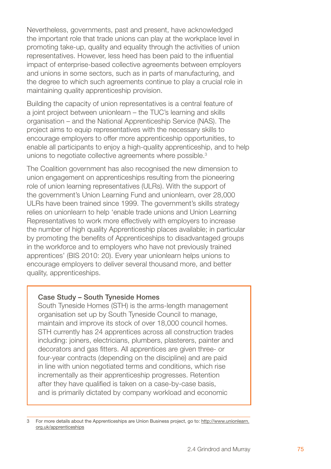Nevertheless, governments, past and present, have acknowledged the important role that trade unions can play at the workplace level in promoting take-up, quality and equality through the activities of union representatives. However, less heed has been paid to the influential impact of enterprise-based collective agreements between employers and unions in some sectors, such as in parts of manufacturing, and the degree to which such agreements continue to play a crucial role in maintaining quality apprenticeship provision.

Building the capacity of union representatives is a central feature of a joint project between unionlearn – the TUC's learning and skills organisation – and the National Apprenticeship Service (NAS). The project aims to equip representatives with the necessary skills to encourage employers to offer more apprenticeship opportunities, to enable all participants to enjoy a high-quality apprenticeship, and to help unions to negotiate collective agreements where possible.<sup>3</sup>

The Coalition government has also recognised the new dimension to union engagement on apprenticeships resulting from the pioneering role of union learning representatives (ULRs). With the support of the government's Union Learning Fund and unionlearn, over 28,000 ULRs have been trained since 1999. The government's skills strategy relies on unionlearn to help 'enable trade unions and Union Learning Representatives to work more effectively with employers to increase the number of high quality Apprenticeship places available; in particular by promoting the benefits of Apprenticeships to disadvantaged groups in the workforce and to employers who have not previously trained apprentices' (BIS 2010: 20). Every year unionlearn helps unions to encourage employers to deliver several thousand more, and better quality, apprenticeships.

#### Case Study – South Tyneside Homes

South Tyneside Homes (STH) is the arms-length management organisation set up by South Tyneside Council to manage, maintain and improve its stock of over 18,000 council homes. STH currently has 24 apprentices across all construction trades including: joiners, electricians, plumbers, plasterers, painter and decorators and gas fitters. All apprentices are given three- or four-year contracts (depending on the discipline) and are paid in line with union negotiated terms and conditions, which rise incrementally as their apprenticeship progresses. Retention after they have qualified is taken on a case-by-case basis, and is primarily dictated by company workload and economic

For more details about the Apprenticeships are Union Business project, go to: http://www.unionlearn. org.uk/apprenticeships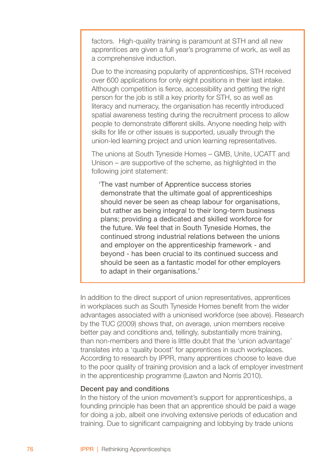factors. High-quality training is paramount at STH and all new apprentices are given a full year's programme of work, as well as a comprehensive induction.

Due to the increasing popularity of apprenticeships, STH received over 600 applications for only eight positions in their last intake. Although competition is fierce, accessibility and getting the right person for the job is still a key priority for STH, so as well as literacy and numeracy, the organisation has recently introduced spatial awareness testing during the recruitment process to allow people to demonstrate different skills. Anyone needing help with skills for life or other issues is supported, usually through the union-led learning project and union learning representatives.

The unions at South Tyneside Homes – GMB, Unite, UCATT and Unison – are supportive of the scheme, as highlighted in the following joint statement:

'The vast number of Apprentice success stories demonstrate that the ultimate goal of apprenticeships should never be seen as cheap labour for organisations, but rather as being integral to their long-term business plans; providing a dedicated and skilled workforce for the future. We feel that in South Tyneside Homes, the continued strong industrial relations between the unions and employer on the apprenticeship framework - and beyond - has been crucial to its continued success and should be seen as a fantastic model for other employers to adapt in their organisations.'

In addition to the direct support of union representatives, apprentices in workplaces such as South Tyneside Homes benefit from the wider advantages associated with a unionised workforce (see above). Research by the TUC (2009) shows that, on average, union members receive better pay and conditions and, tellingly, substantially more training, than non-members and there is little doubt that the 'union advantage' translates into a 'quality boost' for apprentices in such workplaces. According to research by IPPR, many apprentices choose to leave due to the poor quality of training provision and a lack of employer investment in the apprenticeship programme (Lawton and Norris 2010).

#### Decent pay and conditions

In the history of the union movement's support for apprenticeships, a founding principle has been that an apprentice should be paid a wage for doing a job, albeit one involving extensive periods of education and training. Due to significant campaigning and lobbying by trade unions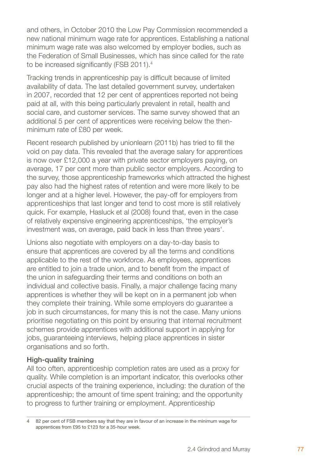and others, in October 2010 the Low Pay Commission recommended a new national minimum wage rate for apprentices. Establishing a national minimum wage rate was also welcomed by employer bodies, such as the Federation of Small Businesses, which has since called for the rate to be increased significantly (FSB 2011).<sup>4</sup>

Tracking trends in apprenticeship pay is difficult because of limited availability of data. The last detailed government survey, undertaken in 2007, recorded that 12 per cent of apprentices reported not being paid at all, with this being particularly prevalent in retail, health and social care, and customer services. The same survey showed that an additional 5 per cent of apprentices were receiving below the thenminimum rate of £80 per week.

Recent research published by unionlearn (2011b) has tried to fill the void on pay data. This revealed that the average salary for apprentices is now over £12,000 a year with private sector employers paying, on average, 17 per cent more than public sector employers. According to the survey, those apprenticeship frameworks which attracted the highest pay also had the highest rates of retention and were more likely to be longer and at a higher level. However, the pay-off for employers from apprenticeships that last longer and tend to cost more is still relatively quick. For example, Hasluck et al (2008) found that, even in the case of relatively expensive engineering apprenticeships, 'the employer's investment was, on average, paid back in less than three years'.

Unions also negotiate with employers on a day-to-day basis to ensure that apprentices are covered by all the terms and conditions applicable to the rest of the workforce. As employees, apprentices are entitled to join a trade union, and to benefit from the impact of the union in safeguarding their terms and conditions on both an individual and collective basis. Finally, a major challenge facing many apprentices is whether they will be kept on in a permanent job when they complete their training. While some employers do guarantee a job in such circumstances, for many this is not the case. Many unions prioritise negotiating on this point by ensuring that internal recruitment schemes provide apprentices with additional support in applying for jobs, guaranteeing interviews, helping place apprentices in sister organisations and so forth.

#### High-quality training

All too often, apprenticeship completion rates are used as a proxy for quality. While completion is an important indicator, this overlooks other crucial aspects of the training experience, including: the duration of the apprenticeship; the amount of time spent training; and the opportunity to progress to further training or employment. Apprenticeship

<sup>82</sup> per cent of FSB members say that they are in favour of an increase in the minimum wage for apprentices from £95 to £123 for a 35-hour week.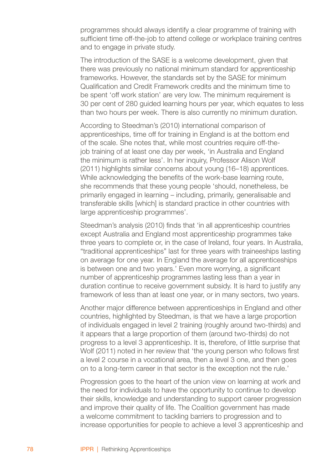programmes should always identify a clear programme of training with sufficient time off-the-job to attend college or workplace training centres and to engage in private study.

The introduction of the SASE is a welcome development, given that there was previously no national minimum standard for apprenticeship frameworks. However, the standards set by the SASE for minimum Qualification and Credit Framework credits and the minimum time to be spent 'off work station' are very low. The minimum requirement is 30 per cent of 280 guided learning hours per year, which equates to less than two hours per week. There is also currently no minimum duration.

According to Steedman's (2010) international comparison of apprenticeships, time off for training in England is at the bottom end of the scale. She notes that, while most countries require off-thejob training of at least one day per week, 'in Australia and England the minimum is rather less'. In her inquiry, Professor Alison Wolf (2011) highlights similar concerns about young (16–18) apprentices. While acknowledging the benefits of the work-base learning route, she recommends that these young people 'should, nonetheless, be primarily engaged in learning – including, primarily, generalisable and transferable skills [which] is standard practice in other countries with large apprenticeship programmes'.

Steedman's analysis (2010) finds that 'in all apprenticeship countries except Australia and England most apprenticeship programmes take three years to complete or, in the case of Ireland, four years. In Australia, "traditional apprenticeships" last for three years with traineeships lasting on average for one year. In England the average for all apprenticeships is between one and two years.' Even more worrying, a significant number of apprenticeship programmes lasting less than a year in duration continue to receive government subsidy. It is hard to justify any framework of less than at least one year, or in many sectors, two years.

Another major difference between apprenticeships in England and other countries, highlighted by Steedman, is that we have a large proportion of individuals engaged in level 2 training (roughly around two-thirds) and it appears that a large proportion of them (around two-thirds) do not progress to a level 3 apprenticeship. It is, therefore, of little surprise that Wolf (2011) noted in her review that 'the young person who follows first a level 2 course in a vocational area, then a level 3 one, and then goes on to a long-term career in that sector is the exception not the rule.'

Progression goes to the heart of the union view on learning at work and the need for individuals to have the opportunity to continue to develop their skills, knowledge and understanding to support career progression and improve their quality of life. The Coalition government has made a welcome commitment to tackling barriers to progression and to increase opportunities for people to achieve a level 3 apprenticeship and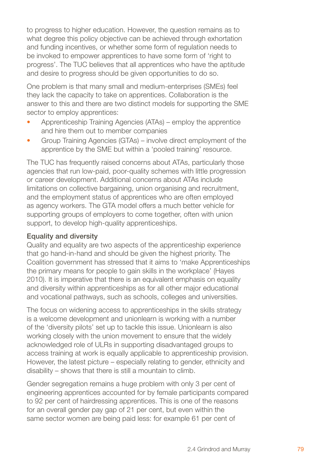to progress to higher education. However, the question remains as to what degree this policy objective can be achieved through exhortation and funding incentives, or whether some form of regulation needs to be invoked to empower apprentices to have some form of 'right to progress'. The TUC believes that all apprentices who have the aptitude and desire to progress should be given opportunities to do so.

One problem is that many small and medium-enterprises (SMEs) feel they lack the capacity to take on apprentices. Collaboration is the answer to this and there are two distinct models for supporting the SME sector to employ apprentices:

- Apprenticeship Training Agencies (ATAs) employ the apprentice and hire them out to member companies •
- Group Training Agencies (GTAs) involve direct employment of the apprentice by the SME but within a 'pooled training' resource. •

The TUC has frequently raised concerns about ATAs, particularly those agencies that run low-paid, poor-quality schemes with little progression or career development. Additional concerns about ATAs include limitations on collective bargaining, union organising and recruitment, and the employment status of apprentices who are often employed as agency workers. The GTA model offers a much better vehicle for supporting groups of employers to come together, often with union support, to develop high-quality apprenticeships.

#### Equality and diversity

Quality and equality are two aspects of the apprenticeship experience that go hand-in-hand and should be given the highest priority. The Coalition government has stressed that it aims to 'make Apprenticeships the primary means for people to gain skills in the workplace' (Hayes 2010). It is imperative that there is an equivalent emphasis on equality and diversity within apprenticeships as for all other major educational and vocational pathways, such as schools, colleges and universities.

The focus on widening access to apprenticeships in the skills strategy is a welcome development and unionlearn is working with a number of the 'diversity pilots' set up to tackle this issue. Unionlearn is also working closely with the union movement to ensure that the widely acknowledged role of ULRs in supporting disadvantaged groups to access training at work is equally applicable to apprenticeship provision. However, the latest picture – especially relating to gender, ethnicity and disability – shows that there is still a mountain to climb.

Gender segregation remains a huge problem with only 3 per cent of engineering apprentices accounted for by female participants compared to 92 per cent of hairdressing apprentices. This is one of the reasons for an overall gender pay gap of 21 per cent, but even within the same sector women are being paid less: for example 61 per cent of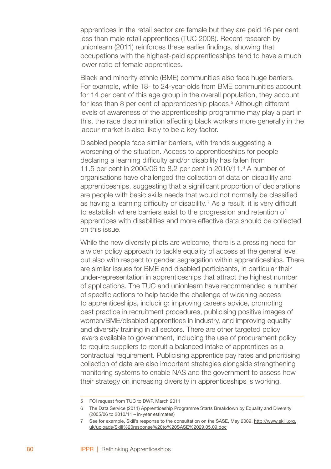apprentices in the retail sector are female but they are paid 16 per cent less than male retail apprentices (TUC 2008). Recent research by unionlearn (2011) reinforces these earlier findings, showing that occupations with the highest-paid apprenticeships tend to have a much lower ratio of female apprentices.

Black and minority ethnic (BME) communities also face huge barriers. For example, while 18- to 24-year-olds from BME communities account for 14 per cent of this age group in the overall population, they account for less than 8 per cent of apprenticeship places.<sup>5</sup> Although different levels of awareness of the apprenticeship programme may play a part in this, the race discrimination affecting black workers more generally in the labour market is also likely to be a key factor.

Disabled people face similar barriers, with trends suggesting a worsening of the situation. Access to apprenticeships for people declaring a learning difficulty and/or disability has fallen from 11.5 per cent in 2005/06 to 8.2 per cent in 2010/11.<sup>6</sup> A number of organisations have challenged the collection of data on disability and apprenticeships, suggesting that a significant proportion of declarations are people with basic skills needs that would not normally be classified as having a learning difficulty or disability.<sup> $7$ </sup> As a result, it is very difficult to establish where barriers exist to the progression and retention of apprentices with disabilities and more effective data should be collected on this issue.

While the new diversity pilots are welcome, there is a pressing need for a wider policy approach to tackle equality of access at the general level but also with respect to gender segregation within apprenticeships. There are similar issues for BME and disabled participants, in particular their under-representation in apprenticeships that attract the highest number of applications. The TUC and unionlearn have recommended a number of specific actions to help tackle the challenge of widening access to apprenticeships, including: improving careers advice, promoting best practice in recruitment procedures, publicising positive images of women/BME/disabled apprentices in industry, and improving equality and diversity training in all sectors. There are other targeted policy levers available to government, including the use of procurement policy to require suppliers to recruit a balanced intake of apprentices as a contractual requirement. Publicising apprentice pay rates and prioritising collection of data are also important strategies alongside strengthening monitoring systems to enable NAS and the government to assess how their strategy on increasing diversity in apprenticeships is working.

FOI request from TUC to DWP, March 2011

The Data Service (2011) Apprenticeship Programme Starts Breakdown by Equality and Diversity (2005/06 to 2010/11 – in-year estimates)

<sup>7</sup> See for example, Skill's response to the consultation on the SASE, May 2009, http://www.skill.org. uk/uploads/Skill%20response%20to%20SASE%2029.05.09.doc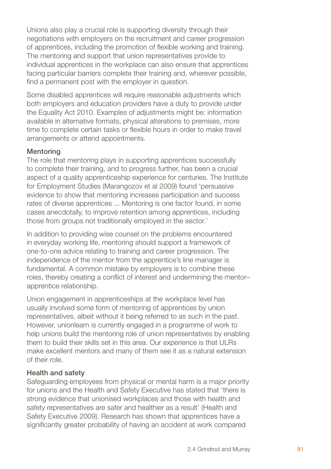Unions also play a crucial role is supporting diversity through their negotiations with employers on the recruitment and career progression of apprentices, including the promotion of flexible working and training. The mentoring and support that union representatives provide to individual apprentices in the workplace can also ensure that apprentices facing particular barriers complete their training and, wherever possible, find a permanent post with the employer in question.

Some disabled apprentices will require reasonable adjustments which both employers and education providers have a duty to provide under the Equality Act 2010. Examples of adjustments might be: information available in alternative formats, physical alterations to premises, more time to complete certain tasks or flexible hours in order to make travel arrangements or attend appointments.

#### Mentoring

The role that mentoring plays in supporting apprentices successfully to complete their training, and to progress further, has been a crucial aspect of a quality apprenticeship experience for centuries. The Institute for Employment Studies (Marangozov et al 2009) found 'persuasive evidence to show that mentoring increases participation and success rates of diverse apprentices ... Mentoring is one factor found, in some cases anecdotally, to improve retention among apprentices, including those from groups not traditionally employed in the sector.'

In addition to providing wise counsel on the problems encountered in everyday working life, mentoring should support a framework of one-to-one advice relating to training and career progression. The independence of the mentor from the apprentice's line manager is fundamental. A common mistake by employers is to combine these roles, thereby creating a conflict of interest and undermining the mentor– apprentice relationship.

Union engagement in apprenticeships at the workplace level has usually involved some form of mentoring of apprentices by union representatives, albeit without it being referred to as such in the past. However, unionlearn is currently engaged in a programme of work to help unions build the mentoring role of union representatives by enabling them to build their skills set in this area. Our experience is that ULRs make excellent mentors and many of them see it as a natural extension of their role.

#### Health and safety

Safeguarding employees from physical or mental harm is a major priority for unions and the Health and Safety Executive has stated that 'there is strong evidence that unionised workplaces and those with health and safety representatives are safer and healthier as a result' (Health and Safety Executive 2009). Research has shown that apprentices have a significantly greater probability of having an accident at work compared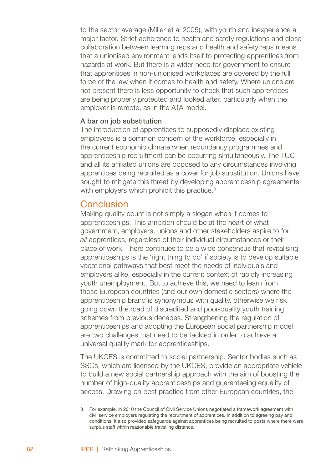to the sector average (Miller et al 2005), with youth and inexperience a major factor. Strict adherence to health and safety regulations and close collaboration between learning reps and health and safety reps means that a unionised environment lends itself to protecting apprentices from hazards at work. But there is a wider need for government to ensure that apprentices in non-unionised workplaces are covered by the full force of the law when it comes to health and safety. Where unions are not present there is less opportunity to check that such apprentices are being properly protected and looked after, particularly when the employer is remote, as in the ATA model.

#### A bar on job substitution

The introduction of apprentices to supposedly displace existing employees is a common concern of the workforce, especially in the current economic climate when redundancy programmes and apprenticeship recruitment can be occurring simultaneously. The TUC and all its affiliated unions are opposed to any circumstances involving apprentices being recruited as a cover for job substitution. Unions have sought to mitigate this threat by developing apprenticeship agreements with employers which prohibit this practice.<sup>8</sup>

#### Conclusion

Making quality count is not simply a slogan when it comes to apprenticeships. This ambition should be at the heart of what government, employers, unions and other stakeholders aspire to for *all* apprentices, regardless of their individual circumstances or their place of work. There continues to be a wide consensus that revitalising apprenticeships is the 'right thing to do' if society is to develop suitable vocational pathways that best meet the needs of individuals and employers alike, especially in the current context of rapidly increasing youth unemployment. But to achieve this, we need to learn from those European countries (and our own domestic sectors) where the apprenticeship brand is synonymous with quality, otherwise we risk going down the road of discredited and poor-quality youth training schemes from previous decades. Strengthening the regulation of apprenticeships and adopting the European social partnership model are two challenges that need to be tackled in order to achieve a universal quality mark for apprenticeships.

The UKCES is committed to social partnership. Sector bodies such as SSCs, which are licensed by the UKCES, provide an appropriate vehicle to build a new social partnership approach with the aim of boosting the number of high-quality apprenticeships and guaranteeing equality of access. Drawing on best practice from other European countries, the

For example, in 2010 the Council of Civil Service Unions negotiated a framework agreement with civil service employers regulating the recruitment of apprentices. In addition to agreeing pay and conditions, it also provided safeguards against apprentices being recruited to posts where there were surplus staff within reasonable travelling distance.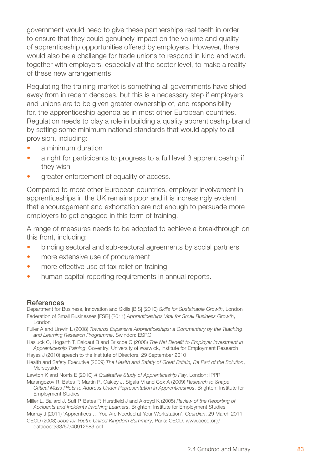government would need to give these partnerships real teeth in order to ensure that they could genuinely impact on the volume and quality of apprenticeship opportunities offered by employers. However, there would also be a challenge for trade unions to respond in kind and work together with employers, especially at the sector level, to make a reality of these new arrangements.

Regulating the training market is something all governments have shied away from in recent decades, but this is a necessary step if employers and unions are to be given greater ownership of, and responsibility for, the apprenticeship agenda as in most other European countries. Regulation needs to play a role in building a quality apprenticeship brand by setting some minimum national standards that would apply to all provision, including:

- a minimum duration •
- a right for participants to progress to a full level 3 apprenticeship if they wish •
- greater enforcement of equality of access. •

Compared to most other European countries, employer involvement in apprenticeships in the UK remains poor and it is increasingly evident that encouragement and exhortation are not enough to persuade more employers to get engaged in this form of training.

A range of measures needs to be adopted to achieve a breakthrough on this front, including:

- binding sectoral and sub-sectoral agreements by social partners •
- more extensive use of procurement •
- more effective use of tax relief on training •
- human capital reporting requirements in annual reports. •

#### References

Department for Business, Innovation and Skills [BIS] (2010) *Skills for Sustainable Growth*, London Federation of Small Businesses [FSB] (2011) *Apprenticeships Vital for Small Business Growth*, London

Fuller A and Unwin L (2008) *Towards Expansive Apprenticeships: a Commentary by the Teaching and Learning Research Programme*, Swindon: ESRC

Hasluck C, Hogarth T, Baldauf B and Briscoe G (2008) *The Net Benefit to Employer Investment in Apprenticeship Training*, Coventry: University of Warwick, Institute for Employment Research

Hayes J (2010) speech to the Institute of Directors, 29 September 2010.

Health and Safety Executive (2009) *The Health and Safety of Great Britain, Be Part of the Solution*, Merseyside

Lawton K and Norris E (2010) *A Qualitative Study of Apprenticeship Pay*, London: IPPR

Marangozov R, Bates P, Martin R, Oakley J, Sigala M and Cox A (2009) *Research to Shape Critical Mass Pilots to Address Under-Representation in Apprenticeships*, Brighton: Institute for Employment Studies

Miller L, Ballard J, Suff P, Bates P, Hurstfield J and Akroyd K (2005) *Review of the Reporting of Accidents and Incidents Involving Learners*, Brighton: Institute for Employment Studies

Murray J (2011) 'Apprentices … You Are Needed at Your Workstation', *Guardian*, 29 March 2011

OECD (2008) *Jobs for Youth: United Kingdom Summary*, Paris: OECD. www.oecd.org/ dataoecd/33/57/40912683.pdf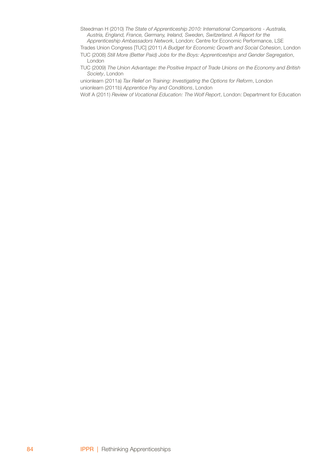- Steedman H (2010) *The State of Apprenticeship 2010: International Comparisons Australia, Austria, England, France, Germany, Ireland, Sweden, Switzerland. A Report for the*
- *Apprenticeship Ambassadors Network*, London: Centre for Economic Performance, LSE Trades Union Congress [TUC] (2011) *A Budget for Economic Growth and Social Cohesion*, London
- TUC (2008) *Still More (Better Paid) Jobs for the Boys: Apprenticeships and Gender Segregation*, London
- TUC (2009) *The Union Advantage: the Positive Impact of Trade Unions on the Economy and British Society*, London

unionlearn (2011a) *Tax Relief on Training: Investigating the Options for Reform*, London unionlearn (2011b) *Apprentice Pay and Conditions*, London

Wolf A (2011) *Review of Vocational Education: The Wolf Report*, London: Department for Education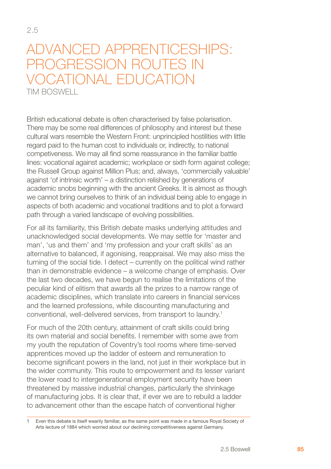# Advanced apprenticeships: Progression routes in vocational education Tim Boswell

British educational debate is often characterised by false polarisation. There may be some real differences of philosophy and interest but these cultural wars resemble the Western Front: unprincipled hostilities with little regard paid to the human cost to individuals or, indirectly, to national competiveness. We may all find some reassurance in the familiar battle lines: vocational against academic; workplace or sixth form against college; the Russell Group against Million Plus; and, always, 'commercially valuable' against 'of intrinsic worth' – a distinction relished by generations of academic snobs beginning with the ancient Greeks. It is almost as though we cannot bring ourselves to think of an individual being able to engage in aspects of both academic and vocational traditions and to plot a forward path through a varied landscape of evolving possibilities.

For all its familiarity, this British debate masks underlying attitudes and unacknowledged social developments. We may settle for 'master and man', 'us and them' and 'my profession and your craft skills' as an alternative to balanced, if agonising, reappraisal. We may also miss the turning of the social tide. I detect – currently on the political wind rather than in demonstrable evidence – a welcome change of emphasis. Over the last two decades, we have begun to realise the limitations of the peculiar kind of elitism that awards all the prizes to a narrow range of academic disciplines, which translate into careers in financial services and the learned professions, while discounting manufacturing and conventional, well-delivered services, from transport to laundry.

For much of the 20th century, attainment of craft skills could bring its own material and social benefits. I remember with some awe from my youth the reputation of Coventry's tool rooms where time-served apprentices moved up the ladder of esteem and remuneration to become significant powers in the land, not just in their workplace but in the wider community. This route to empowerment and its lesser variant the lower road to intergenerational employment security have been threatened by massive industrial changes, particularly the shrinkage of manufacturing jobs. It is clear that, if ever we are to rebuild a ladder to advancement other than the escape hatch of conventional higher

Even this debate is itself wearily familiar, as the same point was made in a famous Royal Society of Arts lecture of 1884 which worried about our declining competitiveness against Germany.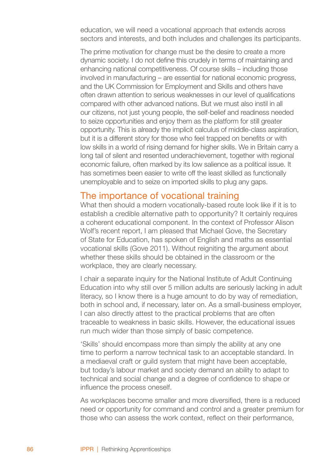education, we will need a vocational approach that extends across sectors and interests, and both includes and challenges its participants.

The prime motivation for change must be the desire to create a more dynamic society. I do not define this crudely in terms of maintaining and enhancing national competitiveness. Of course skills – including those involved in manufacturing – are essential for national economic progress, and the UK Commission for Employment and Skills and others have often drawn attention to serious weaknesses in our level of qualifications compared with other advanced nations. But we must also instil in all our citizens, not just young people, the self-belief and readiness needed to seize opportunities and enjoy them as the platform for still greater opportunity. This is already the implicit calculus of middle-class aspiration, but it is a different story for those who feel trapped on benefits or with low skills in a world of rising demand for higher skills. We in Britain carry a long tail of silent and resented underachievement, together with regional economic failure, often marked by its low salience as a political issue. It has sometimes been easier to write off the least skilled as functionally unemployable and to seize on imported skills to plug any gaps.

#### The importance of vocational training

What then should a modern vocationally-based route look like if it is to establish a credible alternative path to opportunity? It certainly requires a coherent educational component. In the context of Professor Alison Wolf's recent report, I am pleased that Michael Gove, the Secretary of State for Education, has spoken of English and maths as essential vocational skills (Gove 2011). Without reigniting the argument about whether these skills should be obtained in the classroom or the workplace, they are clearly necessary.

I chair a separate inquiry for the National Institute of Adult Continuing Education into why still over 5 million adults are seriously lacking in adult literacy, so I know there is a huge amount to do by way of remediation, both in school and, if necessary, later on. As a small-business employer, I can also directly attest to the practical problems that are often traceable to weakness in basic skills. However, the educational issues run much wider than those simply of basic competence.

'Skills' should encompass more than simply the ability at any one time to perform a narrow technical task to an acceptable standard. In a mediaeval craft or guild system that might have been acceptable, but today's labour market and society demand an ability to adapt to technical and social change and a degree of confidence to shape or influence the process oneself.

As workplaces become smaller and more diversified, there is a reduced need or opportunity for command and control and a greater premium for those who can assess the work context, reflect on their performance,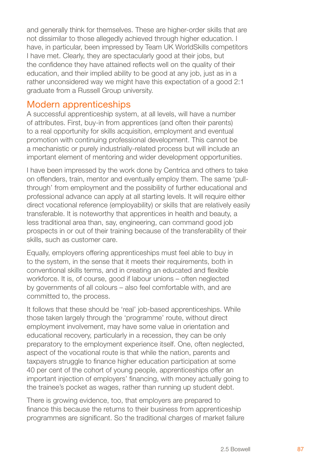and generally think for themselves. These are higher-order skills that are not dissimilar to those allegedly achieved through higher education. I have, in particular, been impressed by Team UK WorldSkills competitors I have met. Clearly, they are spectacularly good at their jobs, but the confidence they have attained reflects well on the quality of their education, and their implied ability to be good at any job, just as in a rather unconsidered way we might have this expectation of a good 2:1 graduate from a Russell Group university.

# Modern apprenticeships

A successful apprenticeship system, at all levels, will have a number of attributes. First, buy-in from apprentices (and often their parents) to a real opportunity for skills acquisition, employment and eventual promotion with continuing professional development. This cannot be a mechanistic or purely industrially-related process but will include an important element of mentoring and wider development opportunities.

I have been impressed by the work done by Centrica and others to take on offenders, train, mentor and eventually employ them. The same 'pullthrough' from employment and the possibility of further educational and professional advance can apply at all starting levels. It will require either direct vocational reference (employability) or skills that are relatively easily transferable. It is noteworthy that apprentices in health and beauty, a less traditional area than, say, engineering, can command good job prospects in or out of their training because of the transferability of their skills, such as customer care.

Equally, employers offering apprenticeships must feel able to buy in to the system, in the sense that it meets their requirements, both in conventional skills terms, and in creating an educated and flexible workforce. It is, of course, good if labour unions – often neglected by governments of all colours – also feel comfortable with, and are committed to, the process.

It follows that these should be 'real' job-based apprenticeships. While those taken largely through the 'programme' route, without direct employment involvement, may have some value in orientation and educational recovery, particularly in a recession, they can be only preparatory to the employment experience itself. One, often neglected, aspect of the vocational route is that while the nation, parents and taxpayers struggle to finance higher education participation at some 40 per cent of the cohort of young people, apprenticeships offer an important injection of employers' financing, with money actually going to the trainee's pocket as wages, rather than running up student debt.

There is growing evidence, too, that employers are prepared to finance this because the returns to their business from apprenticeship programmes are significant. So the traditional charges of market failure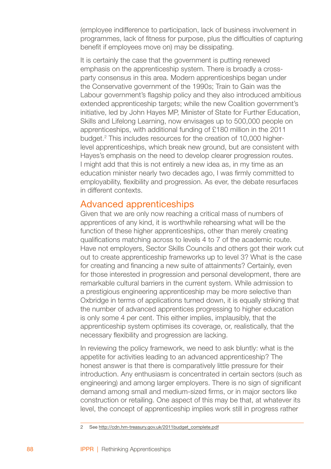(employee indifference to participation, lack of business involvement in programmes, lack of fitness for purpose, plus the difficulties of capturing benefit if employees move on) may be dissipating.

It is certainly the case that the government is putting renewed emphasis on the apprenticeship system. There is broadly a crossparty consensus in this area. Modern apprenticeships began under the Conservative government of the 1990s; Train to Gain was the Labour government's flagship policy and they also introduced ambitious extended apprenticeship targets; while the new Coalition government's initiative, led by John Hayes MP, Minister of State for Further Education, Skills and Lifelong Learning, now envisages up to 500,000 people on apprenticeships, with additional funding of £180 million in the 2011 budget. This includes resources for the creation of 10,000 higherlevel apprenticeships, which break new ground, but are consistent with Hayes's emphasis on the need to develop clearer progression routes. I might add that this is not entirely a new idea as, in my time as an education minister nearly two decades ago, I was firmly committed to employability, flexibility and progression. As ever, the debate resurfaces in different contexts.

# Advanced apprenticeships

Given that we are only now reaching a critical mass of numbers of apprentices of any kind, it is worthwhile rehearsing what will be the function of these higher apprenticeships, other than merely creating qualifications matching across to levels 4 to 7 of the academic route. Have not employers, Sector Skills Councils and others got their work cut out to create apprenticeship frameworks up to level 3? What is the case for creating and financing a new suite of attainments? Certainly, even for those interested in progression and personal development, there are remarkable cultural barriers in the current system. While admission to a prestigious engineering apprenticeship may be more selective than Oxbridge in terms of applications turned down, it is equally striking that the number of advanced apprentices progressing to higher education is only some 4 per cent. This either implies, implausibly, that the apprenticeship system optimises its coverage, or, realistically, that the necessary flexibility and progression are lacking.

In reviewing the policy framework, we need to ask bluntly: what is the appetite for activities leading to an advanced apprenticeship? The honest answer is that there is comparatively little pressure for their introduction. Any enthusiasm is concentrated in certain sectors (such as engineering) and among larger employers. There is no sign of significant demand among small and medium-sized firms, or in major sectors like construction or retailing. One aspect of this may be that, at whatever its level, the concept of apprenticeship implies work still in progress rather

<sup>2</sup> See http://cdn.hm-treasury.gov.uk/2011budget\_complete.pdf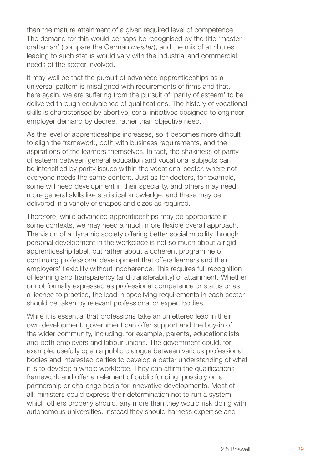than the mature attainment of a given required level of competence. The demand for this would perhaps be recognised by the title 'master craftsman' (compare the German *meister*), and the mix of attributes leading to such status would vary with the industrial and commercial needs of the sector involved.

It may well be that the pursuit of advanced apprenticeships as a universal pattern is misaligned with requirements of firms and that, here again, we are suffering from the pursuit of 'parity of esteem' to be delivered through equivalence of qualifications. The history of vocational skills is characterised by abortive, serial initiatives designed to engineer employer demand by decree, rather than objective need.

As the level of apprenticeships increases, so it becomes more difficult to align the framework, both with business requirements, and the aspirations of the learners themselves. In fact, the shakiness of parity of esteem between general education and vocational subjects can be intensified by parity issues within the vocational sector, where not everyone needs the same content. Just as for doctors, for example, some will need development in their speciality, and others may need more general skills like statistical knowledge, and these may be delivered in a variety of shapes and sizes as required.

Therefore, while advanced apprenticeships may be appropriate in some contexts, we may need a much more flexible overall approach. The vision of a dynamic society offering better social mobility through personal development in the workplace is not so much about a rigid apprenticeship label, but rather about a coherent programme of continuing professional development that offers learners and their employers' flexibility without incoherence. This requires full recognition of learning and transparency (and transferability) of attainment. Whether or not formally expressed as professional competence or status or as a licence to practise, the lead in specifying requirements in each sector should be taken by relevant professional or expert bodies.

While it is essential that professions take an unfettered lead in their own development, government can offer support and the buy-in of the wider community, including, for example, parents, educationalists and both employers and labour unions. The government could, for example, usefully open a public dialogue between various professional bodies and interested parties to develop a better understanding of what it is to develop a whole workforce. They can affirm the qualifications framework and offer an element of public funding, possibly on a partnership or challenge basis for innovative developments. Most of all, ministers could express their determination not to run a system which others properly should, any more than they would risk doing with autonomous universities. Instead they should harness expertise and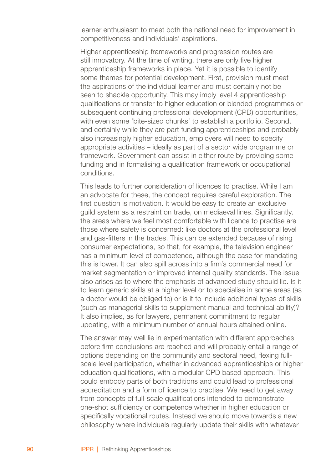learner enthusiasm to meet both the national need for improvement in competitiveness and individuals' aspirations.

Higher apprenticeship frameworks and progression routes are still innovatory. At the time of writing, there are only five higher apprenticeship frameworks in place. Yet it is possible to identify some themes for potential development. First, provision must meet the aspirations of the individual learner and must certainly not be seen to shackle opportunity. This may imply level 4 apprenticeship qualifications or transfer to higher education or blended programmes or subsequent continuing professional development (CPD) opportunities, with even some 'bite-sized chunks' to establish a portfolio. Second, and certainly while they are part funding apprenticeships and probably also increasingly higher education, employers will need to specify appropriate activities – ideally as part of a sector wide programme or framework. Government can assist in either route by providing some funding and in formalising a qualification framework or occupational conditions.

This leads to further consideration of licences to practise. While I am an advocate for these, the concept requires careful exploration. The first question is motivation. It would be easy to create an exclusive guild system as a restraint on trade, on mediaeval lines. Significantly, the areas where we feel most comfortable with licence to practise are those where safety is concerned: like doctors at the professional level and gas-fitters in the trades. This can be extended because of rising consumer expectations, so that, for example, the television engineer has a minimum level of competence, although the case for mandating this is lower. It can also spill across into a firm's commercial need for market segmentation or improved internal quality standards. The issue also arises as to where the emphasis of advanced study should lie. Is it to learn generic skills at a higher level or to specialise in some areas (as a doctor would be obliged to) or is it to include additional types of skills (such as managerial skills to supplement manual and technical ability)? It also implies, as for lawyers, permanent commitment to regular updating, with a minimum number of annual hours attained online.

The answer may well lie in experimentation with different approaches before firm conclusions are reached and will probably entail a range of options depending on the community and sectoral need, flexing fullscale level participation, whether in advanced apprenticeships or higher education qualifications, with a modular CPD based approach. This could embody parts of both traditions and could lead to professional accreditation and a form of licence to practise. We need to get away from concepts of full-scale qualifications intended to demonstrate one-shot sufficiency or competence whether in higher education or specifically vocational routes. Instead we should move towards a new philosophy where individuals regularly update their skills with whatever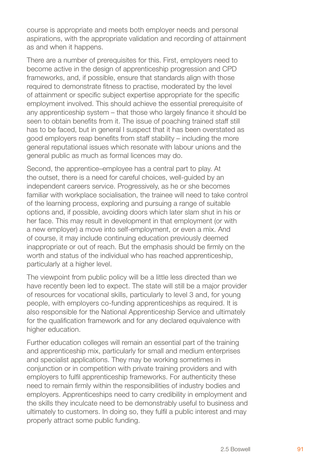course is appropriate and meets both employer needs and personal aspirations, with the appropriate validation and recording of attainment as and when it happens.

There are a number of prerequisites for this. First, employers need to become active in the design of apprenticeship progression and CPD frameworks, and, if possible, ensure that standards align with those required to demonstrate fitness to practise, moderated by the level of attainment or specific subject expertise appropriate for the specific employment involved. This should achieve the essential prerequisite of any apprenticeship system – that those who largely finance it should be seen to obtain benefits from it. The issue of poaching trained staff still has to be faced, but in general I suspect that it has been overstated as good employers reap benefits from staff stability – including the more general reputational issues which resonate with labour unions and the general public as much as formal licences may do.

Second, the apprentice–employee has a central part to play. At the outset, there is a need for careful choices, well-guided by an independent careers service. Progressively, as he or she becomes familiar with workplace socialisation, the trainee will need to take control of the learning process, exploring and pursuing a range of suitable options and, if possible, avoiding doors which later slam shut in his or her face. This may result in development in that employment (or with a new employer) a move into self-employment, or even a mix. And of course, it may include continuing education previously deemed inappropriate or out of reach. But the emphasis should be firmly on the worth and status of the individual who has reached apprenticeship, particularly at a higher level.

The viewpoint from public policy will be a little less directed than we have recently been led to expect. The state will still be a major provider of resources for vocational skills, particularly to level 3 and, for young people, with employers co-funding apprenticeships as required. It is also responsible for the National Apprenticeship Service and ultimately for the qualification framework and for any declared equivalence with higher education.

Further education colleges will remain an essential part of the training and apprenticeship mix, particularly for small and medium enterprises and specialist applications. They may be working sometimes in conjunction or in competition with private training providers and with employers to fulfil apprenticeship frameworks. For authenticity these need to remain firmly within the responsibilities of industry bodies and employers. Apprenticeships need to carry credibility in employment and the skills they inculcate need to be demonstrably useful to business and ultimately to customers. In doing so, they fulfil a public interest and may properly attract some public funding.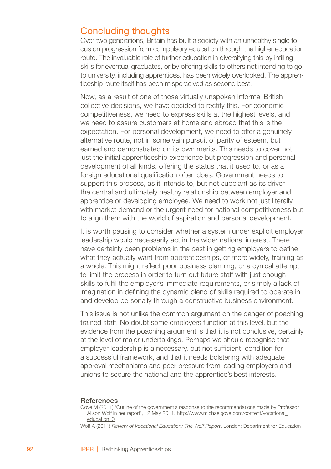# Concluding thoughts

Over two generations, Britain has built a society with an unhealthy single focus on progression from compulsory education through the higher education route. The invaluable role of further education in diversifying this by infilling skills for eventual graduates, or by offering skills to others not intending to go to university, including apprentices, has been widely overlooked. The apprenticeship route itself has been misperceived as second best.

Now, as a result of one of those virtually unspoken informal British collective decisions, we have decided to rectify this. For economic competitiveness, we need to express skills at the highest levels, and we need to assure customers at home and abroad that this is the expectation. For personal development, we need to offer a genuinely alternative route, not in some vain pursuit of parity of esteem, but earned and demonstrated on its own merits. This needs to cover not just the initial apprenticeship experience but progression and personal development of all kinds, offering the status that it used to, or as a foreign educational qualification often does. Government needs to support this process, as it intends to, but not supplant as its driver the central and ultimately healthy relationship between employer and apprentice or developing employee. We need to work not just literally with market demand or the urgent need for national competitiveness but to align them with the world of aspiration and personal development.

It is worth pausing to consider whether a system under explicit employer leadership would necessarily act in the wider national interest. There have certainly been problems in the past in getting employers to define what they actually want from apprenticeships, or more widely, training as a whole. This might reflect poor business planning, or a cynical attempt to limit the process in order to turn out future staff with just enough skills to fulfil the employer's immediate requirements, or simply a lack of imagination in defining the dynamic blend of skills required to operate in and develop personally through a constructive business environment.

This issue is not unlike the common argument on the danger of poaching trained staff. No doubt some employers function at this level, but the evidence from the poaching argument is that it is not conclusive, certainly at the level of major undertakings. Perhaps we should recognise that employer leadership is a necessary, but not sufficient, condition for a successful framework, and that it needs bolstering with adequate approval mechanisms and peer pressure from leading employers and unions to secure the national and the apprentice's best interests.

#### **References**

Gove M (2011) 'Outline of the government's response to the recommendations made by Professor Alison Wolf in her report', 12 May 2011. http://www.michaelgove.com/content/vocational\_ education\_0

Wolf A (2011) *Review of Vocational Education: The Wolf Report*, London: Department for Education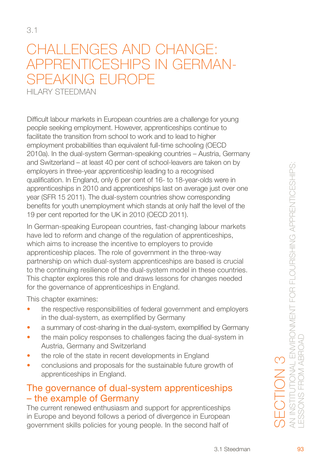# CHALL ENGES AND CHANGE: Apprenticeships in Germanspeaking Europe

HII ARY STEEDMAN

Difficult labour markets in European countries are a challenge for young people seeking employment. However, apprenticeships continue to facilitate the transition from school to work and to lead to higher employment probabilities than equivalent full-time schooling (OECD 2010a). In the dual-system German-speaking countries – Austria, Germany and Switzerland – at least 40 per cent of school-leavers are taken on by employers in three-year apprenticeship leading to a recognised qualification. In England, only 6 per cent of 16- to 18-year-olds were in apprenticeships in 2010 and apprenticeships last on average just over one year (SFR 15 2011). The dual-system countries show corresponding benefits for youth unemployment which stands at only half the level of the 19 per cent reported for the UK in 2010 (OECD 2011).

In German-speaking European countries, fast-changing labour markets have led to reform and change of the regulation of apprenticeships, which aims to increase the incentive to employers to provide apprenticeship places. The role of government in the three-way partnership on which dual-system apprenticeships are based is crucial to the continuing resilience of the dual-system model in these countries. This chapter explores this role and draws lessons for changes needed for the governance of apprenticeships in England.

This chapter examines:

- the respective responsibilities of federal government and employers in the dual-system, as exemplified by Germany •
- a summary of cost-sharing in the dual-system, exemplified by Germany •
- the main policy responses to challenges facing the dual-system in Austria, Germany and Switzerland •
- the role of the state in recent developments in England •
- conclusions and proposals for the sustainable future growth of apprenticeships in England. •

# The governance of dual-system apprenticeships – the example of Germany

The current renewed enthusiasm and support for apprenticeships in Europe and beyond follows a period of divergence in European government skills policies for young people. In the second half of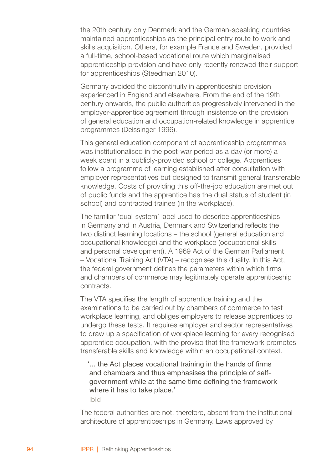the 20th century only Denmark and the German-speaking countries maintained apprenticeships as the principal entry route to work and skills acquisition. Others, for example France and Sweden, provided a full-time, school-based vocational route which marginalised apprenticeship provision and have only recently renewed their support for apprenticeships (Steedman 2010).

Germany avoided the discontinuity in apprenticeship provision experienced in England and elsewhere. From the end of the 19th century onwards, the public authorities progressively intervened in the employer-apprentice agreement through insistence on the provision of general education and occupation-related knowledge in apprentice programmes (Deissinger 1996).

This general education component of apprenticeship programmes was institutionalised in the post-war period as a day (or more) a week spent in a publicly-provided school or college. Apprentices follow a programme of learning established after consultation with employer representatives but designed to transmit general transferable knowledge. Costs of providing this off-the-job education are met out of public funds and the apprentice has the dual status of student (in school) and contracted trainee (in the workplace).

The familiar 'dual-system' label used to describe apprenticeships in Germany and in Austria, Denmark and Switzerland reflects the two distinct learning locations – the school (general education and occupational knowledge) and the workplace (occupational skills and personal development). A 1969 Act of the German Parliament – Vocational Training Act (VTA) – recognises this duality. In this Act, the federal government defines the parameters within which firms and chambers of commerce may legitimately operate apprenticeship contracts.

The VTA specifies the length of apprentice training and the examinations to be carried out by chambers of commerce to test workplace learning, and obliges employers to release apprentices to undergo these tests. It requires employer and sector representatives to draw up a specification of workplace learning for every recognised apprentice occupation, with the proviso that the framework promotes transferable skills and knowledge within an occupational context.

'... the Act places vocational training in the hands of firms and chambers and thus emphasises the principle of selfgovernment while at the same time defining the framework where it has to take place.'

ibid

The federal authorities are not, therefore, absent from the institutional architecture of apprenticeships in Germany. Laws approved by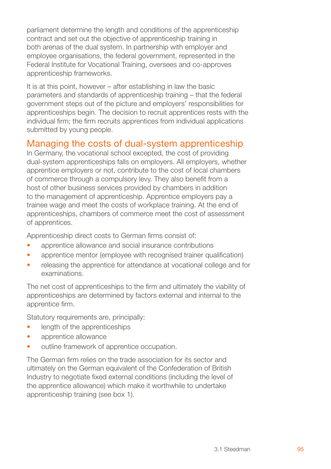parliament determine the length and conditions of the apprenticeship contract and set out the objective of apprenticeship training in both arenas of the dual system. In partnership with employer and employee organisations, the federal government, represented in the Federal Institute for Vocational Training, oversees and co-approves apprenticeship frameworks.

It is at this point, however – after establishing in law the basic parameters and standards of apprenticeship training – that the federal government steps out of the picture and employers' responsibilities for apprenticeships begin. The decision to recruit apprentices rests with the individual firm; the firm recruits apprentices from individual applications submitted by young people.

# Managing the costs of dual-system apprenticeship

In Germany, the vocational school excepted, the cost of providing dual-system apprenticeships falls on employers. All employers, whether apprentice employers or not, contribute to the cost of local chambers of commerce through a compulsory levy. They also benefit from a host of other business services provided by chambers in addition to the management of apprenticeship. Apprentice employers pay a trainee wage and meet the costs of workplace training. At the end of apprenticeships, chambers of commerce meet the cost of assessment of apprentices.

Apprenticeship direct costs to German firms consist of:

- apprentice allowance and social insurance contributions •
- apprentice mentor (employee with recognised trainer qualification) •
- releasing the apprentice for attendance at vocational college and for examinations. •

The net cost of apprenticeships to the firm and ultimately the viability of apprenticeships are determined by factors external and internal to the apprentice firm.

Statutory requirements are, principally:

- length of the apprenticeships •
- apprentice allowance •
- outline framework of apprentice occupation. •

The German firm relies on the trade association for its sector and ultimately on the German equivalent of the Confederation of British Industry to negotiate fixed external conditions (including the level of the apprentice allowance) which make it worthwhile to undertake apprenticeship training (see box 1).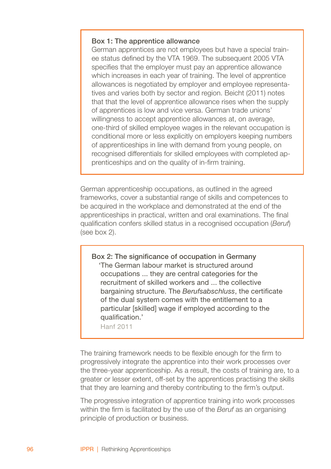#### Box 1: The apprentice allowance

German apprentices are not employees but have a special trainee status defined by the VTA 1969. The subsequent 2005 VTA specifies that the employer must pay an apprentice allowance which increases in each year of training. The level of apprentice allowances is negotiated by employer and employee representatives and varies both by sector and region. Beicht (2011) notes that that the level of apprentice allowance rises when the supply of apprentices is low and vice versa. German trade unions' willingness to accept apprentice allowances at, on average, one-third of skilled employee wages in the relevant occupation is conditional more or less explicitly on employers keeping numbers of apprenticeships in line with demand from young people, on recognised differentials for skilled employees with completed apprenticeships and on the quality of in-firm training.

German apprenticeship occupations, as outlined in the agreed frameworks, cover a substantial range of skills and competences to be acquired in the workplace and demonstrated at the end of the apprenticeships in practical, written and oral examinations. The final qualification confers skilled status in a recognised occupation (*Beruf*) (see box 2).

Box 2: The significance of occupation in Germany 'The German labour market is structured around occupations ... they are central categories for the recruitment of skilled workers and ... the collective bargaining structure. The *Berufsabschluss*, the certificate of the dual system comes with the entitlement to a particular [skilled] wage if employed according to the qualification.'

Hanf 2011

The training framework needs to be flexible enough for the firm to progressively integrate the apprentice into their work processes over the three-year apprenticeship. As a result, the costs of training are, to a greater or lesser extent, off-set by the apprentices practising the skills that they are learning and thereby contributing to the firm's output.

The progressive integration of apprentice training into work processes within the firm is facilitated by the use of the *Beruf* as an organising principle of production or business.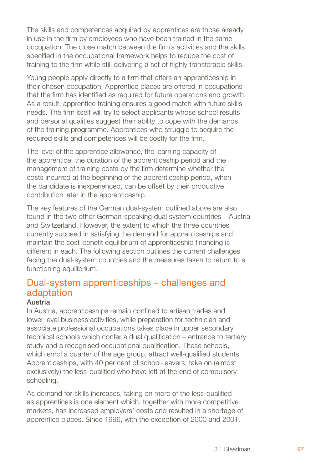The skills and competences acquired by apprentices are those already in use in the firm by employees who have been trained in the same occupation. The close match between the firm's activities and the skills specified in the occupational framework helps to reduce the cost of training to the firm while still delivering a set of highly transferable skills.

Young people apply directly to a firm that offers an apprenticeship in their chosen occupation. Apprentice places are offered in occupations that the firm has identified as required for future operations and growth. As a result, apprentice training ensures a good match with future skills needs. The firm itself will try to select applicants whose school results and personal qualities suggest their ability to cope with the demands of the training programme. Apprentices who struggle to acquire the required skills and competences will be costly for the firm.

The level of the apprentice allowance, the learning capacity of the apprentice, the duration of the apprenticeship period and the management of training costs by the firm determine whether the costs incurred at the beginning of the apprenticeship period, when the candidate is inexperienced, can be offset by their productive contribution later in the apprenticeship.

The key features of the German dual-system outlined above are also found in the two other German-speaking dual system countries – Austria and Switzerland. However, the extent to which the three countries currently succeed in satisfying the demand for apprenticeships and maintain the cost-benefit equilibrium of apprenticeship financing is different in each. The following section outlines the current challenges facing the dual-system countries and the measures taken to return to a functioning equilibrium.

# Dual-system apprenticeships – challenges and adaptation

#### Austria

In Austria, apprenticeships remain confined to artisan trades and lower level business activities, while preparation for technician and associate professional occupations takes place in upper secondary technical schools which confer a dual qualification – entrance to tertiary study and a recognised occupational qualification. These schools, which enrol a quarter of the age group, attract well-qualified students. Apprenticeships, with 40 per cent of school-leavers, take on (almost exclusively) the less-qualified who have left at the end of compulsory schooling.

As demand for skills increases, taking on more of the less-qualified as apprentices is one element which, together with more competitive markets, has increased employers' costs and resulted in a shortage of apprentice places. Since 1996, with the exception of 2000 and 2001,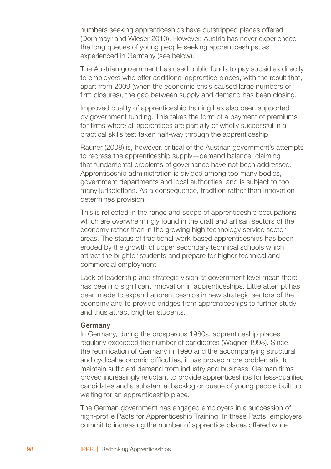numbers seeking apprenticeships have outstripped places offered (Dornmayr and Wieser 2010). However, Austria has never experienced the long queues of young people seeking apprenticeships, as experienced in Germany (see below).

The Austrian government has used public funds to pay subsidies directly to employers who offer additional apprentice places, with the result that, apart from 2009 (when the economic crisis caused large numbers of firm closures), the gap between supply and demand has been closing.

Improved quality of apprenticeship training has also been supported by government funding. This takes the form of a payment of premiums for firms where all apprentices are partially or wholly successful in a practical skills test taken half-way through the apprenticeship.

Rauner (2008) is, however, critical of the Austrian government's attempts to redress the apprenticeship supply—demand balance, claiming that fundamental problems of governance have not been addressed. Apprenticeship administration is divided among too many bodies, government departments and local authorities, and is subject to too many jurisdictions. As a consequence, tradition rather than innovation determines provision.

This is reflected in the range and scope of apprenticeship occupations which are overwhelmingly found in the craft and artisan sectors of the economy rather than in the growing high technology service sector areas. The status of traditional work-based apprenticeships has been eroded by the growth of upper secondary technical schools which attract the brighter students and prepare for higher technical and commercial employment.

Lack of leadership and strategic vision at government level mean there has been no significant innovation in apprenticeships. Little attempt has been made to expand apprenticeships in new strategic sectors of the economy and to provide bridges from apprenticeships to further study and thus attract brighter students.

#### Germany

In Germany, during the prosperous 1980s, apprenticeship places regularly exceeded the number of candidates (Wagner 1998). Since the reunification of Germany in 1990 and the accompanying structural and cyclical economic difficulties, it has proved more problematic to maintain sufficient demand from industry and business. German firms proved increasingly reluctant to provide apprenticeships for less-qualified candidates and a substantial backlog or queue of young people built up waiting for an apprenticeship place.

The German government has engaged employers in a succession of high-profile Pacts for Apprenticeship Training. In these Pacts, employers commit to increasing the number of apprentice places offered while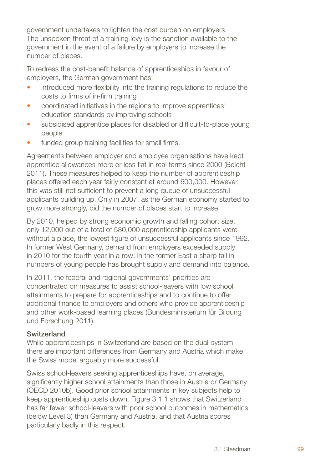government undertakes to lighten the cost burden on employers. The unspoken threat of a training levy is the sanction available to the government in the event of a failure by employers to increase the number of places.

To redress the cost-benefit balance of apprenticeships in favour of employers, the German government has:

- introduced more flexibility into the training regulations to reduce the costs to firms of in-firm training •
- coordinated initiatives in the regions to improve apprentices' education standards by improving schools •
- subsidised apprentice places for disabled or difficult-to-place young people •
- funded group training facilities for small firms. •

Agreements between employer and employee organisations have kept apprentice allowances more or less flat in real terms since 2000 (Beicht 2011). These measures helped to keep the number of apprenticeship places offered each year fairly constant at around 600,000. However, this was still not sufficient to prevent a long queue of unsuccessful applicants building up. Only in 2007, as the German economy started to grow more strongly, did the number of places start to increase.

By 2010, helped by strong economic growth and falling cohort size. only 12,000 out of a total of 580,000 apprenticeship applicants were without a place, the lowest figure of unsuccessful applicants since 1992. In former West Germany, demand from employers exceeded supply in 2010 for the fourth year in a row; in the former East a sharp fall in numbers of young people has brought supply and demand into balance.

In 2011, the federal and regional governments' priorities are concentrated on measures to assist school-leavers with low school attainments to prepare for apprenticeships and to continue to offer additional finance to employers and others who provide apprenticeship and other work-based learning places (Bundesministerium für Bildung und Forschung 2011).

#### Switzerland

While apprenticeships in Switzerland are based on the dual-system, there are important differences from Germany and Austria which make the Swiss model arguably more successful.

Swiss school-leavers seeking apprenticeships have, on average, significantly higher school attainments than those in Austria or Germany (OECD 2010b). Good prior school attainments in key subjects help to keep apprenticeship costs down. Figure 3.1.1 shows that Switzerland has far fewer school-leavers with poor school outcomes in mathematics (below Level 3) than Germany and Austria, and that Austria scores particularly badly in this respect.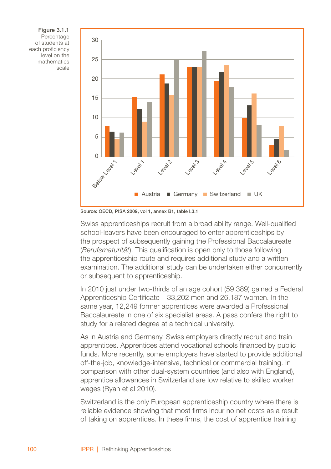Figure 3.1.1 Percentage of students at each proficiency level on the mathematics scale



Source: OECD, PISA 2009, vol 1, annex B1, table l.3.1

Swiss apprenticeships recruit from a broad ability range. Well-qualified school-leavers have been encouraged to enter apprenticeships by the prospect of subsequently gaining the Professional Baccalaureate (*Berufsmaturität*). This qualification is open only to those following the apprenticeship route and requires additional study and a written examination. The additional study can be undertaken either concurrently or subsequent to apprenticeship.

In 2010 just under two-thirds of an age cohort (59,389) gained a Federal Apprenticeship Certificate – 33,202 men and 26,187 women. In the same year, 12,249 former apprentices were awarded a Professional Baccalaureate in one of six specialist areas. A pass confers the right to study for a related degree at a technical university.

As in Austria and Germany, Swiss employers directly recruit and train apprentices. Apprentices attend vocational schools financed by public funds. More recently, some employers have started to provide additional off-the-job, knowledge-intensive, technical or commercial training. In comparison with other dual-system countries (and also with England), apprentice allowances in Switzerland are low relative to skilled worker wages (Ryan et al 2010).

Switzerland is the only European apprenticeship country where there is reliable evidence showing that most firms incur no net costs as a result of taking on apprentices. In these firms, the cost of apprentice training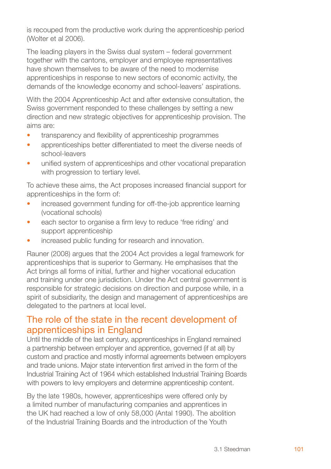is recouped from the productive work during the apprenticeship period (Wolter et al 2006).

The leading players in the Swiss dual system – federal government together with the cantons, employer and employee representatives have shown themselves to be aware of the need to modernise apprenticeships in response to new sectors of economic activity, the demands of the knowledge economy and school-leavers' aspirations.

With the 2004 Apprenticeship Act and after extensive consultation, the Swiss government responded to these challenges by setting a new direction and new strategic objectives for apprenticeship provision. The aims are:

- transparency and flexibility of apprenticeship programmes •
- apprenticeships better differentiated to meet the diverse needs of school-leavers •
- unified system of apprenticeships and other vocational preparation with progression to tertiary level. •

To achieve these aims, the Act proposes increased financial support for apprenticeships in the form of:

- increased government funding for off-the-job apprentice learning (vocational schools) •
- each sector to organise a firm levy to reduce 'free riding' and support apprenticeship •
- increased public funding for research and innovation. •

Rauner (2008) argues that the 2004 Act provides a legal framework for apprenticeships that is superior to Germany. He emphasises that the Act brings all forms of initial, further and higher vocational education and training under one jurisdiction. Under the Act central government is responsible for strategic decisions on direction and purpose while, in a spirit of subsidiarity, the design and management of apprenticeships are delegated to the partners at local level.

# The role of the state in the recent development of apprenticeships in England

Until the middle of the last century, apprenticeships in England remained a partnership between employer and apprentice, governed (if at all) by custom and practice and mostly informal agreements between employers and trade unions. Major state intervention first arrived in the form of the Industrial Training Act of 1964 which established Industrial Training Boards with powers to levy employers and determine apprenticeship content.

By the late 1980s, however, apprenticeships were offered only by a limited number of manufacturing companies and apprentices in the UK had reached a low of only 58,000 (Antal 1990). The abolition of the Industrial Training Boards and the introduction of the Youth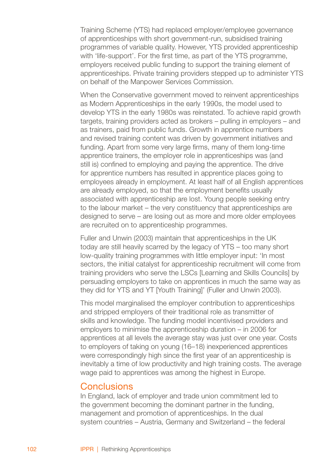Training Scheme (YTS) had replaced employer/employee governance of apprenticeships with short government-run, subsidised training programmes of variable quality. However, YTS provided apprenticeship with 'life-support'. For the first time, as part of the YTS programme, employers received public funding to support the training element of apprenticeships. Private training providers stepped up to administer YTS on behalf of the Manpower Services Commission.

When the Conservative government moved to reinvent apprenticeships as Modern Apprenticeships in the early 1990s, the model used to develop YTS in the early 1980s was reinstated. To achieve rapid growth targets, training providers acted as brokers – pulling in employers – and as trainers, paid from public funds. Growth in apprentice numbers and revised training content was driven by government initiatives and funding. Apart from some very large firms, many of them long-time apprentice trainers, the employer role in apprenticeships was (and still is) confined to employing and paying the apprentice. The drive for apprentice numbers has resulted in apprentice places going to employees already in employment. At least half of all English apprentices are already employed, so that the employment benefits usually associated with apprenticeship are lost. Young people seeking entry to the labour market – the very constituency that apprenticeships are designed to serve – are losing out as more and more older employees are recruited on to apprenticeship programmes.

Fuller and Unwin (2003) maintain that apprenticeships in the UK today are still heavily scarred by the legacy of YTS – too many short low-quality training programmes with little employer input: 'In most sectors, the initial catalyst for apprenticeship recruitment will come from training providers who serve the LSCs [Learning and Skills Councils] by persuading employers to take on apprentices in much the same way as they did for YTS and YT Mouth Training!' (Fuller and Unwin 2003).

This model marginalised the employer contribution to apprenticeships and stripped employers of their traditional role as transmitter of skills and knowledge. The funding model incentivised providers and employers to minimise the apprenticeship duration – in 2006 for apprentices at all levels the average stay was just over one year. Costs to employers of taking on young (16–18) inexperienced apprentices were correspondingly high since the first year of an apprenticeship is inevitably a time of low productivity and high training costs. The average wage paid to apprentices was among the highest in Europe.

### **Conclusions**

In England, lack of employer and trade union commitment led to the government becoming the dominant partner in the funding, management and promotion of apprenticeships. In the dual system countries – Austria, Germany and Switzerland – the federal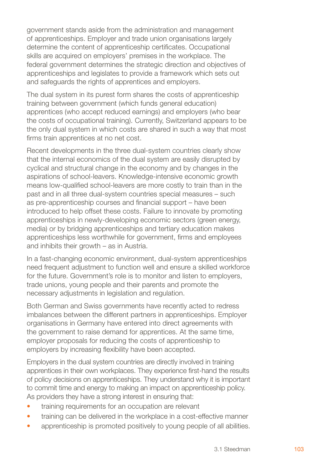government stands aside from the administration and management of apprenticeships. Employer and trade union organisations largely determine the content of apprenticeship certificates. Occupational skills are acquired on employers' premises in the workplace. The federal government determines the strategic direction and objectives of apprenticeships and legislates to provide a framework which sets out and safeguards the rights of apprentices and employers.

The dual system in its purest form shares the costs of apprenticeship training between government (which funds general education) apprentices (who accept reduced earnings) and employers (who bear the costs of occupational training). Currently, Switzerland appears to be the only dual system in which costs are shared in such a way that most firms train apprentices at no net cost.

Recent developments in the three dual-system countries clearly show that the internal economics of the dual system are easily disrupted by cyclical and structural change in the economy and by changes in the aspirations of school-leavers. Knowledge-intensive economic growth means low-qualified school-leavers are more costly to train than in the past and in all three dual-system countries special measures – such as pre-apprenticeship courses and financial support – have been introduced to help offset these costs. Failure to innovate by promoting apprenticeships in newly-developing economic sectors (green energy, media) or by bridging apprenticeships and tertiary education makes apprenticeships less worthwhile for government, firms and employees and inhibits their growth – as in Austria.

In a fast-changing economic environment, dual-system apprenticeships need frequent adjustment to function well and ensure a skilled workforce for the future. Government's role is to monitor and listen to employers, trade unions, young people and their parents and promote the necessary adjustments in legislation and regulation.

Both German and Swiss governments have recently acted to redress imbalances between the different partners in apprenticeships. Employer organisations in Germany have entered into direct agreements with the government to raise demand for apprentices. At the same time, employer proposals for reducing the costs of apprenticeship to employers by increasing flexibility have been accepted.

Employers in the dual system countries are directly involved in training apprentices in their own workplaces. They experience first-hand the results of policy decisions on apprenticeships. They understand why it is important to commit time and energy to making an impact on apprenticeship policy. As providers they have a strong interest in ensuring that:

- training requirements for an occupation are relevant •
- training can be delivered in the workplace in a cost-effective manner •
- apprenticeship is promoted positively to young people of all abilities. •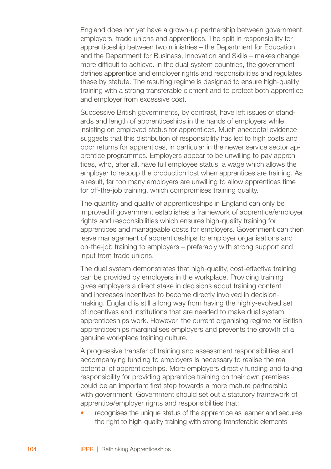England does not yet have a grown-up partnership between government, employers, trade unions and apprentices. The split in responsibility for apprenticeship between two ministries – the Department for Education and the Department for Business, Innovation and Skills – makes change more difficult to achieve. In the dual-system countries, the government defines apprentice and employer rights and responsibilities and regulates these by statute. The resulting regime is designed to ensure high-quality training with a strong transferable element and to protect both apprentice and employer from excessive cost.

Successive British governments, by contrast, have left issues of standards and length of apprenticeships in the hands of employers while insisting on employed status for apprentices. Much anecdotal evidence suggests that this distribution of responsibility has led to high costs and poor returns for apprentices, in particular in the newer service sector apprentice programmes. Employers appear to be unwilling to pay apprentices, who, after all, have full employee status, a wage which allows the employer to recoup the production lost when apprentices are training. As a result, far too many employers are unwilling to allow apprentices time for off-the-job training, which compromises training quality.

The quantity and quality of apprenticeships in England can only be improved if government establishes a framework of apprentice/employer rights and responsibilities which ensures high-quality training for apprentices and manageable costs for employers. Government can then leave management of apprenticeships to employer organisations and on-the-job training to employers – preferably with strong support and input from trade unions.

The dual system demonstrates that high-quality, cost-effective training can be provided by employers in the workplace. Providing training gives employers a direct stake in decisions about training content and increases incentives to become directly involved in decisionmaking. England is still a long way from having the highly-evolved set of incentives and institutions that are needed to make dual system apprenticeships work. However, the current organising regime for British apprenticeships marginalises employers and prevents the growth of a genuine workplace training culture.

A progressive transfer of training and assessment responsibilities and accompanying funding to employers is necessary to realise the real potential of apprenticeships. More employers directly funding and taking responsibility for providing apprentice training on their own premises could be an important first step towards a more mature partnership with government. Government should set out a statutory framework of apprentice/employer rights and responsibilities that:

recognises the unique status of the apprentice as learner and secures the right to high-quality training with strong transferable elements •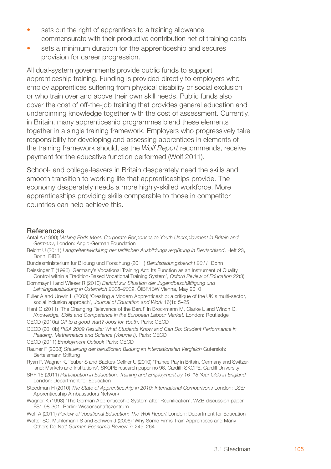- sets out the right of apprentices to a training allowance commensurate with their productive contribution net of training costs •
- sets a minimum duration for the apprenticeship and secures provision for career progression. •

All dual-system governments provide public funds to support apprenticeship training. Funding is provided directly to employers who employ apprentices suffering from physical disability or social exclusion or who train over and above their own skill needs. Public funds also cover the cost of off-the-job training that provides general education and underpinning knowledge together with the cost of assessment. Currently, in Britain, many apprenticeship programmes blend these elements together in a single training framework. Employers who progressively take responsibility for developing and assessing apprentices in elements of the training framework should, as the *Wolf Report* recommends, receive payment for the educative function performed (Wolf 2011).

School- and college-leavers in Britain desperately need the skills and smooth transition to working life that apprenticeships provide. The economy desperately needs a more highly-skilled workforce. More apprenticeships providing skills comparable to those in competitor countries can help achieve this.

## **References**

- Antal A (1990) *Making Ends Meet: Corporate Responses to Youth Unemployment in Britain and Germany*, London: Anglo-German Foundation
- Beicht U (2011) *Langzeitentwicklung der tariflichen Ausbildungsvergütung in Deutschland*, Heft 23, Bonn: BIBB
- Bundesministerium für Bildung und Forschung (2011) *Berufsbildungsbericht 2011*, Bonn
- Deissinger T (1996) 'Germany's Vocational Training Act: Its Function as an Instrument of Quality Control within a Tradition-Based Vocational Training System', *Oxford Review of Education* 22(3)
- Dornmayr H and Wieser R (2010) *Bericht zur Situation der Jugendbeschäftigung und Lehrlingsausbildung in Österreich 2008–2009*, ÖIBF/IBW Vienna, May 2010
- Fuller A and Unwin L (2003) 'Creating a Modern Apprenticeship: a critique of the UK's multi-sector, social inclusion approach', *Journal of Education and Work* 16(1): 5–25
- Hanf G (2011) 'The Changing Relevance of the Beruf' in Brockmann M, Clarke L and Winch C, *Knowledge, Skills and Competence in the European Labour Market,* London: Routledge
- OECD (2010a) *Off to a good start? Jobs for Youth*, Paris: OECD
- OECD (2010b) *PISA 2009 Results: What Students Know and Can Do: Student Performance in Reading, Mathematics and Science (Volume I)*, Paris: OECD
- OECD (2011) *Employment Outlook* Paris: OECD
- Rauner F (2008) *Steuerung der beruflichen Bildung im internationalen Vergleich* Gütersloh: Bertelsmann Stiftung
- Ryan P, Wagner K, Teuber S and Backes-Gellner U (2010) 'Trainee Pay in Britain, Germany and Switzerland: Markets and Institutions', SKOPE research paper no 96, Cardiff: SKOPE, Cardiff University
- SRF 15 (2011) *Participation in Education, Training and Employment by 16–18 Year Olds in England* London: Department for Education
- Steedman H (2010) *The State of Apprenticeship in 2010: International Comparisons* London: LSE/ Apprenticeship Ambassadors Network
- Wagner K (1998) 'The German Apprenticeship System after Reunification', WZB discussion paper FS1 98-301. Berlin: Wissenschaftszentrum
- Wolf A (2011) *Review of Vocational Education: The Wolf Report* London: Department for Education
- Wolter SC, Mühlemann S and Schweri J (2006) 'Why Some Firms Train Apprentices and Many Others Do Not' *German Economic Review* 7: 249–264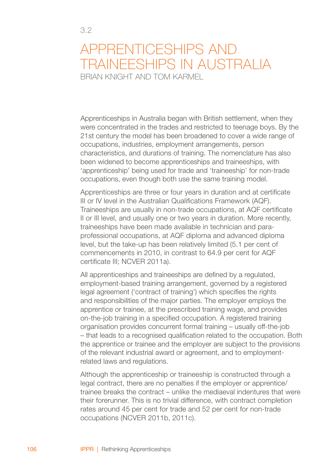3.2

Apprenticeships in Australia began with British settlement, when they were concentrated in the trades and restricted to teenage boys. By the 21st century the model has been broadened to cover a wide range of occupations, industries, employment arrangements, person characteristics, and durations of training. The nomenclature has also been widened to become apprenticeships and traineeships, with 'apprenticeship' being used for trade and 'traineeship' for non-trade occupations, even though both use the same training model.

Apprenticeships are three or four years in duration and at certificate III or IV level in the Australian Qualifications Framework (AQF). Traineeships are usually in non-trade occupations, at AQF certificate II or III level, and usually one or two years in duration. More recently, traineeships have been made available in technician and paraprofessional occupations, at AQF diploma and advanced diploma level, but the take-up has been relatively limited (5.1 per cent of commencements in 2010, in contrast to 64.9 per cent for AQF certificate III; NCVER 2011a).

All apprenticeships and traineeships are defined by a regulated. employment-based training arrangement, governed by a registered legal agreement ('contract of training') which specifies the rights and responsibilities of the major parties. The employer employs the apprentice or trainee, at the prescribed training wage, and provides on-the-job training in a specified occupation. A registered training organisation provides concurrent formal training – usually off-the-job – that leads to a recognised qualification related to the occupation. Both the apprentice or trainee and the employer are subject to the provisions of the relevant industrial award or agreement, and to employmentrelated laws and regulations.

Although the apprenticeship or traineeship is constructed through a legal contract, there are no penalties if the employer or apprentice/ trainee breaks the contract – unlike the mediaeval indentures that were their forerunner. This is no trivial difference, with contract completion rates around 45 per cent for trade and 52 per cent for non-trade occupations (NCVER 2011b, 2011c).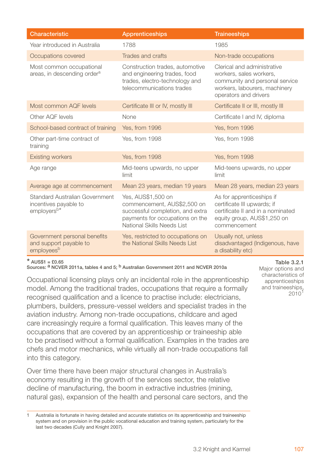| Characteristic                                                                     | <b>Apprenticeships</b>                                                                                                                                 | <b>Traineeships</b>                                                                                                                                |  |
|------------------------------------------------------------------------------------|--------------------------------------------------------------------------------------------------------------------------------------------------------|----------------------------------------------------------------------------------------------------------------------------------------------------|--|
| Year introduced in Australia                                                       | 1788                                                                                                                                                   | 1985                                                                                                                                               |  |
| Occupations covered                                                                | Trades and crafts                                                                                                                                      | Non-trade occupations                                                                                                                              |  |
| Most common occupational<br>areas, in descending order <sup>a</sup>                | Construction trades, automotive<br>and engineering trades, food<br>trades, electro-technology and<br>telecommunications trades                         | Clerical and administrative<br>workers, sales workers,<br>community and personal service<br>workers, labourers, machinery<br>operators and drivers |  |
| Most common AQF levels                                                             | Certificate III or IV, mostly III                                                                                                                      | Certificate II or III, mostly III                                                                                                                  |  |
| Other AQF levels                                                                   | None                                                                                                                                                   | Certificate I and IV, diploma                                                                                                                      |  |
| School-based contract of training                                                  | Yes, from 1996                                                                                                                                         | Yes. from 1996                                                                                                                                     |  |
| Other part-time contract of<br>training                                            | Yes. from 1998                                                                                                                                         | Yes, from 1998                                                                                                                                     |  |
| <b>Existing workers</b>                                                            | Yes, from 1998                                                                                                                                         | Yes, from 1998                                                                                                                                     |  |
| Age range                                                                          | Mid-teens upwards, no upper<br>limit                                                                                                                   | Mid-teens upwards, no upper<br>limit                                                                                                               |  |
| Average age at commencement                                                        | Mean 23 years, median 19 years                                                                                                                         | Mean 28 years, median 23 years                                                                                                                     |  |
| Standard Australian Government<br>incentives payable to<br>employers <sup>b*</sup> | Yes, AUS\$1,500 on<br>commencement, AUS\$2,500 on<br>successful completion, and extra<br>payments for occupations on the<br>National Skills Needs List | As for apprenticeships if<br>certificate III upwards; if<br>certificate II and in a nominated<br>equity group, AUS\$1,250 on<br>commencement       |  |
| Government personal benefits<br>and support payable to<br>employees <sup>b</sup>   | Yes, restricted to occupations on<br>the National Skills Needs List                                                                                    | Usually not, unless<br>disadvantaged (Indigenous, have<br>a disability etc)                                                                        |  |

### $*$  AUSS1 –  $50.65$

Sources: <sup>a</sup> NCVER 2011a, tables 4 and 5; <sup>b</sup> Australian Government 2011 and NCVER 2010a

Occupational licensing plays only an incidental role in the apprenticeship model. Among the traditional trades, occupations that require a formally recognised qualification and a licence to practise include: electricians, plumbers, builders, pressure-vessel welders and specialist trades in the aviation industry. Among non-trade occupations, childcare and aged care increasingly require a formal qualification. This leaves many of the occupations that are covered by an apprenticeship or traineeship able to be practised without a formal qualification. Examples in the trades are chefs and motor mechanics, while virtually all non-trade occupations fall into this category.

Over time there have been major structural changes in Australia's economy resulting in the growth of the services sector, the relative decline of manufacturing, the boom in extractive industries (mining, natural gas), expansion of the health and personal care sectors, and the

#### Table 3.2.1

Major options and characteristics of apprenticeships and traineeships, 2010<sup>1</sup>

Australia is fortunate in having detailed and accurate statistics on its apprenticeship and traineeship system and on provision in the public vocational education and training system, particularly for the last two decades (Cully and Knight 2007).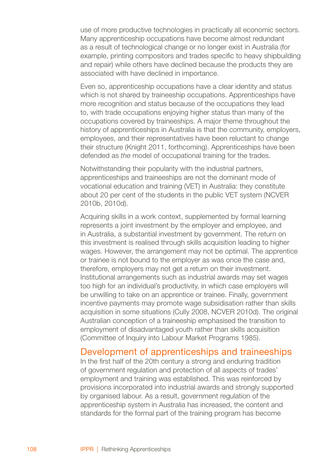use of more productive technologies in practically all economic sectors. Many apprenticeship occupations have become almost redundant as a result of technological change or no longer exist in Australia (for example, printing compositors and trades specific to heavy shipbuilding and repair) while others have declined because the products they are associated with have declined in importance.

Even so, apprenticeship occupations have a clear identity and status which is not shared by traineeship occupations. Apprenticeships have more recognition and status because of the occupations they lead to, with trade occupations enjoying higher status than many of the occupations covered by traineeships. A major theme throughout the history of apprenticeships in Australia is that the community, employers, employees, and their representatives have been reluctant to change their structure (Knight 2011, forthcoming). Apprenticeships have been defended as *the* model of occupational training for the trades.

Notwithstanding their popularity with the industrial partners, apprenticeships and traineeships are not the dominant mode of vocational education and training (VET) in Australia: they constitute about 20 per cent of the students in the public VET system (NCVER 2010b, 2010d).

Acquiring skills in a work context, supplemented by formal learning represents a joint investment by the employer and employee, and in Australia, a substantial investment by government. The return on this investment is realised through skills acquisition leading to higher wages. However, the arrangement may not be optimal. The apprentice or trainee is not bound to the employer as was once the case and, therefore, employers may not get a return on their investment. Institutional arrangements such as industrial awards may set wages too high for an individual's productivity, in which case employers will be unwilling to take on an apprentice or trainee. Finally, government incentive payments may promote wage subsidisation rather than skills acquisition in some situations (Cully 2008, NCVER 2010d). The original Australian conception of a traineeship emphasised the transition to employment of disadvantaged youth rather than skills acquisition (Committee of Inquiry into Labour Market Programs 1985).

## Development of apprenticeships and traineeships

In the first half of the 20th century a strong and enduring tradition of government regulation and protection of all aspects of trades' employment and training was established. This was reinforced by provisions incorporated into industrial awards and strongly supported by organised labour. As a result, government regulation of the apprenticeship system in Australia has increased, the content and standards for the formal part of the training program has become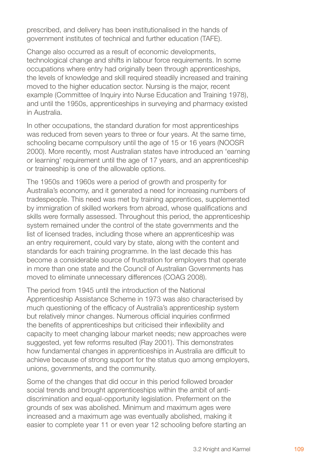prescribed, and delivery has been institutionalised in the hands of government institutes of technical and further education (TAFE).

Change also occurred as a result of economic developments, technological change and shifts in labour force requirements. In some occupations where entry had originally been through apprenticeships, the levels of knowledge and skill required steadily increased and training moved to the higher education sector. Nursing is the major, recent example (Committee of Inquiry into Nurse Education and Training 1978), and until the 1950s, apprenticeships in surveying and pharmacy existed in Australia.

In other occupations, the standard duration for most apprenticeships was reduced from seven years to three or four years. At the same time, schooling became compulsory until the age of 15 or 16 years (NOOSR 2000). More recently, most Australian states have introduced an 'earning or learning' requirement until the age of 17 years, and an apprenticeship or traineeship is one of the allowable options.

The 1950s and 1960s were a period of growth and prosperity for Australia's economy, and it generated a need for increasing numbers of tradespeople. This need was met by training apprentices, supplemented by immigration of skilled workers from abroad, whose qualifications and skills were formally assessed. Throughout this period, the apprenticeship system remained under the control of the state governments and the list of licensed trades, including those where an apprenticeship was an entry requirement, could vary by state, along with the content and standards for each training programme. In the last decade this has become a considerable source of frustration for employers that operate in more than one state and the Council of Australian Governments has moved to eliminate unnecessary differences (COAG 2008).

The period from 1945 until the introduction of the National Apprenticeship Assistance Scheme in 1973 was also characterised by much questioning of the efficacy of Australia's apprenticeship system but relatively minor changes. Numerous official inquiries confirmed the benefits of apprenticeships but criticised their inflexibility and capacity to meet changing labour market needs; new approaches were suggested, yet few reforms resulted (Ray 2001). This demonstrates how fundamental changes in apprenticeships in Australia are difficult to achieve because of strong support for the status quo among employers, unions, governments, and the community.

Some of the changes that did occur in this period followed broader social trends and brought apprenticeships within the ambit of antidiscrimination and equal-opportunity legislation. Preferment on the grounds of sex was abolished. Minimum and maximum ages were increased and a maximum age was eventually abolished, making it easier to complete year 11 or even year 12 schooling before starting an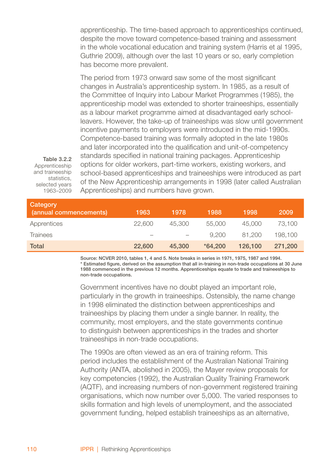apprenticeship. The time-based approach to apprenticeships continued, despite the move toward competence-based training and assessment in the whole vocational education and training system (Harris et al 1995, Guthrie 2009), although over the last 10 years or so, early completion has become more prevalent.

The period from 1973 onward saw some of the most significant changes in Australia's apprenticeship system. In 1985, as a result of the Committee of Inquiry into Labour Market Programmes (1985), the apprenticeship model was extended to shorter traineeships, essentially as a labour market programme aimed at disadvantaged early schoolleavers. However, the take-up of traineeships was slow until government incentive payments to employers were introduced in the mid-1990s. Competence-based training was formally adopted in the late 1980s and later incorporated into the qualification and unit-of-competency standards specified in national training packages. Apprenticeship options for older workers, part-time workers, existing workers, and school-based apprenticeships and traineeships were introduced as part of the New Apprenticeship arrangements in 1998 (later called Australian Apprenticeships) and numbers have grown.

Table 3.2.2 Apprenticeship and traineeship statistics. selected years 1963–2009

| Category<br>(annual commencements) | 1963                     | 1978   | 1988      | 1998    | 2009    |
|------------------------------------|--------------------------|--------|-----------|---------|---------|
| Apprentices                        | 22,600                   | 45,300 | 55,000    | 45,000  | 73.100  |
| Trainees                           | $\overline{\phantom{a}}$ |        | 9.200     | 81.200  | 198.100 |
| Total                              | 22,600                   | 45,300 | $*64.200$ | 126,100 | 271,200 |

Source: NCVER 2010, tables 1, 4 and 5. Note breaks in series in 1971, 1975, 1987 and 1994. \* Estimated figure, derived on the assumption that all in-training in non-trade occupations at 30 June 1988 commenced in the previous 12 months. Apprenticeships equate to trade and traineeships to non-trade occupations.

Government incentives have no doubt played an important role, particularly in the growth in traineeships. Ostensibly, the name change in 1998 eliminated the distinction between apprenticeships and traineeships by placing them under a single banner. In reality, the community, most employers, and the state governments continue to distinguish between apprenticeships in the trades and shorter traineeships in non-trade occupations.

The 1990s are often viewed as an era of training reform. This period includes the establishment of the Australian National Training Authority (ANTA, abolished in 2005), the Mayer review proposals for key competencies (1992), the Australian Quality Training Framework (AQTF), and increasing numbers of non-government registered training organisations, which now number over 5,000. The varied responses to skills formation and high levels of unemployment, and the associated government funding, helped establish traineeships as an alternative,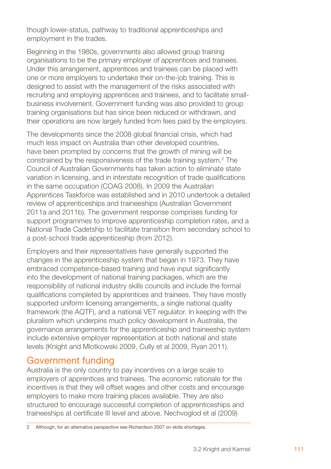though lower-status, pathway to traditional apprenticeships and employment in the trades.

Beginning in the 1980s, governments also allowed group training organisations to be the primary employer of apprentices and trainees. Under this arrangement, apprentices and trainees can be placed with one or more employers to undertake their on-the-job training. This is designed to assist with the management of the risks associated with recruiting and employing apprentices and trainees, and to facilitate smallbusiness involvement. Government funding was also provided to group training organisations but has since been reduced or withdrawn, and their operations are now largely funded from fees paid by the employers.

The developments since the 2008 global financial crisis, which had much less impact on Australia than other developed countries, have been prompted by concerns that the growth of mining will be constrained by the responsiveness of the trade training system.<sup>2</sup> The Council of Australian Governments has taken action to eliminate state variation in licensing, and in interstate recognition of trade qualifications in the same occupation (COAG 2008). In 2009 the Australian Apprentices Taskforce was established and in 2010 undertook a detailed review of apprenticeships and traineeships (Australian Government 2011a and 2011b). The government response comprises funding for support programmes to improve apprenticeship completion rates, and a National Trade Cadetship to facilitate transition from secondary school to a post-school trade apprenticeship (from 2012).

Employers and their representatives have generally supported the changes in the apprenticeship system that began in 1973. They have embraced competence-based training and have input significantly into the development of national training packages, which are the responsibility of national industry skills councils and include the formal qualifications completed by apprentices and trainees. They have mostly supported uniform licensing arrangements, a single national quality framework (the AQTF), and a national VET regulator. In keeping with the pluralism which underpins much policy development in Australia, the governance arrangements for the apprenticeship and traineeship system include extensive employer representation at both national and state levels (Knight and Mlotkowski 2009, Cully et al 2009, Ryan 2011).

# Government funding

Australia is the only country to pay incentives on a large scale to employers of apprentices and trainees. The economic rationale for the incentives is that they will offset wages and other costs and encourage employers to make more training places available. They are also structured to encourage successful completion of apprenticeships and traineeships at certificate III level and above. Nechvoglod et al (2009)

Although, for an alternative perspective see Richardson 2007 on skills shortages.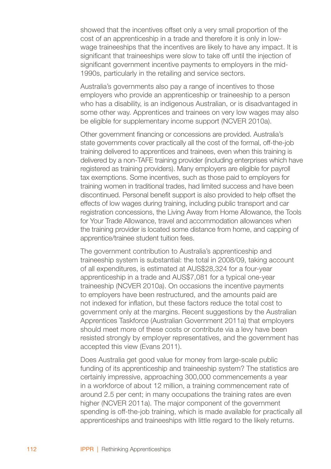showed that the incentives offset only a very small proportion of the cost of an apprenticeship in a trade and therefore it is only in lowwage traineeships that the incentives are likely to have any impact. It is significant that traineeships were slow to take off until the injection of significant government incentive payments to employers in the mid-1990s, particularly in the retailing and service sectors.

Australia's governments also pay a range of incentives to those employers who provide an apprenticeship or traineeship to a person who has a disability, is an indigenous Australian, or is disadvantaged in some other way. Apprentices and trainees on very low wages may also be eligible for supplementary income support (NCVER 2010a).

Other government financing or concessions are provided. Australia's state governments cover practically all the cost of the formal, off-the-job training delivered to apprentices and trainees, even when this training is delivered by a non-TAFE training provider (including enterprises which have registered as training providers). Many employers are eligible for payroll tax exemptions. Some incentives, such as those paid to employers for training women in traditional trades, had limited success and have been discontinued. Personal benefit support is also provided to help offset the effects of low wages during training, including public transport and car registration concessions, the Living Away from Home Allowance, the Tools for Your Trade Allowance, travel and accommodation allowances when the training provider is located some distance from home, and capping of apprentice/trainee student tuition fees.

The government contribution to Australia's apprenticeship and traineeship system is substantial: the total in 2008/09, taking account of all expenditures, is estimated at AUS\$28,324 for a four-year apprenticeship in a trade and AUS\$7,081 for a typical one-year traineeship (NCVER 2010a). On occasions the incentive payments to employers have been restructured, and the amounts paid are not indexed for inflation, but these factors reduce the total cost to government only at the margins. Recent suggestions by the Australian Apprentices Taskforce (Australian Government 2011a) that employers should meet more of these costs or contribute via a levy have been resisted strongly by employer representatives, and the government has accepted this view (Evans 2011).

Does Australia get good value for money from large-scale public funding of its apprenticeship and traineeship system? The statistics are certainly impressive, approaching 300,000 commencements a year in a workforce of about 12 million, a training commencement rate of around 2.5 per cent; in many occupations the training rates are even higher (NCVER 2011a). The major component of the government spending is off-the-job training, which is made available for practically all apprenticeships and traineeships with little regard to the likely returns.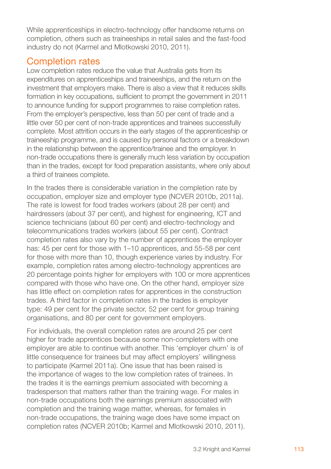While apprenticeships in electro-technology offer handsome returns on completion, others such as traineeships in retail sales and the fast-food industry do not (Karmel and Mlotkowski 2010, 2011).

# Completion rates

Low completion rates reduce the value that Australia gets from its expenditures on apprenticeships and traineeships, and the return on the investment that employers make. There is also a view that it reduces skills formation in key occupations, sufficient to prompt the government in 2011 to announce funding for support programmes to raise completion rates. From the employer's perspective, less than 50 per cent of trade and a little over 50 per cent of non-trade apprentices and trainees successfully complete. Most attrition occurs in the early stages of the apprenticeship or traineeship programme, and is caused by personal factors or a breakdown in the relationship between the apprentice/trainee and the employer. In non-trade occupations there is generally much less variation by occupation than in the trades, except for food preparation assistants, where only about a third of trainees complete.

In the trades there is considerable variation in the completion rate by occupation, employer size and employer type (NCVER 2010b, 2011a). The rate is lowest for food trades workers (about 28 per cent) and hairdressers (about 37 per cent), and highest for engineering, ICT and science technicians (about 60 per cent) and electro-technology and telecommunications trades workers (about 55 per cent). Contract completion rates also vary by the number of apprentices the employer has: 45 per cent for those with 1–10 apprentices, and 55-58 per cent for those with more than 10, though experience varies by industry. For example, completion rates among electro-technology apprentices are 20 percentage points higher for employers with 100 or more apprentices compared with those who have one. On the other hand, employer size has little effect on completion rates for apprentices in the construction trades. A third factor in completion rates in the trades is employer type: 49 per cent for the private sector, 52 per cent for group training organisations, and 80 per cent for government employers.

For individuals, the overall completion rates are around 25 per cent higher for trade apprentices because some non-completers with one employer are able to continue with another. This 'employer churn' is of little consequence for trainees but may affect employers' willingness to participate (Karmel 2011a). One issue that has been raised is the importance of wages to the low completion rates of trainees. In the trades it is the earnings premium associated with becoming a tradesperson that matters rather than the training wage. For males in non-trade occupations both the earnings premium associated with completion and the training wage matter, whereas, for females in non-trade occupations, the training wage does have some impact on completion rates (NCVER 2010b; Karmel and Mlotkowski 2010, 2011).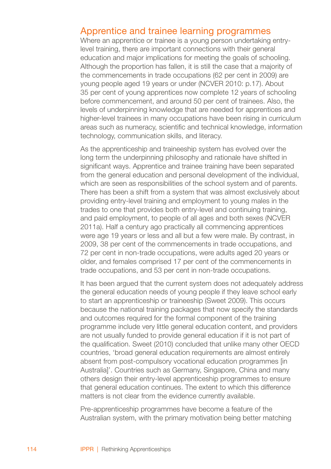## Apprentice and trainee learning programmes

Where an apprentice or trainee is a young person undertaking entrylevel training, there are important connections with their general education and major implications for meeting the goals of schooling. Although the proportion has fallen, it is still the case that a majority of the commencements in trade occupations (62 per cent in 2009) are young people aged 19 years or under (NCVER 2010: p.17). About 35 per cent of young apprentices now complete 12 years of schooling before commencement, and around 50 per cent of trainees. Also, the levels of underpinning knowledge that are needed for apprentices and higher-level trainees in many occupations have been rising in curriculum areas such as numeracy, scientific and technical knowledge, information technology, communication skills, and literacy.

As the apprenticeship and traineeship system has evolved over the long term the underpinning philosophy and rationale have shifted in significant ways. Apprentice and trainee training have been separated from the general education and personal development of the individual, which are seen as responsibilities of the school system and of parents. There has been a shift from a system that was almost exclusively about providing entry-level training and employment to young males in the trades to one that provides both entry-level and continuing training, and paid employment, to people of all ages and both sexes (NCVER 2011a). Half a century ago practically all commencing apprentices were age 19 years or less and all but a few were male. By contrast, in 2009, 38 per cent of the commencements in trade occupations, and 72 per cent in non-trade occupations, were adults aged 20 years or older, and females comprised 17 per cent of the commencements in trade occupations, and 53 per cent in non-trade occupations.

It has been argued that the current system does not adequately address the general education needs of young people if they leave school early to start an apprenticeship or traineeship (Sweet 2009). This occurs because the national training packages that now specify the standards and outcomes required for the formal component of the training programme include very little general education content, and providers are not usually funded to provide general education if it is not part of the qualification. Sweet (2010) concluded that unlike many other OECD countries, 'broad general education requirements are almost entirely absent from post-compulsory vocational education programmes [in Australia]'. Countries such as Germany, Singapore, China and many others design their entry-level apprenticeship programmes to ensure that general education continues. The extent to which this difference matters is not clear from the evidence currently available.

Pre-apprenticeship programmes have become a feature of the Australian system, with the primary motivation being better matching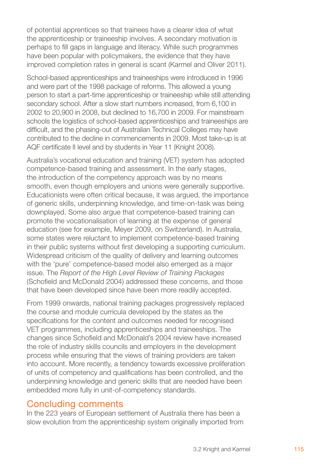of potential apprentices so that trainees have a clearer idea of what the apprenticeship or traineeship involves. A secondary motivation is perhaps to fill gaps in language and literacy. While such programmes have been popular with policymakers, the evidence that they have improved completion rates in general is scant (Karmel and Oliver 2011).

School-based apprenticeships and traineeships were introduced in 1996 and were part of the 1998 package of reforms. This allowed a young person to start a part-time apprenticeship or traineeship while still attending secondary school. After a slow start numbers increased, from 6,100 in 2002 to 20,900 in 2008, but declined to 16,700 in 2009. For mainstream schools the logistics of school-based apprenticeships and traineeships are difficult, and the phasing-out of Australian Technical Colleges may have contributed to the decline in commencements in 2009. Most take-up is at AQF certificate II level and by students in Year 11 (Knight 2008).

Australia's vocational education and training (VET) system has adopted competence-based training and assessment. In the early stages, the introduction of the competency approach was by no means smooth, even though employers and unions were generally supportive. Educationists were often critical because, it was argued, the importance of generic skills, underpinning knowledge, and time-on-task was being downplayed. Some also argue that competence-based training can promote the vocationalisation of learning at the expense of general education (see for example, Meyer 2009, on Switzerland). In Australia, some states were reluctant to implement competence-based training in their public systems without first developing a supporting curriculum. Widespread criticism of the quality of delivery and learning outcomes with the 'pure' competence-based model also emerged as a major issue. The *Report of the High Level Review of Training Packages* (Schofield and McDonald 2004) addressed these concerns, and those that have been developed since have been more readily accepted.

From 1999 onwards, national training packages progressively replaced the course and module curricula developed by the states as the specifications for the content and outcomes needed for recognised VET programmes, including apprenticeships and traineeships. The changes since Schofield and McDonald's 2004 review have increased the role of industry skills councils and employers in the development process while ensuring that the views of training providers are taken into account. More recently, a tendency towards excessive proliferation of units of competency and qualifications has been controlled, and the underpinning knowledge and generic skills that are needed have been embedded more fully in unit-of-competency standards.

# Concluding comments

In the 223 years of European settlement of Australia there has been a slow evolution from the apprenticeship system originally imported from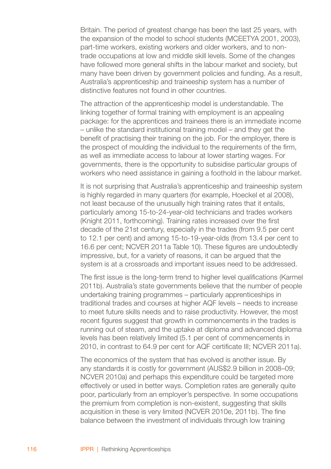Britain. The period of greatest change has been the last 25 years, with the expansion of the model to school students (MCEETYA 2001, 2003), part-time workers, existing workers and older workers, and to nontrade occupations at low and middle skill levels. Some of the changes have followed more general shifts in the labour market and society, but many have been driven by government policies and funding. As a result, Australia's apprenticeship and traineeship system has a number of distinctive features not found in other countries.

The attraction of the apprenticeship model is understandable. The linking together of formal training with employment is an appealing package: for the apprentices and trainees there is an immediate income – unlike the standard institutional training model – and they get the benefit of practising their training on the job. For the employer, there is the prospect of moulding the individual to the requirements of the firm, as well as immediate access to labour at lower starting wages. For governments, there is the opportunity to subsidise particular groups of workers who need assistance in gaining a foothold in the labour market.

It is not surprising that Australia's apprenticeship and traineeship system is highly regarded in many quarters (for example, Hoeckel et al 2008), not least because of the unusually high training rates that it entails, particularly among 15-to-24-year-old technicians and trades workers (Knight 2011, forthcoming). Training rates increased over the first decade of the 21st century, especially in the trades (from 9.5 per cent to 12.1 per cent) and among 15-to-19-year-olds (from 13.4 per cent to 16.6 per cent; NCVER 2011a Table 10). These figures are undoubtedly impressive, but, for a variety of reasons, it can be argued that the system is at a crossroads and important issues need to be addressed.

The first issue is the long-term trend to higher level qualifications (Karmel 2011b). Australia's state governments believe that the number of people undertaking training programmes – particularly apprenticeships in traditional trades and courses at higher AQF levels – needs to increase to meet future skills needs and to raise productivity. However, the most recent figures suggest that growth in commencements in the trades is running out of steam, and the uptake at diploma and advanced diploma levels has been relatively limited (5.1 per cent of commencements in 2010, in contrast to 64.9 per cent for AQF certificate III; NCVER 2011a).

The economics of the system that has evolved is another issue. By any standards it is costly for government (AUS\$2.9 billion in 2008–09; NCVER 2010a) and perhaps this expenditure could be targeted more effectively or used in better ways. Completion rates are generally quite poor, particularly from an employer's perspective. In some occupations the premium from completion is non-existent, suggesting that skills acquisition in these is very limited (NCVER 2010e, 2011b). The fine balance between the investment of individuals through low training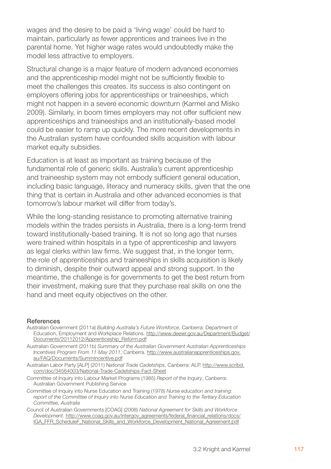wages and the desire to be paid a 'living wage' could be hard to maintain, particularly as fewer apprentices and trainees live in the parental home. Yet higher wage rates would undoubtedly make the model less attractive to employers.

Structural change is a major feature of modern advanced economies and the apprenticeship model might not be sufficiently flexible to meet the challenges this creates. Its success is also contingent on employers offering jobs for apprenticeships or traineeships, which might not happen in a severe economic downturn (Karmel and Misko 2009). Similarly, in boom times employers may not offer sufficient new apprenticeships and traineeships and an institutionally-based model could be easier to ramp up quickly. The more recent developments in the Australian system have confounded skills acquisition with labour market equity subsidies.

Education is at least as important as training because of the fundamental role of generic skills. Australia's current apprenticeship and traineeship system may not embody sufficient general education, including basic language, literacy and numeracy skills, given that the one thing that is certain in Australia and other advanced economies is that tomorrow's labour market will differ from today's.

While the long-standing resistance to promoting alternative training models within the trades persists in Australia, there is a long-term trend toward institutionally-based training. It is not so long ago that nurses were trained within hospitals in a type of apprenticeship and lawyers as legal clerks within law firms. We suggest that, in the longer term, the role of apprenticeships and traineeships in skills acquisition is likely to diminish, despite their outward appeal and strong support. In the meantime, the challenge is for governments to get the best return from their investment, making sure that they purchase real skills on one the hand and meet equity objectives on the other.

### References

Australian Government (2011a) *Building Australia's Future Workforce*, Canberra: Department of Education, Employment and Workplace Relations. http://www.deewr.gov.au/Department/Budget/ Documents/20112012/Apprenticeship\_Reform.pdf

Australian Government (2011b) *Summary of the Australian Government Australian Apprenticeships Incentives Program From 11 May 2011*, Canberra. http://www.australianapprenticeships.gov. au/FAQ/Documents/SummIncentive.pdf

Australian Labor Party [ALP] (2011) N*ational Trade Cadetships*, Canberra: ALP. http://www.scribd. com/doc/34564003/National-Trade-Cadetships-Fact-Sheet

Committee of Inquiry into Labour Market Programs (1985) *Report of the Inquiry*, Canberra: Australian Government Publishing Service

Committee of Inquiry into Nurse Education and Training (1978) *Nurse education and training: report of the Committee of Inquiry into Nurse Education and Training to the Tertiary Education Committee, Australia*

Council of Australian Governments [COAG] (2008) *National Agreement for Skills and Workforce Development*. http://www.coag.gov.au/intergov\_agreements/federal\_financial\_relations/docs/ IGA\_FFR\_ScheduleF\_National\_Skills\_and\_Workforce\_Development\_National\_Agreement.pdf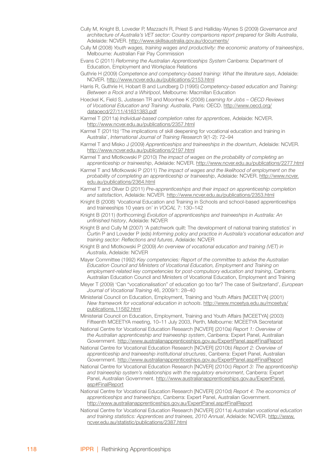- Cully M, Knight B, Loveder P, Mazzachi R, Priest S and Halliday-Wynes S (2009) *Governance and architecture of Australia's VET sector: Country comparisons report prepared for Skills Australia*, Adelaide: NCVER. http://www.skillsaustralia.gov.au/documents/
- Cully M (2008) *Youth wages, training wages and productivity: the economic anatomy of traineeships*, Melbourne: Australian Fair Pay Commission
- Evans C (2011) *Reforming the Australian Apprenticeships System* Canberra: Department of Education, Employment and Workplace Relations
- Guthrie H (2009) *Competence and competency-based training: What the literature says*, Adelaide: NCVER. http://www.ncver.edu.au/publications/2153.html
- Harris R, Guthrie H, Hobart B and Lundberg D (1995) *Competency-based education and Training: Between a Rock and a Whirlpool*, Melbourne: Macmillan Education
- Hoeckel K, Field S, Justesen TR and Moonhee K (2008) *Learning for Jobs OECD Reviews of Vocational Education and Training: Australia*, Paris: OECD. http://www.oecd.org/ dataoecd/27/11/41631383.pdf
- Karmel T (2011a) *Individual-based completion rates for apprentices*, Adelaide: NCVER. http://www.ncver.edu.au/publications/2357.html
- Karmel T (2011b) 'The implications of skill deepening for vocational education and training in Australia', *International Journal of Training Research* 9(1-2): 72–94
- Karmel T and Misko J (2009) *Apprenticeships and traineeships in the downturn*, Adelaide: NCVER. http://www.ncver.edu.au/publications/2197.html
- Karmel T and Mlotkowski P (2010) *The impact of wages on the probability of completing an apprenticeship or traineeship*, Adelaide: NCVER. http://www.ncver.edu.au/publications/2277.html
- Karmel T and Mlotkowski P (2011) *The impact of wages and the likelihood of employment on the probability of completing an apprenticeship or traineeship*, Adelaide: NCVER. http://www.ncver. edu.au/publications/2364.html
- Karmel T and Oliver D (2011) *Pre-apprenticeships and their impact on apprenticeship completion and satisfaction*, Adelaide: NCVER. http://www.ncver.edu.au/publications/2353.html
- Knight B (2008) 'Vocational Education and Training in Schools and school-based apprenticeships and traineeships 10 years on' in *VOCAL* 7: 130–142
- Knight B (2011) (forthcoming) *Evolution of apprenticeships and traineeships in Australia: An unfinished history*, Adelaide: NCVER
- Knight B and Cully M (2007) 'A patchwork quilt: The development of national training statistics' in Curtin P and Loveder P (eds) *Informing policy and practice in Australia's vocational education and training sector: Reflections and futures*, Adelaide: NCVER
- Knight B and Mlotkowski P (2009) *An overview of vocational education and training (VET) in Australia*, Adelaide: NCVER
- Mayer Committee (1992) *Key competencies: Report of the committee to advise the Australian Education Council and Ministers of Vocational Education, Employment and Training on employment-related key competencies for post-compulsory education and training*, Canberra: Australian Education Council and Ministers of Vocational Education, Employment and Training
- Meyer T (2009) 'Can "vocationalisation" of education go too far? The case of Switzerland', *European Journal of Vocational Training* 46, 2009/1: 28–40
- Ministerial Council on Education, Employment, Training and Youth Affairs [MCEETYA] (2001) *New framework for vocational education in schools*. http://www.mceetya.edu.au/mceetya/ publications,11582.html
- Ministerial Council on Education, Employment, Training and Youth Affairs [MCEETYA] (2003) Fifteenth MCEETYA meeting, 10–11 July 2003, Perth, Melbourne: MCEETYA Secretariat
- National Centre for Vocational Education Research [NCVER] (2010a) *Report 1: Overview of the Australian apprenticeship and traineeship system*, Canberra: Expert Panel, Australian Government. http://www.australianapprenticeships.gov.au/ExpertPanel.asp#FinalReport
- National Centre for Vocational Education Research [NCVER] (2010b) *Report 2: Overview of apprenticeship and traineeship institutional structures*, Canberra: Expert Panel, Australian Government. http://www.australianapprenticeships.gov.au/ExpertPanel.asp#FinalReport
- National Centre for Vocational Education Research [NCVER] (2010c) *Report 3: The apprenticeship and traineeship system's relationships with the regulatory environment*, Canberra: Expert Panel, Australian Government. http://www.australianapprenticeships.gov.au/ExpertPanel. asp#FinalReport
- National Centre for Vocational Education Research [NCVER] (2010d) *Report 4: The economics of apprenticeships and traineeships*, Canberra: Expert Panel, Australian Government. http://www.australianapprenticeships.gov.au/ExpertPanel.asp#FinalReport
- National Centre for Vocational Education Research [NCVER] (2011a) *Australian vocational education and training statistics: Apprentices and trainees, 2010 Annual*, Adelaide: NCVER. http://www. ncver.edu.au/statistic/publications/2387.html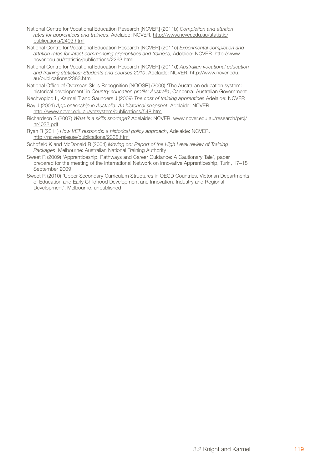- National Centre for Vocational Education Research [NCVER] (2011b) *Completion and attrition rates for apprentices and trainees*, Adelaide: NCVER. http://www.ncver.edu.au/statistic/ publications/2403.html
- National Centre for Vocational Education Research [NCVER] (2011c) *Experimental completion and attrition rates for latest commencing apprentices and trainees*, Adelaide: NCVER. http://www. ncver.edu.au/statistic/publications/2263.html
- National Centre for Vocational Education Research [NCVER] (2011d) *Australian vocational education and training statistics: Students and courses 2010*, Adelaide: NCVER. http://www.ncver.edu. au/publications/2383.html
- National Office of Overseas Skills Recognition [NOOSR] (2000) 'The Australian education system: historical development' in *Country education profile: Australia*, Canberra: Australian Government
- Nechvoglod L, Karmel T and Saunders J (2009) *The cost of training apprentices* Adelaide: NCVER
- Ray J (2001) *Apprenticeship in Australia: An historical snapshot*, Adelaide: NCVER. http://www.ncver.edu.au/vetsystem/publications/548.html
- Richardson S (2007) *What is a skills shortage?* Adelaide: NCVER. www.ncver.edu.au/research/proj/ nr4022.pdf
- Ryan R (2011) *How VET responds: a historical policy approach*, Adelaide: NCVER. http://ncver-release/publications/2338.html
- Schofield K and McDonald R (2004) *Moving on: Report of the High Level review of Training Packages*, Melbourne: Australian National Training Authority
- Sweet R (2009) 'Apprenticeship, Pathways and Career Guidance: A Cautionary Tale', paper prepared for the meeting of the International Network on Innovative Apprenticeship, Turin, 17–18 September 2009
- Sweet R (2010) 'Upper Secondary Curriculum Structures in OECD Countries, Victorian Departments of Education and Early Childhood Development and Innovation, Industry and Regional Development', Melbourne, unpublished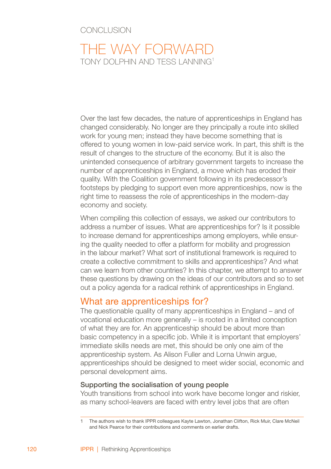## Conclusion

# The way forward TONY DOLPHIN AND TESS LANNING<sup>1</sup>

Over the last few decades, the nature of apprenticeships in England has changed considerably. No longer are they principally a route into skilled work for young men; instead they have become something that is offered to young women in low-paid service work. In part, this shift is the result of changes to the structure of the economy. But it is also the unintended consequence of arbitrary government targets to increase the number of apprenticeships in England, a move which has eroded their quality. With the Coalition government following in its predecessor's footsteps by pledging to support even more apprenticeships, now is the right time to reassess the role of apprenticeships in the modern-day economy and society.

When compiling this collection of essays, we asked our contributors to address a number of issues. What are apprenticeships for? Is it possible to increase demand for apprenticeships among employers, while ensuring the quality needed to offer a platform for mobility and progression in the labour market? What sort of institutional framework is required to create a collective commitment to skills and apprenticeships? And what can we learn from other countries? In this chapter, we attempt to answer these questions by drawing on the ideas of our contributors and so to set out a policy agenda for a radical rethink of apprenticeships in England.

## What are apprenticeships for?

The questionable quality of many apprenticeships in England – and of vocational education more generally – is rooted in a limited conception of what they are for. An apprenticeship should be about more than basic competency in a specific job. While it is important that employers' immediate skills needs are met, this should be only one aim of the apprenticeship system. As Alison Fuller and Lorna Unwin argue, apprenticeships should be designed to meet wider social, economic and personal development aims.

## Supporting the socialisation of young people

Youth transitions from school into work have become longer and riskier, as many school-leavers are faced with entry level jobs that are often

The authors wish to thank IPPR colleagues Kayte Lawton, Jonathan Clifton, Rick Muir, Clare McNeil and Nick Pearce for their contributions and comments on earlier drafts.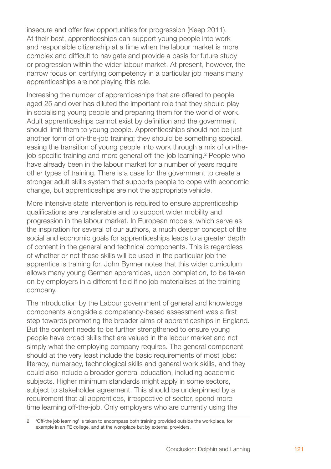insecure and offer few opportunities for progression (Keep 2011). At their best, apprenticeships can support young people into work and responsible citizenship at a time when the labour market is more complex and difficult to navigate and provide a basis for future study or progression within the wider labour market. At present, however, the narrow focus on certifying competency in a particular job means many apprenticeships are not playing this role.

Increasing the number of apprenticeships that are offered to people aged 25 and over has diluted the important role that they should play in socialising young people and preparing them for the world of work. Adult apprenticeships cannot exist by definition and the government should limit them to young people. Apprenticeships should not be just another form of on-the-job training; they should be something special, easing the transition of young people into work through a mix of on-thejob specific training and more general off-the-job learning. People who have already been in the labour market for a number of years require other types of training. There is a case for the government to create a stronger adult skills system that supports people to cope with economic change, but apprenticeships are not the appropriate vehicle.

More intensive state intervention is required to ensure apprenticeship qualifications are transferable and to support wider mobility and progression in the labour market. In European models, which serve as the inspiration for several of our authors, a much deeper concept of the social and economic goals for apprenticeships leads to a greater depth of content in the general and technical components. This is regardless of whether or not these skills will be used in the particular job the apprentice is training for. John Bynner notes that this wider curriculum allows many young German apprentices, upon completion, to be taken on by employers in a different field if no job materialises at the training company.

The introduction by the Labour government of general and knowledge components alongside a competency-based assessment was a first step towards promoting the broader aims of apprenticeships in England. But the content needs to be further strengthened to ensure young people have broad skills that are valued in the labour market and not simply what the employing company requires. The general component should at the very least include the basic requirements of most jobs: literacy, numeracy, technological skills and general work skills, and they could also include a broader general education, including academic subjects. Higher minimum standards might apply in some sectors, subject to stakeholder agreement. This should be underpinned by a requirement that all apprentices, irrespective of sector, spend more time learning off-the-job. Only employers who are currently using the

<sup>&#</sup>x27;Off-the job learning' is taken to encompass both training provided outside the workplace, for example in an FE college, and at the workplace but by external providers.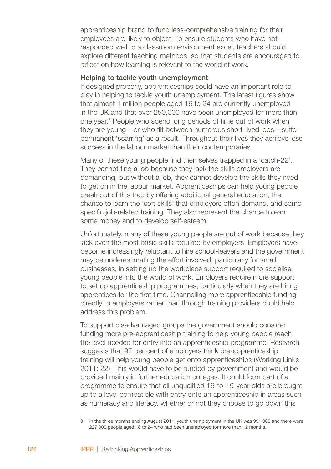apprenticeship brand to fund less-comprehensive training for their employees are likely to object. To ensure students who have not responded well to a classroom environment excel, teachers should explore different teaching methods, so that students are encouraged to reflect on how learning is relevant to the world of work.

## Helping to tackle youth unemployment

If designed properly, apprenticeships could have an important role to play in helping to tackle youth unemployment. The latest figures show that almost 1 million people aged 16 to 24 are currently unemployed in the UK and that over 250,000 have been unemployed for more than one year.<sup>3</sup> People who spend long periods of time out of work when they are young – or who flit between numerous short-lived jobs – suffer permanent 'scarring' as a result. Throughout their lives they achieve less success in the labour market than their contemporaries.

Many of these young people find themselves trapped in a 'catch-22'. They cannot find a job because they lack the skills employers are demanding, but without a job, they cannot develop the skills they need to get on in the labour market. Apprenticeships can help young people break out of this trap by offering additional general education, the chance to learn the 'soft skills' that employers often demand, and some specific job-related training. They also represent the chance to earn some money and to develop self-esteem.

Unfortunately, many of these young people are out of work because they lack even the most basic skills required by employers. Employers have become increasingly reluctant to hire school-leavers and the government may be underestimating the effort involved, particularly for small businesses, in setting up the workplace support required to socialise young people into the world of work. Employers require more support to set up apprenticeship programmes, particularly when they are hiring apprentices for the first time. Channelling more apprenticeship funding directly to employers rather than through training providers could help address this problem.

To support disadvantaged groups the government should consider funding more pre-apprenticeship training to help young people reach the level needed for entry into an apprenticeship programme. Research suggests that 97 per cent of employers think pre-apprenticeship training will help young people get onto apprenticeships (Working Links 2011: 22). This would have to be funded by government and would be provided mainly in further education colleges. It could form part of a programme to ensure that all unqualified 16-to-19-year-olds are brought up to a level compatible with entry onto an apprenticeship in areas such as numeracy and literacy, whether or not they choose to go down this

In the three months ending August 2011, youth unemployment in the UK was 991,000 and there were 227,000 people aged 18 to 24 who had been unemployed for more than 12 months.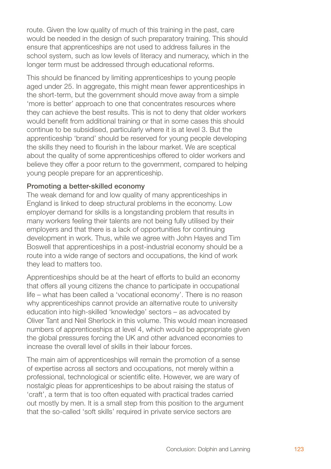route. Given the low quality of much of this training in the past, care would be needed in the design of such preparatory training. This should ensure that apprenticeships are not used to address failures in the school system, such as low levels of literacy and numeracy, which in the longer term must be addressed through educational reforms.

This should be financed by limiting apprenticeships to young people aged under 25. In aggregate, this might mean fewer apprenticeships in the short-term, but the government should move away from a simple 'more is better' approach to one that concentrates resources where they can achieve the best results. This is not to deny that older workers would benefit from additional training or that in some cases this should continue to be subsidised, particularly where it is at level 3. But the apprenticeship 'brand' should be reserved for young people developing the skills they need to flourish in the labour market. We are sceptical about the quality of some apprenticeships offered to older workers and believe they offer a poor return to the government, compared to helping young people prepare for an apprenticeship.

## Promoting a better-skilled economy

The weak demand for and low quality of many apprenticeships in England is linked to deep structural problems in the economy. Low employer demand for skills is a longstanding problem that results in many workers feeling their talents are not being fully utilised by their employers and that there is a lack of opportunities for continuing development in work. Thus, while we agree with John Hayes and Tim Boswell that apprenticeships in a post-industrial economy should be a route into a wide range of sectors and occupations, the kind of work they lead to matters too.

Apprenticeships should be at the heart of efforts to build an economy that offers all young citizens the chance to participate in occupational life – what has been called a 'vocational economy'. There is no reason why apprenticeships cannot provide an alternative route to university education into high-skilled 'knowledge' sectors – as advocated by Oliver Tant and Neil Sherlock in this volume. This would mean increased numbers of apprenticeships at level 4, which would be appropriate given the global pressures forcing the UK and other advanced economies to increase the overall level of skills in their labour forces.

The main aim of apprenticeships will remain the promotion of a sense of expertise across all sectors and occupations, not merely within a professional, technological or scientific elite. However, we are wary of nostalgic pleas for apprenticeships to be about raising the status of 'craft', a term that is too often equated with practical trades carried out mostly by men. It is a small step from this position to the argument that the so-called 'soft skills' required in private service sectors are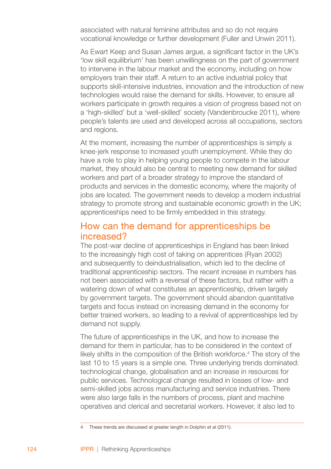associated with natural feminine attributes and so do not require vocational knowledge or further development (Fuller and Unwin 2011).

As Ewart Keep and Susan James argue, a significant factor in the UK's 'low skill equilibrium' has been unwillingness on the part of government to intervene in the labour market and the economy, including on how employers train their staff. A return to an active industrial policy that supports skill-intensive industries, innovation and the introduction of new technologies would raise the demand for skills. However, to ensure all workers participate in growth requires a vision of progress based not on a 'high-skilled' but a 'well-skilled' society (Vandenbroucke 2011), where people's talents are used and developed across all occupations, sectors and regions.

At the moment, increasing the number of apprenticeships is simply a knee-jerk response to increased youth unemployment. While they do have a role to play in helping young people to compete in the labour market, they should also be central to meeting new demand for skilled workers and part of a broader strategy to improve the standard of products and services in the domestic economy, where the majority of jobs are located. The government needs to develop a modern industrial strategy to promote strong and sustainable economic growth in the UK; apprenticeships need to be firmly embedded in this strategy.

# How can the demand for apprenticeships be increased?

The post-war decline of apprenticeships in England has been linked to the increasingly high cost of taking on apprentices (Ryan 2002) and subsequently to deindustrialisation, which led to the decline of traditional apprenticeship sectors. The recent increase in numbers has not been associated with a reversal of these factors, but rather with a watering down of what constitutes an apprenticeship, driven largely by government targets. The government should abandon quantitative targets and focus instead on increasing demand in the economy for better trained workers, so leading to a revival of apprenticeships led by demand not supply.

The future of apprenticeships in the UK, and how to increase the demand for them in particular, has to be considered in the context of likely shifts in the composition of the British workforce.<sup>4</sup> The story of the last 10 to 15 years is a simple one. Three underlying trends dominated: technological change, globalisation and an increase in resources for public services. Technological change resulted in losses of low- and semi-skilled jobs across manufacturing and service industries. There were also large falls in the numbers of process, plant and machine operatives and clerical and secretarial workers. However, it also led to

These trends are discussed at greater length in Dolphin et al (2011).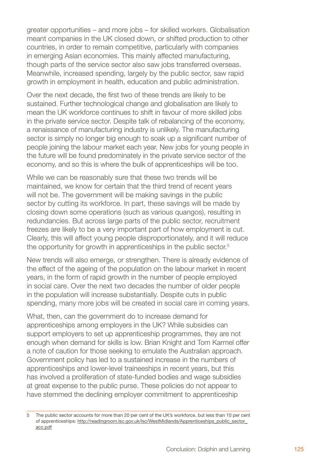greater opportunities – and more jobs – for skilled workers. Globalisation meant companies in the UK closed down, or shifted production to other countries, in order to remain competitive, particularly with companies in emerging Asian economies. This mainly affected manufacturing, though parts of the service sector also saw jobs transferred overseas. Meanwhile, increased spending, largely by the public sector, saw rapid growth in employment in health, education and public administration.

Over the next decade, the first two of these trends are likely to be sustained. Further technological change and globalisation are likely to mean the UK workforce continues to shift in favour of more skilled jobs in the private service sector. Despite talk of rebalancing of the economy, a renaissance of manufacturing industry is unlikely. The manufacturing sector is simply no longer big enough to soak up a significant number of people joining the labour market each year. New jobs for young people in the future will be found predominately in the private service sector of the economy, and so this is where the bulk of apprenticeships will be too.

While we can be reasonably sure that these two trends will be maintained, we know for certain that the third trend of recent years will not be. The government will be making savings in the public sector by cutting its workforce. In part, these savings will be made by closing down some operations (such as various quangos), resulting in redundancies. But across large parts of the public sector, recruitment freezes are likely to be a very important part of how employment is cut. Clearly, this will affect young people disproportionately, and it will reduce the opportunity for growth in apprenticeships in the public sector.<sup>5</sup>

New trends will also emerge, or strengthen. There is already evidence of the effect of the ageing of the population on the labour market in recent years, in the form of rapid growth in the number of people employed in social care. Over the next two decades the number of older people in the population will increase substantially. Despite cuts in public spending, many more jobs will be created in social care in coming years.

What, then, can the government do to increase demand for apprenticeships among employers in the UK? While subsidies can support employers to set up apprenticeship programmes, they are not enough when demand for skills is low. Brian Knight and Tom Karmel offer a note of caution for those seeking to emulate the Australian approach. Government policy has led to a sustained increase in the numbers of apprenticeships and lower-level traineeships in recent years, but this has involved a proliferation of state-funded bodies and wage subsidies at great expense to the public purse. These policies do not appear to have stemmed the declining employer commitment to apprenticeship

The public sector accounts for more than 20 per cent of the UK's workforce, but less than 10 per cent of apprenticeships: http://readingroom.lsc.gov.uk/lsc/WestMidlands/Apprenticeships\_public\_sector\_ acc.pdf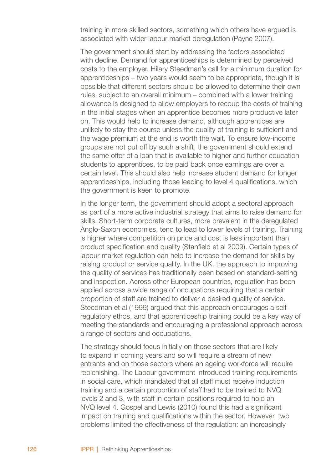training in more skilled sectors, something which others have argued is associated with wider labour market deregulation (Payne 2007).

The government should start by addressing the factors associated with decline. Demand for apprenticeships is determined by perceived costs to the employer. Hilary Steedman's call for a minimum duration for apprenticeships – two years would seem to be appropriate, though it is possible that different sectors should be allowed to determine their own rules, subject to an overall minimum – combined with a lower training allowance is designed to allow employers to recoup the costs of training in the initial stages when an apprentice becomes more productive later on. This would help to increase demand, although apprentices are unlikely to stay the course unless the quality of training is sufficient and the wage premium at the end is worth the wait. To ensure low-income groups are not put off by such a shift, the government should extend the same offer of a loan that is available to higher and further education students to apprentices, to be paid back once earnings are over a certain level. This should also help increase student demand for longer apprenticeships, including those leading to level 4 qualifications, which the government is keen to promote.

In the longer term, the government should adopt a sectoral approach as part of a more active industrial strategy that aims to raise demand for skills. Short-term corporate cultures, more prevalent in the deregulated Anglo-Saxon economies, tend to lead to lower levels of training. Training is higher where competition on price and cost is less important than product specification and quality (Stanfield et al 2009). Certain types of labour market regulation can help to increase the demand for skills by raising product or service quality. In the UK, the approach to improving the quality of services has traditionally been based on standard-setting and inspection. Across other European countries, regulation has been applied across a wide range of occupations requiring that a certain proportion of staff are trained to deliver a desired quality of service. Steedman et al (1999) argued that this approach encourages a selfregulatory ethos, and that apprenticeship training could be a key way of meeting the standards and encouraging a professional approach across a range of sectors and occupations.

The strategy should focus initially on those sectors that are likely to expand in coming years and so will require a stream of new entrants and on those sectors where an ageing workforce will require replenishing. The Labour government introduced training requirements in social care, which mandated that all staff must receive induction training and a certain proportion of staff had to be trained to NVQ levels 2 and 3, with staff in certain positions required to hold an NVQ level 4. Gospel and Lewis (2010) found this had a significant impact on training and qualifications within the sector. However, two problems limited the effectiveness of the regulation: an increasingly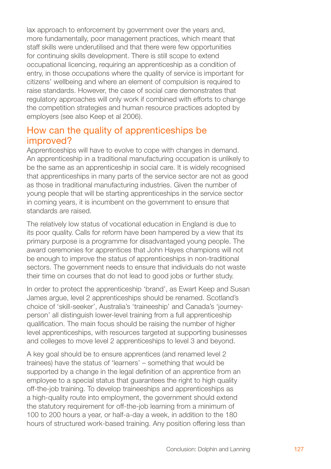lax approach to enforcement by government over the years and, more fundamentally, poor management practices, which meant that staff skills were underutilised and that there were few opportunities for continuing skills development. There is still scope to extend occupational licencing, requiring an apprenticeship as a condition of entry, in those occupations where the quality of service is important for citizens' wellbeing and where an element of compulsion is required to raise standards. However, the case of social care demonstrates that regulatory approaches will only work if combined with efforts to change the competition strategies and human resource practices adopted by employers (see also Keep et al 2006).

# How can the quality of apprenticeships be improved?

Apprenticeships will have to evolve to cope with changes in demand. An apprenticeship in a traditional manufacturing occupation is unlikely to be the same as an apprenticeship in social care. It is widely recognised that apprenticeships in many parts of the service sector are not as good as those in traditional manufacturing industries. Given the number of young people that will be starting apprenticeships in the service sector in coming years, it is incumbent on the government to ensure that standards are raised.

The relatively low status of vocational education in England is due to its poor quality. Calls for reform have been hampered by a view that its primary purpose is a programme for disadvantaged young people. The award ceremonies for apprentices that John Hayes champions will not be enough to improve the status of apprenticeships in non-traditional sectors. The government needs to ensure that individuals do not waste their time on courses that do not lead to good jobs or further study.

In order to protect the apprenticeship 'brand', as Ewart Keep and Susan James argue, level 2 apprenticeships should be renamed. Scotland's choice of 'skill-seeker', Australia's 'traineeship' and Canada's 'journeyperson' all distinguish lower-level training from a full apprenticeship qualification. The main focus should be raising the number of higher level apprenticeships, with resources targeted at supporting businesses and colleges to move level 2 apprenticeships to level 3 and beyond.

A key goal should be to ensure apprentices (and renamed level 2 trainees) have the status of 'learners' – something that would be supported by a change in the legal definition of an apprentice from an employee to a special status that guarantees the right to high quality off-the-job training. To develop traineeships and apprenticeships as a high-quality route into employment, the government should extend the statutory requirement for off-the-job learning from a minimum of 100 to 200 hours a year, or half-a-day a week, in addition to the 180 hours of structured work-based training. Any position offering less than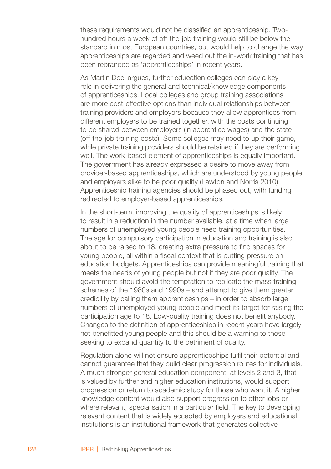these requirements would not be classified an apprenticeship. Twohundred hours a week of off-the-job training would still be below the standard in most European countries, but would help to change the way apprenticeships are regarded and weed out the in-work training that has been rebranded as 'apprenticeships' in recent years.

As Martin Doel argues, further education colleges can play a key role in delivering the general and technical/knowledge components of apprenticeships. Local colleges and group training associations are more cost-effective options than individual relationships between training providers and employers because they allow apprentices from different employers to be trained together, with the costs continuing to be shared between employers (in apprentice wages) and the state (off-the-job training costs). Some colleges may need to up their game, while private training providers should be retained if they are performing well. The work-based element of apprenticeships is equally important. The government has already expressed a desire to move away from provider-based apprenticeships, which are understood by young people and employers alike to be poor quality (Lawton and Norris 2010). Apprenticeship training agencies should be phased out, with funding redirected to employer-based apprenticeships.

In the short-term, improving the quality of apprenticeships is likely to result in a reduction in the number available, at a time when large numbers of unemployed young people need training opportunities. The age for compulsory participation in education and training is also about to be raised to 18, creating extra pressure to find spaces for young people, all within a fiscal context that is putting pressure on education budgets. Apprenticeships can provide meaningful training that meets the needs of young people but not if they are poor quality. The government should avoid the temptation to replicate the mass training schemes of the 1980s and 1990s – and attempt to give them greater credibility by calling them apprenticeships – in order to absorb large numbers of unemployed young people and meet its target for raising the participation age to 18. Low-quality training does not benefit anybody. Changes to the definition of apprenticeships in recent years have largely not benefitted young people and this should be a warning to those seeking to expand quantity to the detriment of quality.

Regulation alone will not ensure apprenticeships fulfil their potential and cannot guarantee that they build clear progression routes for individuals. A much stronger general education component, at levels 2 and 3, that is valued by further and higher education institutions, would support progression or return to academic study for those who want it. A higher knowledge content would also support progression to other jobs or, where relevant, specialisation in a particular field. The key to developing relevant content that is widely accepted by employers and educational institutions is an institutional framework that generates collective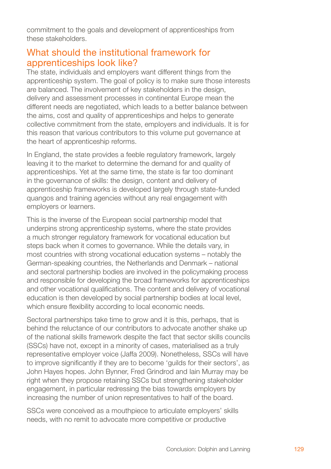commitment to the goals and development of apprenticeships from these stakeholders.

# What should the institutional framework for apprenticeships look like?

The state, individuals and employers want different things from the apprenticeship system. The goal of policy is to make sure those interests are balanced. The involvement of key stakeholders in the design, delivery and assessment processes in continental Europe mean the different needs are negotiated, which leads to a better balance between the aims, cost and quality of apprenticeships and helps to generate collective commitment from the state, employers and individuals. It is for this reason that various contributors to this volume put governance at the heart of apprenticeship reforms.

In England, the state provides a feeble regulatory framework, largely leaving it to the market to determine the demand for and quality of apprenticeships. Yet at the same time, the state is far too dominant in the governance of skills: the design, content and delivery of apprenticeship frameworks is developed largely through state-funded quangos and training agencies without any real engagement with employers or learners.

This is the inverse of the European social partnership model that underpins strong apprenticeship systems, where the state provides a much stronger regulatory framework for vocational education but steps back when it comes to governance. While the details vary, in most countries with strong vocational education systems – notably the German-speaking countries, the Netherlands and Denmark – national and sectoral partnership bodies are involved in the policymaking process and responsible for developing the broad frameworks for apprenticeships and other vocational qualifications. The content and delivery of vocational education is then developed by social partnership bodies at local level, which ensure flexibility according to local economic needs.

Sectoral partnerships take time to grow and it is this, perhaps, that is behind the reluctance of our contributors to advocate another shake up of the national skills framework despite the fact that sector skills councils (SSCs) have not, except in a minority of cases, materialised as a truly representative employer voice (Jaffa 2009). Nonetheless, SSCs will have to improve significantly if they are to become 'guilds for their sectors', as John Hayes hopes. John Bynner, Fred Grindrod and Iain Murray may be right when they propose retaining SSCs but strengthening stakeholder engagement, in particular redressing the bias towards employers by increasing the number of union representatives to half of the board.

SSCs were conceived as a mouthpiece to articulate employers' skills needs, with no remit to advocate more competitive or productive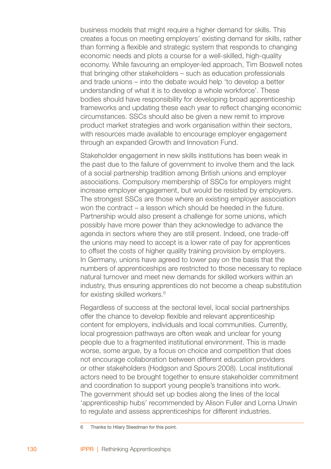business models that might require a higher demand for skills. This creates a focus on meeting employers' existing demand for skills, rather than forming a flexible and strategic system that responds to changing economic needs and plots a course for a well-skilled, high-quality economy. While favouring an employer-led approach, Tim Boswell notes that bringing other stakeholders – such as education professionals and trade unions – into the debate would help 'to develop a better understanding of what it is to develop a whole workforce'. These bodies should have responsibility for developing broad apprenticeship frameworks and updating these each year to reflect changing economic circumstances. SSCs should also be given a new remit to improve product market strategies and work organisation within their sectors, with resources made available to encourage employer engagement through an expanded Growth and Innovation Fund.

Stakeholder engagement in new skills institutions has been weak in the past due to the failure of government to involve them and the lack of a social partnership tradition among British unions and employer associations. Compulsory membership of SSCs for employers might increase employer engagement, but would be resisted by employers. The strongest SSCs are those where an existing employer association won the contract – a lesson which should be heeded in the future. Partnership would also present a challenge for some unions, which possibly have more power than they acknowledge to advance the agenda in sectors where they are still present. Indeed, one trade-off the unions may need to accept is a lower rate of pay for apprentices to offset the costs of higher quality training provision by employers. In Germany, unions have agreed to lower pay on the basis that the numbers of apprenticeships are restricted to those necessary to replace natural turnover and meet new demands for skilled workers within an industry, thus ensuring apprentices do not become a cheap substitution for existing skilled workers.

Regardless of success at the sectoral level, local social partnerships offer the chance to develop flexible and relevant apprenticeship content for employers, individuals and local communities. Currently, local progression pathways are often weak and unclear for young people due to a fragmented institutional environment. This is made worse, some argue, by a focus on choice and competition that does not encourage collaboration between different education providers or other stakeholders (Hodgson and Spours 2008). Local institutional actors need to be brought together to ensure stakeholder commitment and coordination to support young people's transitions into work. The government should set up bodies along the lines of the local 'apprenticeship hubs' recommended by Alison Fuller and Lorna Unwin to regulate and assess apprenticeships for different industries.

 $\mathsf{R}$ Thanks to Hilary Steedman for this point.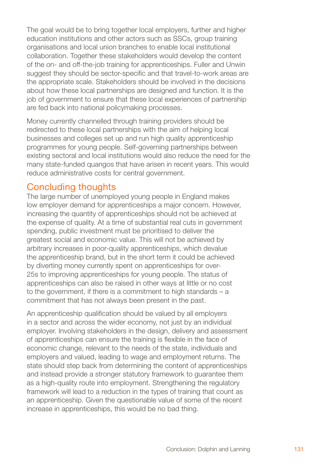The goal would be to bring together local employers, further and higher education institutions and other actors such as SSCs, group training organisations and local union branches to enable local institutional collaboration. Together these stakeholders would develop the content of the on- and off-the-job training for apprenticeships. Fuller and Unwin suggest they should be sector-specific and that travel-to-work areas are the appropriate scale. Stakeholders should be involved in the decisions about how these local partnerships are designed and function. It is the job of government to ensure that these local experiences of partnership are fed back into national policymaking processes.

Money currently channelled through training providers should be redirected to these local partnerships with the aim of helping local businesses and colleges set up and run high quality apprenticeship programmes for young people. Self-governing partnerships between existing sectoral and local institutions would also reduce the need for the many state-funded quangos that have arisen in recent years. This would reduce administrative costs for central government.

# Concluding thoughts

The large number of unemployed young people in England makes low employer demand for apprenticeships a major concern. However, increasing the quantity of apprenticeships should not be achieved at the expense of quality. At a time of substantial real cuts in government spending, public investment must be prioritised to deliver the greatest social and economic value. This will not be achieved by arbitrary increases in poor-quality apprenticeships, which devalue the apprenticeship brand, but in the short term it could be achieved by diverting money currently spent on apprenticeships for over-25s to improving apprenticeships for young people. The status of apprenticeships can also be raised in other ways at little or no cost to the government, if there is a commitment to high standards – a commitment that has not always been present in the past.

An apprenticeship qualification should be valued by all employers in a sector and across the wider economy, not just by an individual employer. Involving stakeholders in the design, delivery and assessment of apprenticeships can ensure the training is flexible in the face of economic change, relevant to the needs of the state, individuals and employers and valued, leading to wage and employment returns. The state should step back from determining the content of apprenticeships and instead provide a stronger statutory framework to guarantee them as a high-quality route into employment. Strengthening the regulatory framework will lead to a reduction in the types of training that count as an apprenticeship. Given the questionable value of some of the recent increase in apprenticeships, this would be no bad thing.